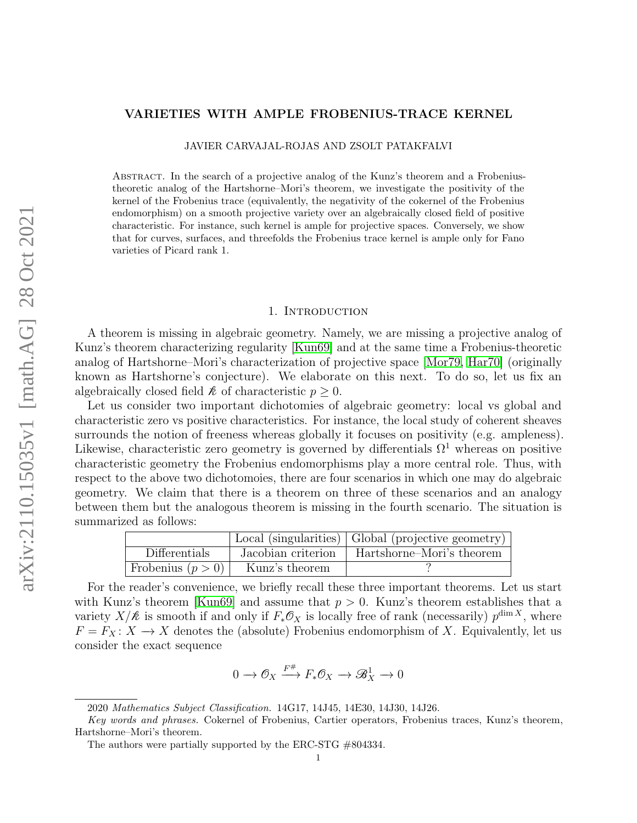# <span id="page-0-0"></span>VARIETIES WITH AMPLE FROBENIUS-TRACE KERNEL

JAVIER CARVAJAL-ROJAS AND ZSOLT PATAKFALVI

Abstract. In the search of a projective analog of the Kunz's theorem and a Frobeniustheoretic analog of the Hartshorne–Mori's theorem, we investigate the positivity of the kernel of the Frobenius trace (equivalently, the negativity of the cokernel of the Frobenius endomorphism) on a smooth projective variety over an algebraically closed field of positive characteristic. For instance, such kernel is ample for projective spaces. Conversely, we show that for curves, surfaces, and threefolds the Frobenius trace kernel is ample only for Fano varieties of Picard rank 1.

#### 1. Introduction

A theorem is missing in algebraic geometry. Namely, we are missing a projective analog of Kunz's theorem characterizing regularity [\[Kun69\]](#page-36-0) and at the same time a Frobenius-theoretic analog of Hartshorne–Mori's characterization of projective space [\[Mor79,](#page-36-1) [Har70\]](#page-36-2) (originally known as Hartshorne's conjecture). We elaborate on this next. To do so, let us fix an algebraically closed field  $k$  of characteristic  $p \geq 0$ .

Let us consider two important dichotomies of algebraic geometry: local vs global and characteristic zero vs positive characteristics. For instance, the local study of coherent sheaves surrounds the notion of freeness whereas globally it focuses on positivity (e.g. ampleness). Likewise, characteristic zero geometry is governed by differentials  $\Omega^1$  whereas on positive characteristic geometry the Frobenius endomorphisms play a more central role. Thus, with respect to the above two dichotomoies, there are four scenarios in which one may do algebraic geometry. We claim that there is a theorem on three of these scenarios and an analogy between them but the analogous theorem is missing in the fourth scenario. The situation is summarized as follows:

|                     |                    | Local (singularities)   Global (projective geometry) |
|---------------------|--------------------|------------------------------------------------------|
| Differentials       | Jacobian criterion | Hartshorne–Mori's theorem                            |
| Frobenius $(p > 0)$ | Kunz's theorem     |                                                      |

For the reader's convenience, we briefly recall these three important theorems. Let us start with Kunz's theorem [\[Kun69\]](#page-36-0) and assume that  $p > 0$ . Kunz's theorem establishes that a variety  $X/\mathcal{R}$  is smooth if and only if  $F_*\mathcal{O}_X$  is locally free of rank (necessarily)  $p^{\dim X}$ , where  $F = F_X: X \longrightarrow X$  denotes the (absolute) Frobenius endomorphism of X. Equivalently, let us consider the exact sequence

$$
0 \to \mathcal{O}_X \xrightarrow{F^{\#}} F_* \mathcal{O}_X \to \mathcal{B}_X^1 \to 0
$$

<sup>2020</sup> Mathematics Subject Classification. 14G17, 14J45, 14E30, 14J30, 14J26.

Key words and phrases. Cokernel of Frobenius, Cartier operators, Frobenius traces, Kunz's theorem, Hartshorne–Mori's theorem.

The authors were partially supported by the ERC-STG #804334.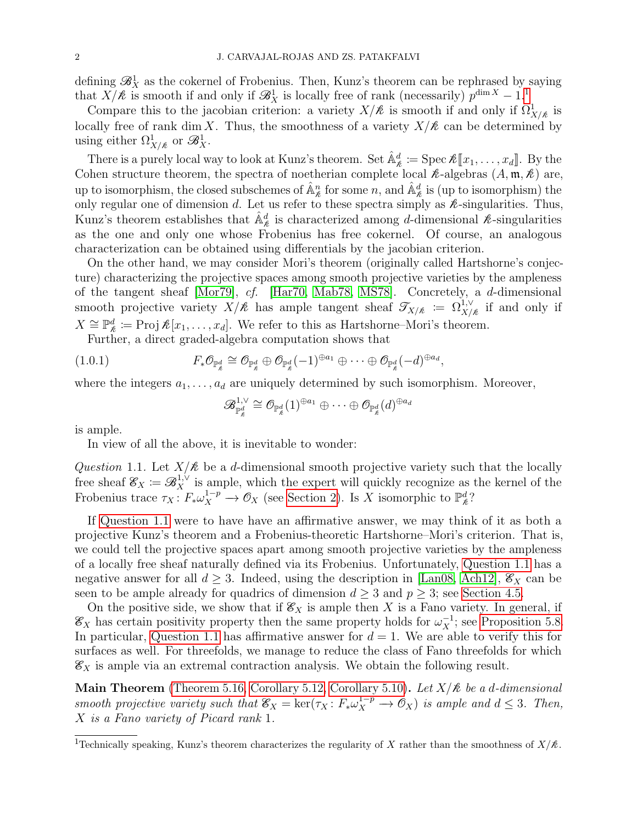defining  $\mathscr{B}_{X}^{1}$  as the cokernel of Frobenius. Then, Kunz's theorem can be rephrased by saying that  $X/k$  is smooth if and only if  $\mathscr{B}_X^1$  $\mathscr{B}_X^1$  is locally free of rank (necessarily)  $p^{\dim X} - 1$ .<sup>1</sup>

Compare this to the jacobian criterion: a variety  $X/k$  is smooth if and only if  $\Omega^1_{X/k}$  is locally free of rank dim X. Thus, the smoothness of a variety  $X/\mathcal{R}$  can be determined by using either  $\Omega^1_{X/\nless}$  or  $\mathscr{B}^1_X$ .

There is a purely local way to look at Kunz's theorem. Set  $\hat{\mathbb{A}}_{\ell}^d := \text{Spec } \ell[\![x_1, \ldots, x_d]\!]$ . By the shope structure theorem, the spectre of postberian complete local  $\ell$  alsohes  $(A, \mathbf{m}, \ell)$  are Cohen structure theorem, the spectra of noetherian complete local  $\ell$ -algebras  $(A, \mathfrak{m}, \ell)$  are, up to isomorphism, the closed subschemes of  $\hat{\mathbb{A}}_k^n$  for some n, and  $\hat{\mathbb{A}}_{k}^d$  is (up to isomorphism) the only regular one of dimension d. Let us refer to these spectra simply as  $\ell$ -singularities. Thus, Kunz's theorem establishes that  $\hat{\mathbb{A}}_{\ell}^d$  is characterized among d-dimensional  $\ell$ -singularities as the one and only one whose Frobenius has free cokernel. Of course, an analogous characterization can be obtained using differentials by the jacobian criterion.

On the other hand, we may consider Mori's theorem (originally called Hartshorne's conjecture) characterizing the projective spaces among smooth projective varieties by the ampleness of the tangent sheaf [\[Mor79\]](#page-36-1), cf. [\[Har70,](#page-36-2) [Mab78,](#page-36-3) [MS78\]](#page-37-0). Concretely, a d-dimensional smooth projective variety  $X/k$  has ample tangent sheaf  $\mathcal{T}_{X/k} := \Omega_{X/k}^{1,\vee}$  if and only if  $X \cong \mathbb{P}_{\mathcal{R}}^d := \text{Proj } \mathcal{R}[x_1, \ldots, x_d]$ . We refer to this as Hartshorne–Mori's theorem. Further, a direct graded-algebra computation shows that

(1.0.1) 
$$
F_*\mathcal{O}_{\mathbb{P}_\ell^d} \cong \mathcal{O}_{\mathbb{P}_\ell^d} \oplus \mathcal{O}_{\mathbb{P}_\ell^d}(-1)^{\oplus a_1} \oplus \cdots \oplus \mathcal{O}_{\mathbb{P}_\ell^d}(-d)^{\oplus a_d},
$$

where the integers  $a_1, \ldots, a_d$  are uniquely determined by such isomorphism. Moreover,

$$
\mathscr{B}^{1,\vee}_{\mathbb{P}^{d}_{\ell}}\cong \mathcal{O}_{\mathbb{P}^{d}_{\ell}}(1)^{\oplus a_{1}}\oplus\dots\oplus \mathcal{O}_{\mathbb{P}^{d}_{\ell}}(d)^{\oplus a_{d}}
$$

is ample.

In view of all the above, it is inevitable to wonder:

<span id="page-1-0"></span>Question 1.1. Let  $X/\mathcal{R}$  be a d-dimensional smooth projective variety such that the locally free sheaf  $\mathscr{E}_X := \mathscr{B}_X^{1,\vee}$  is ample, which the expert will quickly recognize as the kernel of the Frobenius trace  $\tau_X: F_* \omega_X^{1-p} \to \mathcal{O}_X$  (see [Section 2\)](#page-3-0). Is X isomorphic to  $\mathbb{P}_k^d$ ?

If [Question 1.1](#page-1-0) were to have have an affirmative answer, we may think of it as both a projective Kunz's theorem and a Frobenius-theoretic Hartshorne–Mori's criterion. That is, we could tell the projective spaces apart among smooth projective varieties by the ampleness of a locally free sheaf naturally defined via its Frobenius. Unfortunately, [Question 1.1](#page-1-0) has a negative answer for all  $d \geq 3$ . Indeed, using the description in [\[Lan08,](#page-36-4) [Ach12\]](#page-35-0),  $\mathcal{E}_X$  can be seen to be ample already for quadrics of dimension  $d \geq 3$  and  $p \geq 3$ ; see [Section 4.5.](#page-25-0)

On the positive side, we show that if  $\mathcal{E}_X$  is ample then X is a Fano variety. In general, if  $\mathscr{E}_X$  has certain positivity property then the same property holds for  $\omega_X^{-1}$ ; see [Proposition 5.8.](#page-28-0) In particular, [Question 1.1](#page-1-0) has affirmative answer for  $d = 1$ . We are able to verify this for surfaces as well. For threefolds, we manage to reduce the class of Fano threefolds for which  $\mathscr{E}_X$  is ample via an extremal contraction analysis. We obtain the following result.

Main Theorem [\(Theorem 5.16,](#page-32-0) [Corollary 5.12,](#page-29-0) [Corollary 5.10\)](#page-29-1). Let  $X/k$  be a d-dimensional smooth projective variety such that  $\mathcal{E}_X = \ker(\tau_X : F_* \omega_X^{1-p} \to \mathcal{O}_X)$  is ample and  $d \leq 3$ . Then, X is a Fano variety of Picard rank 1.

<sup>&</sup>lt;sup>1</sup>Technically speaking, Kunz's theorem characterizes the regularity of X rather than the smoothness of  $X/\mathcal{R}$ .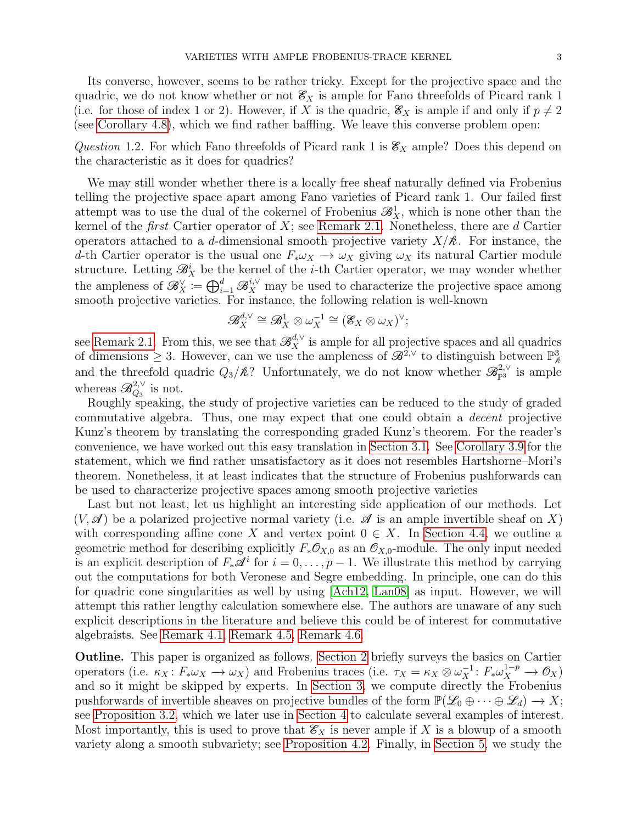Its converse, however, seems to be rather tricky. Except for the projective space and the quadric, we do not know whether or not  $\mathcal{E}_X$  is ample for Fano threefolds of Picard rank 1 (i.e. for those of index 1 or 2). However, if X is the quadric,  $\mathscr{E}_X$  is ample if and only if  $p \neq 2$ (see [Corollary 4.8\)](#page-26-0), which we find rather baffling. We leave this converse problem open:

Question 1.2. For which Fano threefolds of Picard rank 1 is  $\mathscr{E}_X$  ample? Does this depend on the characteristic as it does for quadrics?

We may still wonder whether there is a locally free sheaf naturally defined via Frobenius telling the projective space apart among Fano varieties of Picard rank 1. Our failed first attempt was to use the dual of the cokernel of Frobenius  $\mathscr{B}_{X}^{1}$ , which is none other than the kernel of the *first* Cartier operator of  $X$ ; see [Remark 2.1.](#page-4-0) Nonetheless, there are  $d$  Cartier operators attached to a d-dimensional smooth projective variety  $X/k$ . For instance, the d-th Cartier operator is the usual one  $F_* \omega_X \to \omega_X$  giving  $\omega_X$  its natural Cartier module structure. Letting  $\mathcal{B}_X^i$  be the kernel of the *i*-th Cartier operator, we may wonder whether the ampleness of  $\mathscr{B}_X^{\vee} \coloneqq \bigoplus_{i=1}^d \mathscr{B}_X^{i,\vee}$  may be used to characterize the projective space among smooth projective varieties. For instance, the following relation is well-known

$$
\mathscr{B}^{d,\vee}_X\cong \mathscr{B}^1_X\otimes \omega_X^{-1}\cong (\mathscr{E}_X\otimes \omega_X)^\vee;
$$

see [Remark 2.1.](#page-4-0) From this, we see that  $\mathscr{B}_X^{d,\vee}$  is ample for all projective spaces and all quadrics of dimensions  $\geq 3$ . However, can we use the ampleness of  $\mathscr{B}^{2,\vee}$  to distinguish between  $\mathbb{P}^3_{\ell}$ and the threefold quadric  $Q_3/k$ ? Unfortunately, we do not know whether  $\mathscr{B}_{\mathbb{P}^3}^{2,\vee}$  is ample whereas  $\mathscr{B}^{2,\vee}_{Q_3}$  is not.

Roughly speaking, the study of projective varieties can be reduced to the study of graded commutative algebra. Thus, one may expect that one could obtain a decent projective Kunz's theorem by translating the corresponding graded Kunz's theorem. For the reader's convenience, we have worked out this easy translation in [Section 3.1.](#page-10-0) See [Corollary 3.9](#page-11-0) for the statement, which we find rather unsatisfactory as it does not resembles Hartshorne–Mori's theorem. Nonetheless, it at least indicates that the structure of Frobenius pushforwards can be used to characterize projective spaces among smooth projective varieties

Last but not least, let us highlight an interesting side application of our methods. Let  $(V, \mathscr{A})$  be a polarized projective normal variety (i.e.  $\mathscr{A}$  is an ample invertible sheaf on X) with corresponding affine cone X and vertex point  $0 \in X$ . In [Section 4.4,](#page-20-0) we outline a geometric method for describing explicitly  $F_*\mathcal{O}_{X,0}$  as an  $\mathcal{O}_{X,0}$ -module. The only input needed is an explicit description of  $F_*\mathscr{A}^i$  for  $i=0,\ldots,p-1$ . We illustrate this method by carrying out the computations for both Veronese and Segre embedding. In principle, one can do this for quadric cone singularities as well by using [\[Ach12,](#page-35-0) [Lan08\]](#page-36-4) as input. However, we will attempt this rather lengthy calculation somewhere else. The authors are unaware of any such explicit descriptions in the literature and believe this could be of interest for commutative algebraists. See [Remark 4.1,](#page-16-0) [Remark 4.5,](#page-23-0) [Remark 4.6.](#page-24-0)

Outline. This paper is organized as follows. [Section 2](#page-3-0) briefly surveys the basics on Cartier operators (i.e.  $\kappa_X \colon F_* \omega_X \to \omega_X$ ) and Frobenius traces (i.e.  $\tau_X = \kappa_X \otimes \omega_X^{-1} \colon F_* \omega_X^{1-p} \to \mathcal{O}_X$ ) and so it might be skipped by experts. In [Section 3,](#page-6-0) we compute directly the Frobenius pushforwards of invertible sheaves on projective bundles of the form  $\mathbb{P}(\mathscr{L}_0 \oplus \cdots \oplus \mathscr{L}_d) \to X;$ see [Proposition 3.2,](#page-7-0) which we later use in [Section 4](#page-11-1) to calculate several examples of interest. Most importantly, this is used to prove that  $\mathscr{E}_X$  is never ample if X is a blowup of a smooth variety along a smooth subvariety; see [Proposition 4.2.](#page-19-0) Finally, in [Section 5,](#page-27-0) we study the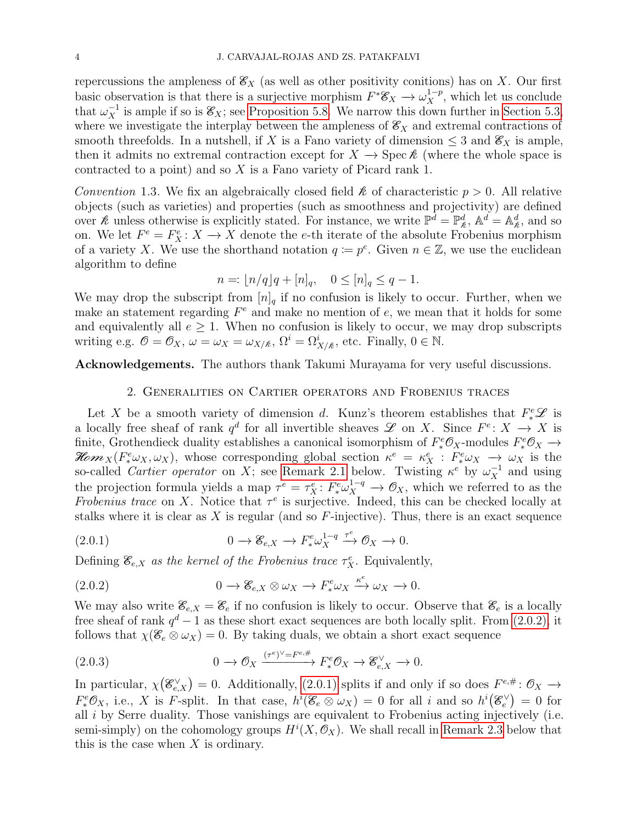repercussions the ampleness of  $\mathcal{E}_X$  (as well as other positivity conitions) has on X. Our first basic observation is that there is a surjective morphism  $F^* \mathscr{E}_X \to \omega_X^{1-p}$ , which let us conclude that  $\omega_X^{-1}$  is ample if so is  $\mathscr{E}_X$ ; see [Proposition 5.8.](#page-28-0) We narrow this down further in [Section 5.3,](#page-29-2) where we investigate the interplay between the ampleness of  $\mathscr{E}_X$  and extremal contractions of smooth threefolds. In a nutshell, if X is a Fano variety of dimension  $\leq 3$  and  $\mathscr{E}_X$  is ample, then it admits no extremal contraction except for  $X \to \text{Spec } \mathcal{E}$  (where the whole space is contracted to a point) and so  $X$  is a Fano variety of Picard rank 1.

Convention 1.3. We fix an algebraically closed field  $\hat{\mathcal{E}}$  of characteristic  $p > 0$ . All relative objects (such as varieties) and properties (such as smoothness and projectivity) are defined over  $\hat{\mathcal{R}}$  unless otherwise is explicitly stated. For instance, we write  $\mathbb{P}^{\bar{d}} = \mathbb{P}^d_{\hat{\mathcal{R}}}$ ,  $\mathbb{A}^{\bar{d}} = \mathbb{A}^d_{\hat{\mathcal{R}}}$ , and so on. We let  $F^e = F_X^e : X \longrightarrow X$  denote the e-th iterate of the absolute Frobenius morphism of a variety X. We use the shorthand notation  $q := p^e$ . Given  $n \in \mathbb{Z}$ , we use the euclidean algorithm to define

$$
n = \lfloor n/q \rfloor q + [n]_q, \quad 0 \le [n]_q \le q - 1.
$$

We may drop the subscript from  $[n]_q$  if no confusion is likely to occur. Further, when we make an statement regarding  $F^e$  and make no mention of  $e$ , we mean that it holds for some and equivalently all  $e \geq 1$ . When no confusion is likely to occur, we may drop subscripts writing e.g.  $\mathcal{O} = \mathcal{O}_X$ ,  $\omega = \omega_X = \omega_{X/\mathcal{R}}$ ,  $\Omega^i = \Omega^i_{X/\mathcal{R}}$ , etc. Finally,  $0 \in \mathbb{N}$ .

<span id="page-3-0"></span>Acknowledgements. The authors thank Takumi Murayama for very useful discussions.

## 2. Generalities on Cartier operators and Frobenius traces

Let X be a smooth variety of dimension d. Kunz's theorem establishes that  $F^e_*\mathscr{L}$  is a locally free sheaf of rank  $q^d$  for all invertible sheaves  $\mathscr L$  on X. Since  $F^e: X \to X$  is finite, Grothendieck duality establishes a canonical isomorphism of  $F^e_*\mathcal{O}_X$ -modules  $F^e_*\mathcal{O}_X \to$ Hom  $_X(F^e_* \omega_X, \omega_X)$ , whose corresponding global section  $\kappa^e = \kappa^e_X : F^e_* \omega_X \to \omega_X$  is the so-called *Cartier operator* on X; see [Remark 2.1](#page-4-0) below. Twisting  $\kappa^e$  by  $\omega_X^{-1}$  and using the projection formula yields a map  $\tau^e = \tau_X^e \colon F^e_* \omega_X^{1-q} \to \mathcal{O}_X$ , which we referred to as the Frobenius trace on X. Notice that  $\tau^e$  is surjective. Indeed, this can be checked locally at stalks where it is clear as X is regular (and so  $F$ -injective). Thus, there is an exact sequence

<span id="page-3-2"></span>(2.0.1) 
$$
0 \to \mathscr{E}_{e,X} \to F^e_* \omega_X^{1-q} \xrightarrow{\tau^e} \mathcal{O}_X \to 0.
$$

Defining  $\mathcal{E}_{e,X}$  as the kernel of the Frobenius trace  $\tau_X^e$ . Equivalently,

<span id="page-3-1"></span>(2.0.2) 
$$
0 \to \mathscr{E}_{e,X} \otimes \omega_X \to F^e_* \omega_X \xrightarrow{\kappa^e} \omega_X \to 0.
$$

We may also write  $\mathscr{E}_{e,X} = \mathscr{E}_e$  if no confusion is likely to occur. Observe that  $\mathscr{E}_e$  is a locally free sheaf of rank  $q^d-1$  as these short exact sequences are both locally split. From [\(2.0.2\),](#page-3-1) it follows that  $\chi(\mathscr{E}_e \otimes \omega_X) = 0$ . By taking duals, we obtain a short exact sequence

<span id="page-3-3"></span>(2.0.3) 
$$
0 \to \mathcal{O}_X \xrightarrow{(\tau^e)^\vee = F^{e, \#}} F^e_* \mathcal{O}_X \to \mathcal{E}_{e, X}^\vee \to 0.
$$

In particular,  $\chi(\mathscr{E}_{e,X}^{\vee})=0$ . Additionally, [\(2.0.1\)](#page-3-2) splits if and only if so does  $F^{e,\#}: \mathcal{O}_X \to$  $F^e_*\mathcal{O}_X$ , i.e., X is F-split. In that case,  $h^i(\mathcal{E}_e \otimes \omega_X) = 0$  for all i and so  $h^i(\mathcal{E}_e^{\vee}) = 0$  for all i by Serre duality. Those vanishings are equivalent to Frobenius acting injectively (i.e. semi-simply) on the cohomology groups  $H^{i}(X,\mathcal{O}_X)$ . We shall recall in [Remark 2.3](#page-4-1) below that this is the case when  $X$  is ordinary.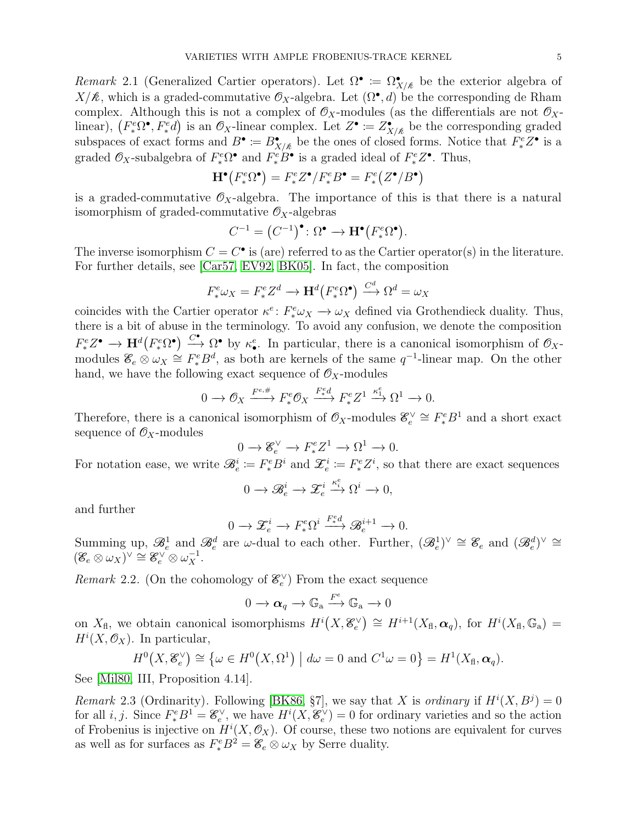<span id="page-4-0"></span>Remark 2.1 (Generalized Cartier operators). Let  $\Omega^{\bullet} \coloneqq \Omega^{\bullet}_{X/\&}$  be the exterior algebra of  $X/\mathcal{R}$ , which is a graded-commutative  $\mathcal{O}_X$ -algebra. Let  $(\Omega^{\bullet}, d)$  be the corresponding de Rham complex. Although this is not a complex of  $\mathcal{O}_X$ -modules (as the differentials are not  $\mathcal{O}_X$ linear),  $(F^e_* \Omega^{\bullet}, F^e_* d)$  is an  $\mathcal{O}_X$ -linear complex. Let  $Z^{\bullet} := Z^{\bullet}_{X/\&}$  be the corresponding graded subspaces of exact forms and  $B^{\bullet} := B^{\bullet}_{X/\nmid \ell}$  be the ones of closed forms. Notice that  $F^e_* Z^{\bullet}$  is a graded  $\mathcal{O}_X$ -subalgebra of  $F^e_* \Omega^{\bullet}$  and  $F^e_* \overline{B}^{\bullet}$  is a graded ideal of  $F^e_* Z^{\bullet}$ . Thus,

$$
\mathbf{H}^{\bullet}\big(F^e_*\Omega^{\bullet}\big) = F^e_*Z^{\bullet}/F^e_*B^{\bullet} = F^e_*(Z^{\bullet}/B^{\bullet})
$$

is a graded-commutative  $\mathcal{O}_X$ -algebra. The importance of this is that there is a natural isomorphism of graded-commutative  $\mathcal{O}_X$ -algebras

$$
C^{-1} = (C^{-1})^{\bullet} \colon \Omega^{\bullet} \to \mathbf{H}^{\bullet}(F^e_* \Omega^{\bullet}).
$$

The inverse isomorphism  $C = C^{\bullet}$  is (are) referred to as the Cartier operator(s) in the literature. For further details, see [\[Car57,](#page-35-1) [EV92,](#page-36-5) [BK05\]](#page-35-2). In fact, the composition

$$
F^e_* \omega_X = F^e_* Z^d \longrightarrow \mathbf{H}^d \big( F^e_* \Omega^\bullet \big) \stackrel{C^d}{\longrightarrow} \Omega^d = \omega_X
$$

coincides with the Cartier operator  $\kappa^e: F^e_* \omega_X \to \omega_X$  defined via Grothendieck duality. Thus, there is a bit of abuse in the terminology. To avoid any confusion, we denote the composition  $F^e_*Z^{\bullet} \to \mathbf{H}^d(F^e_*\Omega^{\bullet}) \stackrel{C^{\bullet}}{\longrightarrow} \Omega^{\bullet}$  by  $\kappa_e^e$ . In particular, there is a canonical isomorphism of  $\mathcal{O}_X$ modules  $\mathscr{E}_e \otimes \omega_X \cong F_*^e B^d$ , as both are kernels of the same  $q^{-1}$ -linear map. On the other hand, we have the following exact sequence of  $\mathcal{O}_X$ -modules

$$
0 \to \mathcal{O}_X \xrightarrow{F^{e,\#}} F^e_* \mathcal{O}_X \xrightarrow{F^e_* d} F^e_* Z^1 \xrightarrow{\kappa_1^e} \Omega^1 \to 0.
$$

Therefore, there is a canonical isomorphism of  $\mathcal{O}_X$ -modules  $\mathcal{E}_e^{\vee} \cong F_*^e B^1$  and a short exact sequence of  $\mathcal{O}_X$ -modules

$$
0 \to \mathcal{E}_e^{\vee} \to F_*^e Z^1 \to \Omega^1 \to 0.
$$

For notation ease, we write  $\mathcal{B}_e^i := F_*^e B^i$  and  $\mathcal{Z}_e^i := F_*^e Z^i$ , so that there are exact sequences

$$
0 \to \mathscr{B}_e^i \to \mathscr{Z}_e^i \xrightarrow{\kappa_i^e} \Omega^i \to 0,
$$

and further

$$
0 \to \mathcal{Z}_e^i \to F_*^e \Omega^i \xrightarrow{F^e_d} \mathcal{B}_e^{i+1} \to 0.
$$

Summing up,  $\mathscr{B}_e^1$  and  $\mathscr{B}_e^d$  are  $\omega$ -dual to each other. Further,  $(\mathscr{B}_e^1)^{\vee} \cong \mathscr{E}_e$  and  $(\mathscr{B}_e^d)^{\vee} \cong$  $(\mathscr{E}_e \otimes \omega_X)^\vee \cong \mathscr{E}_e^\vee \otimes \omega_X^{-1}.$ 

Remark 2.2. (On the cohomology of  $\mathcal{E}_e^{\vee}$ ) From the exact sequence

$$
0 \to \alpha_q \to \mathbb{G}_a \xrightarrow{F^e} \mathbb{G}_a \to 0
$$

on  $X_{\text{fl}}$ , we obtain canonical isomorphisms  $H^{i}(X, \mathcal{E}_e^{\vee}) \cong H^{i+1}(X_{\text{fl}}, \alpha_q)$ , for  $H^{i}(X_{\text{fl}}, \mathbb{G}_a)$  $H^i(X, \mathcal{O}_X)$ . In particular,

$$
H^{0}(X, \mathcal{E}_{e}^{\vee}) \cong \{ \omega \in H^{0}(X, \Omega^{1}) \mid d\omega = 0 \text{ and } C^{1}\omega = 0 \} = H^{1}(X_{\mathrm{fl}}, \alpha_{q}).
$$

See [\[Mil80,](#page-36-6) III, Proposition 4.14].

<span id="page-4-1"></span>Remark 2.3 (Ordinarity). Following [\[BK86,](#page-35-3) §7], we say that X is ordinary if  $H^{i}(X, B^{j}) = 0$ for all *i*, *j*. Since  $F^e_*B^1 = \mathcal{E}^{\vee}_e$ , we have  $H^i(X, \mathcal{E}^{\vee}_e) = 0$  for ordinary varieties and so the action of Frobenius is injective on  $H^{i}(X,\mathcal{O}_X)$ . Of course, these two notions are equivalent for curves as well as for surfaces as  $F_*^e B^2 = \mathcal{E}_e \otimes \omega_X$  by Serre duality.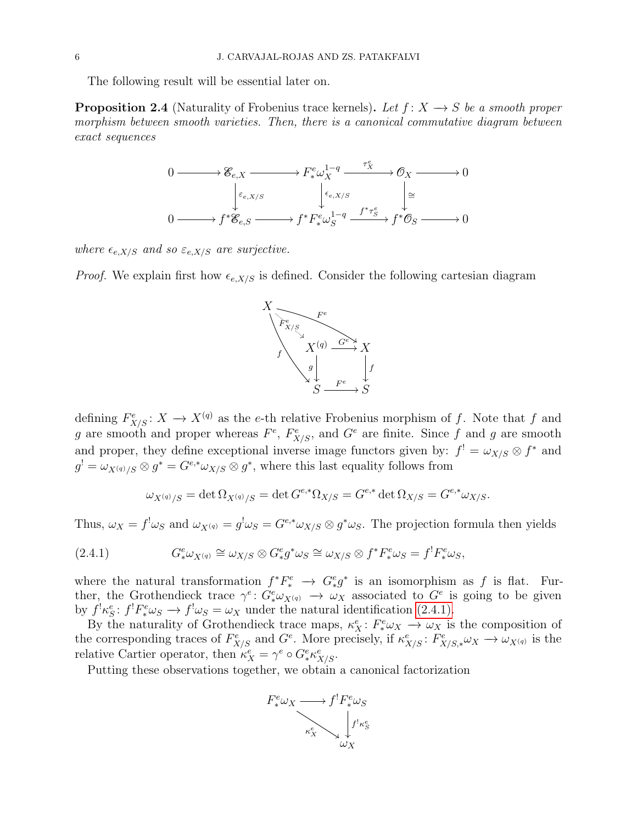The following result will be essential later on.

<span id="page-5-1"></span>**Proposition 2.4** (Naturality of Frobenius trace kernels). Let  $f: X \rightarrow S$  be a smooth proper morphism between smooth varieties. Then, there is a canonical commutative diagram between exact sequences



where  $\epsilon_{e,X/S}$  and so  $\varepsilon_{e,X/S}$  are surjective.

*Proof.* We explain first how  $\epsilon_{e,X/S}$  is defined. Consider the following cartesian diagram



defining  $F_{X/S}^e: X \to X^{(q)}$  as the e-th relative Frobenius morphism of f. Note that f and g are smooth and proper whereas  $F^e$ ,  $F^e_{X/S}$ , and  $G^e$  are finite. Since f and g are smooth and proper, they define exceptional inverse image functors given by:  $f' = \omega_{X/S} \otimes f^*$  and  $g^! = \omega_{X^{(q)}/S} \otimes g^* = G^{e,*} \omega_{X/S} \otimes g^*$ , where this last equality follows from

<span id="page-5-0"></span>
$$
\omega_{X^{(q)}/S} = \det \Omega_{X^{(q)}/S} = \det G^{e,*} \Omega_{X/S} = G^{e,*} \det \Omega_{X/S} = G^{e,*} \omega_{X/S}.
$$

Thus,  $\omega_X = f^! \omega_S$  and  $\omega_{X^{(q)}} = g^! \omega_S = G^{e,*} \omega_{X/S} \otimes g^* \omega_S$ . The projection formula then yields

(2.4.1) 
$$
G^e_* \omega_{X^{(q)}} \cong \omega_{X/S} \otimes G^e_* g^* \omega_S \cong \omega_{X/S} \otimes f^* F^e_* \omega_S = f^! F^e_* \omega_S,
$$

where the natural transformation  $f^*F^e_* \to G^e_*g^*$  is an isomorphism as f is flat. Further, the Grothendieck trace  $\gamma^e: G^e_* \omega_{X^{(q)}} \to \omega_X$  associated to  $G^e$  is going to be given by  $f^{\dagger} \kappa_S^e$ :  $f^{\dagger} F^e_* \omega_S \rightarrow f^{\dagger} \omega_S = \omega_X$  under the natural identification [\(2.4.1\).](#page-5-0)

By the naturality of Grothendieck trace maps,  $\kappa_X^e: F^e_* \omega_X \to \omega_X$  is the composition of the corresponding traces of  $F_{X/S}^e$  and  $G^e$ . More precisely, if  $\kappa_{X/S}^e$ :  $F_{X/S,*}^e \omega_X \to \omega_{X^{(q)}}$  is the relative Cartier operator, then  $\kappa_X^e = \gamma^e \circ G_*^e \kappa_{X/S}^e$ .

Putting these observations together, we obtain a canonical factorization

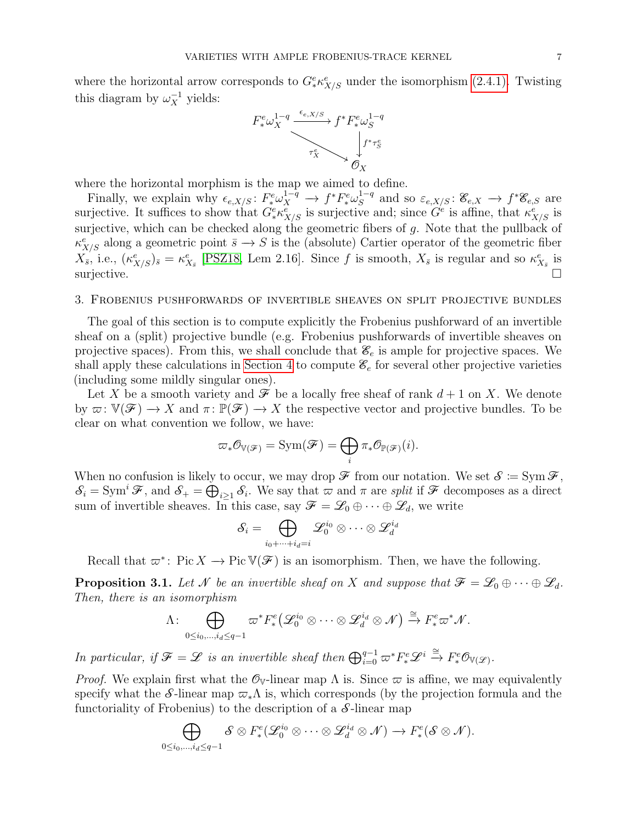where the horizontal arrow corresponds to  $G^e_* \kappa^e_{X/S}$  under the isomorphism [\(2.4.1\).](#page-5-0) Twisting this diagram by  $\omega_X^{-1}$  yields:



where the horizontal morphism is the map we aimed to define.

Finally, we explain why  $\epsilon_{e,X/S}$ :  $F^e_* \omega_X^{1-q} \to f^* F^e_* \omega_S^{1-q}$  $S^{1-q}$  and so  $\varepsilon_{e,X/S} : \mathscr{E}_{e,X} \longrightarrow f^*\mathscr{E}_{e,S}$  are surjective. It suffices to show that  $G^e_* \kappa^e_{X/S}$  is surjective and; since  $G^e$  is affine, that  $\kappa^e_{X/S}$  is surjective, which can be checked along the geometric fibers of g. Note that the pullback of  $\kappa^e_{X/S}$  along a geometric point  $\bar{s} \to S$  is the (absolute) Cartier operator of the geometric fiber  $X_{\bar{s}}$ , i.e.,  $(\kappa^e_{X/S})_{\bar{s}} = \kappa^e_{X_{\bar{s}}}$  [\[PSZ18,](#page-37-1) Lem 2.16]. Since f is smooth,  $X_{\bar{s}}$  is regular and so  $\kappa^e_{X_{\bar{s}}}$  is surjective.

### <span id="page-6-0"></span>3. Frobenius pushforwards of invertible sheaves on split projective bundles

The goal of this section is to compute explicitly the Frobenius pushforward of an invertible sheaf on a (split) projective bundle (e.g. Frobenius pushforwards of invertible sheaves on projective spaces). From this, we shall conclude that  $\mathcal{E}_e$  is ample for projective spaces. We shall apply these calculations in [Section 4](#page-11-1) to compute  $\mathscr{E}_e$  for several other projective varieties (including some mildly singular ones).

Let X be a smooth variety and  $\mathcal F$  be a locally free sheaf of rank  $d+1$  on X. We denote by  $\varpi: \mathbb{V}(\mathscr{F}) \to X$  and  $\pi: \mathbb{P}(\mathscr{F}) \to X$  the respective vector and projective bundles. To be clear on what convention we follow, we have:

$$
\varpi_*{\mathcal O}_{\mathbb{V}(\mathscr{F})}=\text{Sym}(\mathscr{F})=\bigoplus_i \pi_*{\mathcal O}_{\mathbb{P}(\mathscr{F})}(i).
$$

When no confusion is likely to occur, we may drop  $\mathscr F$  from our notation. We set  $\mathscr S \coloneqq \mathrm{Sym}\,\mathscr F,$  $\mathcal{S}_i = \text{Sym}^i \mathcal{F}$ , and  $\mathcal{S}_+ = \bigoplus_{i \geq 1} \mathcal{S}_i$ . We say that  $\varpi$  and  $\pi$  are split if  $\mathcal F$  decomposes as a direct sum of invertible sheaves. In this case, say  $\mathscr{F} = \mathscr{L}_0 \oplus \cdots \oplus \mathscr{L}_d$ , we write

$$
\mathcal{S}_i = \bigoplus_{i_0 + \cdots + i_d = i} \mathscr{L}^{i_0}_0 \otimes \cdots \otimes \mathscr{L}^{i_d}_d
$$

Recall that  $\varpi^*$ : Pic  $X \to \text{Pic } V(\mathcal{F})$  is an isomorphism. Then, we have the following.

<span id="page-6-1"></span>**Proposition 3.1.** Let N be an invertible sheaf on X and suppose that  $\mathcal{F} = \mathcal{L}_0 \oplus \cdots \oplus \mathcal{L}_d$ . Then, there is an isomorphism

$$
\Lambda\colon \bigoplus_{0\leq i_0,\dots,i_d\leq q-1}\varpi^*F^e_*(\mathscr{L}^{i_0}_0\otimes\cdots\otimes\mathscr{L}^{i_d}_d\otimes\mathscr{N})\xrightarrow{\cong} F^e_*\varpi^*\mathscr{N}.
$$

In particular, if  $\mathscr{F} = \mathscr{L}$  is an invertible sheaf then  $\bigoplus_{i=0}^{q-1} \varpi^* F^e_* \mathscr{L}^i \stackrel{\cong}{\to} F^e_* \mathscr{O}_{\mathbb{V}(\mathscr{L})}$ .

*Proof.* We explain first what the  $\mathcal{O}_V$ -linear map  $\Lambda$  is. Since  $\varpi$  is affine, we may equivalently specify what the S-linear map  $\varpi_*\Lambda$  is, which corresponds (by the projection formula and the functoriality of Frobenius) to the description of a  $S$ -linear map

$$
\bigoplus_{0\leq i_0,\dots,i_d\leq q-1} \mathcal{S}\otimes F^e_*(\mathscr{L}^{i_0}_0\otimes\cdots\otimes \mathscr{L}^{i_d}_d\otimes \mathscr{N})\to F^e_*(\mathcal{S}\otimes \mathscr{N}).
$$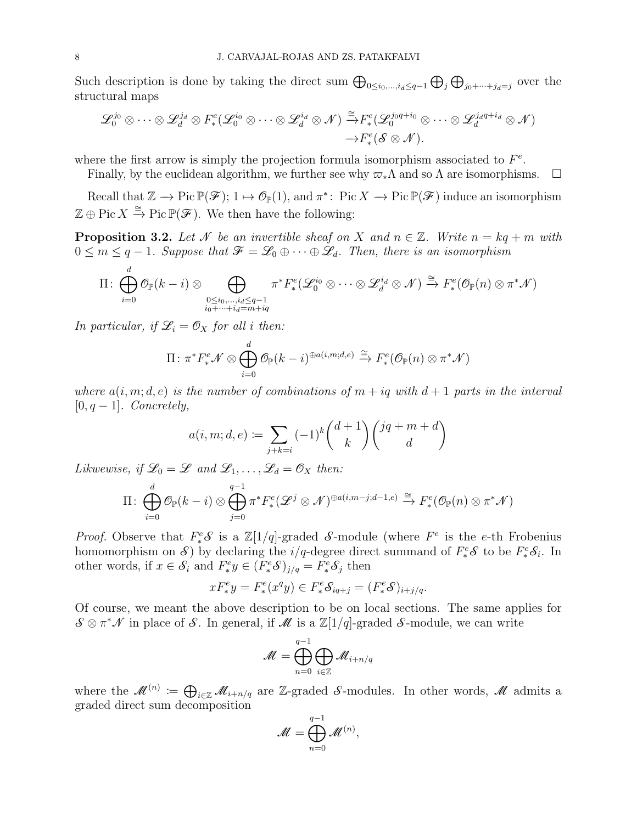Such description is done by taking the direct sum  $\bigoplus_{0\leq i_0,\dots,i_d\leq q-1}\bigoplus_j\bigoplus_{j_0+\dots+j_d=j}$  over the structural maps

$$
\mathscr{L}_{0}^{j_{0}} \otimes \cdots \otimes \mathscr{L}_{d}^{j_{d}} \otimes F_{*}^{e}(\mathscr{L}_{0}^{i_{0}} \otimes \cdots \otimes \mathscr{L}_{d}^{i_{d}} \otimes \mathscr{N}) \stackrel{\cong}{\rightarrow} F_{*}^{e}(\mathscr{L}_{0}^{j_{0}q+i_{0}} \otimes \cdots \otimes \mathscr{L}_{d}^{j_{d}q+i_{d}} \otimes \mathscr{N})
$$

$$
\rightarrow F_{*}^{e}(\mathscr{S} \otimes \mathscr{N}).
$$

where the first arrow is simply the projection formula isomorphism associated to  $F^e$ .

Finally, by the euclidean algorithm, we further see why  $\varpi_*\Lambda$  and so  $\Lambda$  are isomorphisms.  $\Box$ 

Recall that  $\mathbb{Z} \to \text{Pic } \mathbb{P}(\mathscr{F})$ ;  $1 \mapsto \mathcal{O}_{\mathbb{P}}(1)$ , and  $\pi^*$ : Pic  $X \to \text{Pic } \mathbb{P}(\mathscr{F})$  induce an isomorphism  $\mathbb{Z} \oplus \text{Pic } X \xrightarrow{\cong} \text{Pic } \mathbb{P}(\mathscr{F})$ . We then have the following:

<span id="page-7-0"></span>**Proposition 3.2.** Let N be an invertible sheaf on X and  $n \in \mathbb{Z}$ . Write  $n = kq + m$  with  $0 \leq m \leq q-1$ . Suppose that  $\mathcal{F} = \mathcal{L}_0 \oplus \cdots \oplus \mathcal{L}_d$ . Then, there is an isomorphism

$$
\Pi\colon \bigoplus_{i=0}^d\mathcal{O}_{\mathbb{P}}(k-i)\otimes \bigoplus_{\substack{0\leq i_0,\ldots, i_d\leq q-1\\ i_0+\cdots+i_d=m+iq}}\pi^*F^e_*(\mathscr{L}^{i_0}_0\otimes\cdots\otimes \mathscr{L}^{i_d}_d\otimes \mathscr{N})\xrightarrow{\cong} F^e_*(\mathcal{O}_{\mathbb{P}}(n)\otimes \pi^*\mathscr{N})
$$

In particular, if  $\mathcal{L}_i = \mathcal{O}_X$  for all i then:

$$
\Pi: \pi^* F^e_* \mathcal{N} \otimes \bigoplus_{i=0}^d \mathcal{O}_{\mathbb{P}}(k-i)^{\oplus a(i,m;d,e)} \xrightarrow{\cong} F^e_*(\mathcal{O}_{\mathbb{P}}(n) \otimes \pi^* \mathcal{N})
$$

where  $a(i, m; d, e)$  is the number of combinations of  $m + iq$  with  $d + 1$  parts in the interval  $[0, q-1]$ . Concretely,

$$
a(i, m; d, e) := \sum_{j+k=i} (-1)^k {d+1 \choose k} {jq+m+d \choose d}
$$

Likwewise, if  $\mathcal{L}_0 = \mathcal{L}$  and  $\mathcal{L}_1, \ldots, \mathcal{L}_d = \mathcal{O}_X$  then:

$$
\Pi\colon \bigoplus_{i=0}^d\mathcal{O}_{\mathbb{P}}(k-i)\otimes \bigoplus_{j=0}^{q-1}\pi^*F^e_*(\mathscr{L}^j\otimes \mathscr{N})^{\oplus a(i,m-j;d-1,e)}\xrightarrow{\cong} F^e_*(\mathcal{O}_{\mathbb{P}}(n)\otimes \pi^*\mathscr{N})
$$

*Proof.* Observe that  $F^e_*\mathcal{S}$  is a  $\mathbb{Z}[1/q]$ -graded  $\mathcal{S}\text{-module}$  (where  $F^e$  is the e-th Frobenius homomorphism on S by declaring the  $i/q$ -degree direct summand of  $F^e_*S$  to be  $F^e_*S_i$ . In other words, if  $x \in \mathcal{S}_i$  and  $F^e_* y \in (F^e_* \mathcal{S})_{j/q} = F^e_* \mathcal{S}_j$  then

$$
xF^e_*y = F^e_*(x^q y) \in F^e_*\mathcal{S}_{iq+j} = (F^e_*\mathcal{S})_{i+j/q}.
$$

Of course, we meant the above description to be on local sections. The same applies for  $\mathcal{S} \otimes \pi^* \mathcal{N}$  in place of  $\mathcal{S}$ . In general, if  $\mathcal{M}$  is a  $\mathbb{Z}[1/q]$ -graded  $\mathcal{S}$ -module, we can write

$$
\mathscr{M}=\bigoplus_{n=0}^{q-1}\bigoplus_{i\in\mathbb{Z}}\mathscr{M}_{i+n/q}
$$

where the  $\mathcal{M}^{(n)} := \bigoplus_{i \in \mathbb{Z}} \mathcal{M}_{i+n/q}$  are Z-graded S-modules. In other words,  $\mathcal M$  admits a graded direct sum decomposition

$$
\mathscr{M}=\bigoplus_{n=0}^{q-1}\mathscr{M}^{(n)},
$$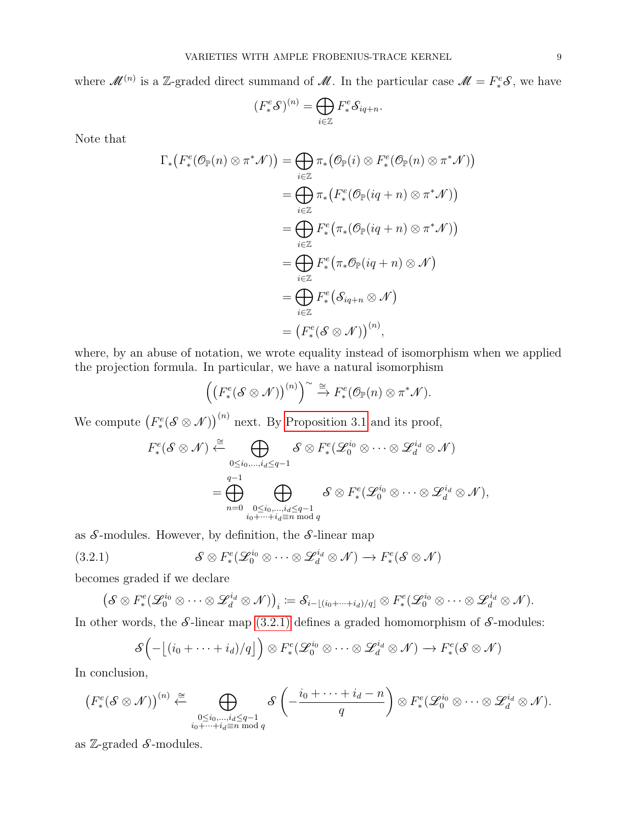where  $\mathcal{M}^{(n)}$  is a Z-graded direct summand of  $\mathcal{M}$ . In the particular case  $\mathcal{M} = F^e_* \mathcal{S}$ , we have

$$
(F^e_*\mathcal{S})^{(n)} = \bigoplus_{i \in \mathbb{Z}} F^e_* \mathcal{S}_{iq+n}.
$$

Note that

$$
\Gamma_*\big(F_*^e(\mathcal{O}_{\mathbb{P}}(n)\otimes \pi^*\mathcal{N})\big) = \bigoplus_{i\in \mathbb{Z}} \pi_*\big(\mathcal{O}_{\mathbb{P}}(i)\otimes F_*^e(\mathcal{O}_{\mathbb{P}}(n)\otimes \pi^*\mathcal{N})\big)
$$
  
\n
$$
= \bigoplus_{i\in \mathbb{Z}} \pi_*\big(F_*^e(\mathcal{O}_{\mathbb{P}}(iq+n)\otimes \pi^*\mathcal{N})\big)
$$
  
\n
$$
= \bigoplus_{i\in \mathbb{Z}} F_*^e\big(\pi_*(\mathcal{O}_{\mathbb{P}}(iq+n)\otimes \pi^*\mathcal{N})\big)
$$
  
\n
$$
= \bigoplus_{i\in \mathbb{Z}} F_*^e\big(\pi_*\mathcal{O}_{\mathbb{P}}(iq+n)\otimes \mathcal{N}\big)
$$
  
\n
$$
= \bigoplus_{i\in \mathbb{Z}} F_*^e\big(\mathcal{S}_{iq+n}\otimes \mathcal{N}\big)
$$
  
\n
$$
= \big(F_*^e(\mathcal{S}\otimes \mathcal{N}))^{(n)},
$$

where, by an abuse of notation, we wrote equality instead of isomorphism when we applied the projection formula. In particular, we have a natural isomorphism

$$
\left(\left(F^e_*(\mathcal{S}\otimes \mathcal{N})\right)^{(n)}\right)^{\sim}\xrightarrow{\cong} F^e_*(\mathcal{O}_{\mathbb{P}}(n)\otimes \pi^*\mathcal{N}).
$$

We compute  $(F_*^e(\mathcal{S} \otimes \mathcal{N}))^{(n)}$  next. By [Proposition 3.1](#page-6-1) and its proof,

$$
F_*^e(\mathcal{S} \otimes \mathcal{N}) \xleftarrow{\cong} \bigoplus_{\substack{0 \leq i_0, \dots, i_d \leq q-1 \\ n=0}} \mathcal{S} \otimes F_*^e(\mathcal{L}_0^{i_0} \otimes \dots \otimes \mathcal{L}_d^{i_d} \otimes \mathcal{N})
$$

$$
= \bigoplus_{n=0}^{q-1} \bigoplus_{\substack{0 \leq i_0, \dots, i_d \leq q-1 \\ i_0 + \dots + i_d \equiv n \bmod q}} \mathcal{S} \otimes F_*^e(\mathcal{L}_0^{i_0} \otimes \dots \otimes \mathcal{L}_d^{i_d} \otimes \mathcal{N}),
$$

as  $S$ -modules. However, by definition, the  $S$ -linear map

(3.2.1) 
$$
\mathcal{S} \otimes F^e_*(\mathcal{L}_0^{i_0} \otimes \cdots \otimes \mathcal{L}_d^{i_d} \otimes \mathcal{N}) \to F^e_*(\mathcal{S} \otimes \mathcal{N})
$$

becomes graded if we declare

<span id="page-8-0"></span>
$$
\left(\mathcal{S}\otimes F^e_*(\mathscr{L}_0^{i_0}\otimes\cdots\otimes\mathscr{L}_d^{i_d}\otimes\mathcal{N})\right)_i\coloneqq \mathcal{S}_{i-\lfloor (i_0+\cdots+i_d)/q\rfloor}\otimes F^e_*(\mathscr{L}_0^{i_0}\otimes\cdots\otimes\mathscr{L}_d^{i_d}\otimes\mathcal{N}).
$$

In other words, the  $S$ -linear map [\(3.2.1\)](#page-8-0) defines a graded homomorphism of  $S$ -modules:

$$
\mathcal{S}\left(-\left\lfloor(i_0+\cdots+i_d)/q\right\rfloor\right)\otimes F^e_*(\mathcal{L}_0^{i_0}\otimes\cdots\otimes\mathcal{L}_d^{i_d}\otimes\mathcal{N})\to F^e_*(\mathcal{S}\otimes\mathcal{N})
$$

In conclusion,

$$
\left(F^e_*(\mathcal{S}\otimes\mathcal{N})\right)^{(n)}\stackrel{\cong}{\leftarrow}\bigoplus_{\substack{0\leq i_0,\ldots,i_d\leq q-1\\i_0+\cdots+i_d\equiv n \bmod q}}\mathcal{S}\left(-\frac{i_0+\cdots+i_d-n}{q}\right)\otimes F^e_*(\mathcal{L}_0^{i_0}\otimes\cdots\otimes\mathcal{L}_d^{i_d}\otimes\mathcal{N}).
$$

as  $\mathbb{Z}$ -graded  $\mathcal{S}$ -modules.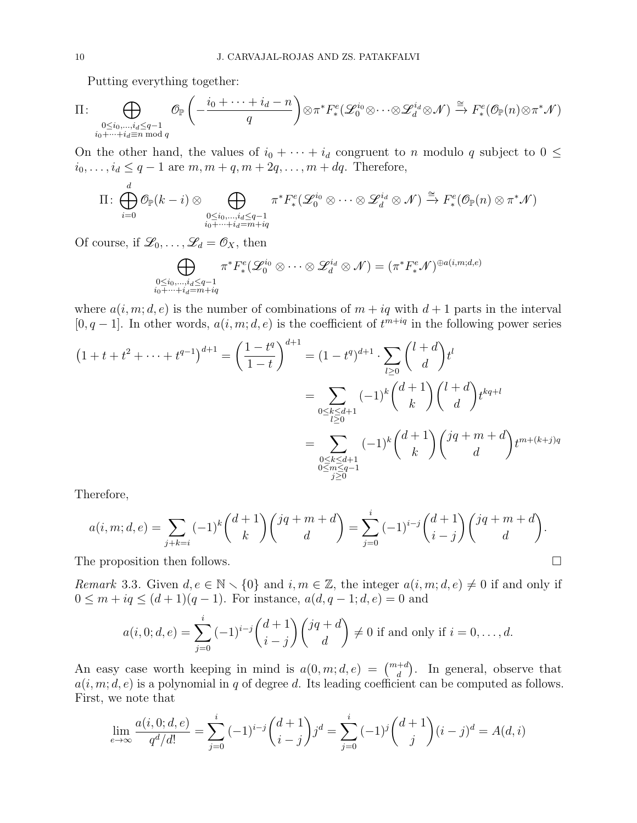Putting everything together:

$$
\Pi: \bigoplus_{\substack{0 \leq i_0, \ldots, i_d \leq q-1 \\ i_0 + \cdots + i_d \equiv n \bmod q}} \mathcal{O}_{\mathbb{P}}\left(-\frac{i_0 + \cdots + i_d - n}{q}\right) \otimes \pi^* F^e_*(\mathcal{L}_0^{i_0} \otimes \cdots \otimes \mathcal{L}_d^{i_d} \otimes \mathcal{N}) \xrightarrow{\cong} F^e_*(\mathcal{O}_{\mathbb{P}}(n) \otimes \pi^* \mathcal{N})
$$

On the other hand, the values of  $i_0 + \cdots + i_d$  congruent to n modulo q subject to  $0 \leq$  $i_0, \ldots, i_d \leq q-1$  are  $m, m+q, m+2q, \ldots, m+dq$ . Therefore,

$$
\Pi\colon \bigoplus_{i=0}^d\mathcal{O}_{\mathbb{P}}(k-i)\otimes \bigoplus_{\substack{0\leq i_0,\ldots,i_d\leq q-1\\i_0+\cdots+i_d=m+iq}}\pi^*F^e_*(\mathcal{L}_0^{i_0}\otimes\cdots\otimes \mathcal{L}_d^{i_d}\otimes \mathcal{N})\xrightarrow{\cong}F^e_*(\mathcal{O}_{\mathbb{P}}(n)\otimes \pi^*\mathcal{N})
$$

Of course, if  $\mathcal{L}_0, \ldots, \mathcal{L}_d = \mathcal{O}_X$ , then

$$
\bigoplus_{\substack{0 \leq i_0, \dots, i_d \leq q-1 \\ i_0 + \dots + i_d = m + iq}} \pi^* F^e_*(\mathscr{L}_0^{i_0} \otimes \dots \otimes \mathscr{L}_d^{i_d} \otimes \mathscr{N}) = (\pi^* F^e_* \mathscr{N})^{\oplus a(i, m; d, e)}
$$

where  $a(i, m; d, e)$  is the number of combinations of  $m + iq$  with  $d + 1$  parts in the interval  $[0, q-1]$ . In other words,  $a(i, m; d, e)$  is the coefficient of  $t^{m+iq}$  in the following power series

$$
(1+t+t^2+\cdots+t^{q-1})^{d+1} = \left(\frac{1-t^q}{1-t}\right)^{d+1} = (1-t^q)^{d+1} \cdot \sum_{l\geq 0} {l+d \choose d} t^l
$$

$$
= \sum_{\substack{0 \leq k \leq d+1 \\ l\geq 0}} (-1)^k {d+1 \choose k} {l+d \choose d} t^{kq+l}
$$

$$
= \sum_{\substack{0 \leq k \leq d+1 \\ 0 \leq m \leq q-1}} (-1)^k {d+1 \choose k} {jq+m+d \choose d} t^{m+(k+j)q}
$$

Therefore,

$$
a(i, m; d, e) = \sum_{j+k=i} (-1)^k {d+1 \choose k} {jq+m+d \choose d} = \sum_{j=0}^i (-1)^{i-j} {d+1 \choose i-j} {jq+m+d \choose d}.
$$

The proposition then follows.

Remark 3.3. Given  $d, e \in \mathbb{N} \setminus \{0\}$  and  $i, m \in \mathbb{Z}$ , the integer  $a(i, m; d, e) \neq 0$  if and only if  $0 \le m + iq \le (d+1)(q-1)$ . For instance,  $a(d, q-1; d, e) = 0$  and

$$
a(i,0;d,e) = \sum_{j=0}^{i} (-1)^{i-j} {d+1 \choose i-j} {jq+d \choose d} \neq 0 \text{ if and only if } i = 0,\ldots,d.
$$

An easy case worth keeping in mind is  $a(0, m; d, e) = {m+d \choose d}$ . In general, observe that  $a(i, m; d, e)$  is a polynomial in q of degree d. Its leading coefficient can be computed as follows. First, we note that

$$
\lim_{e \to \infty} \frac{a(i,0;d,e)}{q^d/d!} = \sum_{j=0}^i (-1)^{i-j} {d+1 \choose i-j} j^d = \sum_{j=0}^i (-1)^j {d+1 \choose j} (i-j)^d = A(d,i)
$$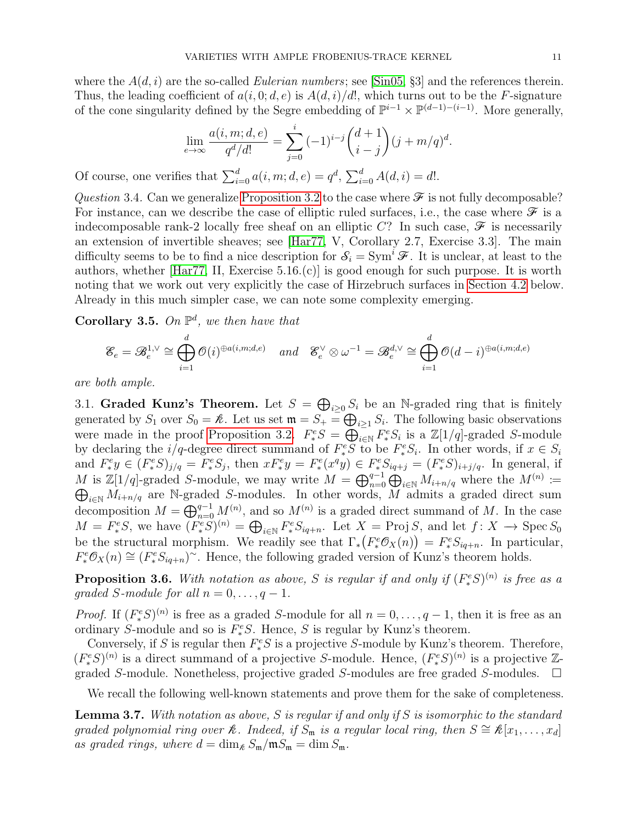where the  $A(d, i)$  are the so-called *Eulerian numbers*; see [\[Sin05,](#page-37-2) §3] and the references therein. Thus, the leading coefficient of  $a(i, 0; d, e)$  is  $A(d, i)/d!$ , which turns out to be the F-signature of the cone singularity defined by the Segre embedding of  $\mathbb{P}^{i-1} \times \mathbb{P}^{(d-1)-(i-1)}$ . More generally,

$$
\lim_{e \to \infty} \frac{a(i, m; d, e)}{q^d/d!} = \sum_{j=0}^i (-1)^{i-j} {d+1 \choose i-j} (j + m/q)^d.
$$

Of course, one verifies that  $\sum_{i=0}^{d} a(i, m; d, e) = q^d$ ,  $\sum_{i=0}^{d} A(d, i) = d!$ .

Question 3.4. Can we generalize [Proposition 3.2](#page-7-0) to the case where  $\mathcal F$  is not fully decomposable? For instance, can we describe the case of elliptic ruled surfaces, i.e., the case where  $\mathscr F$  is a indecomposable rank-2 locally free sheaf on an elliptic C? In such case,  $\mathscr F$  is necessarily an extension of invertible sheaves; see [\[Har77,](#page-36-7) V, Corollary 2.7, Exercise 3.3]. The main difficulty seems to be to find a nice description for  $S_i = \text{Sym}^i \mathcal{F}$ . It is unclear, at least to the authors, whether [\[Har77,](#page-36-7) II, Exercise 5.16.(c)] is good enough for such purpose. It is worth noting that we work out very explicitly the case of Hirzebruch surfaces in [Section 4.2](#page-12-0) below. Already in this much simpler case, we can note some complexity emerging.

Corollary 3.5. On  $\mathbb{P}^d$ , we then have that

$$
\mathcal{E}_e = \mathcal{B}_e^{1,\vee} \cong \bigoplus_{i=1}^d \mathcal{O}(i)^{\oplus a(i,m;d,e)} \quad \text{and} \quad \mathcal{E}_e^{\vee} \otimes \omega^{-1} = \mathcal{B}_e^{d,\vee} \cong \bigoplus_{i=1}^d \mathcal{O}(d-i)^{\oplus a(i,m;d,e)}
$$

are both ample.

<span id="page-10-0"></span>3.1. Graded Kunz's Theorem. Let  $S = \bigoplus_{i \geq 0} S_i$  be an N-graded ring that is finitely generated by  $S_1$  over  $S_0 = \mathcal{R}$ . Let us set  $\mathfrak{m} = S_+ = \bigoplus_{i \geq 1} S_i$ . The following basic observations were made in the proof [Proposition 3.2.](#page-7-0)  $F^e_*S = \bigoplus_{i \in \mathbb{N}}^{\infty} F^e_*S_i$  is a  $\mathbb{Z}[1/q]$ -graded S-module by declaring the  $i/q$ -degree direct summand of  $F^e_*S$  to be  $F^e_*S_i$ . In other words, if  $x \in S_i$ and  $F^e_* y \in (F^e_* S)_{j/q} = F^e_* S_j$ , then  $x F^e_* y = F^e_*(x^q y) \in F^e_* S_{iq+j} = (F^e_* S)_{i+j/q}$ . In general, if M is  $\mathbb{Z}[1/q]$ -graded S-module, we may write  $M = \bigoplus_{n=0}^{q-1} \bigoplus_{i \in \mathbb{N}} M_{i+n/q}$  where the  $M^{(n)}$  $\oplus$ :=  $\widetilde{M}_{i+n/q}$  are N-graded S-modules. In other words, M admits a graded direct sum decomposition  $M = \bigoplus_{n=0}^{q-1} M^{(n)}$ , and so  $M^{(n)}$  is a graded direct summand of M. In the case  $M = F^e_*S$ , we have  $(F^e_*S)^{(n)} = \bigoplus_{i \in \mathbb{N}} F^e_*S_{iq+n}$ . Let  $X = \text{Proj } S$ , and let  $f: X \to \text{Spec } S_0$ be the structural morphism. We readily see that  $\Gamma_*(F_*^e \mathcal{O}_X(n)) = F_*^e S_{iq+n}$ . In particular,  $F_*^e \mathcal{O}_X(n) \cong (F_*^e S_{iq+n})^{\sim}$ . Hence, the following graded version of Kunz's theorem holds.

**Proposition 3.6.** With notation as above, S is regular if and only if  $(F_*^eS)^{(n)}$  is free as a graded S-module for all  $n = 0, \ldots, q - 1$ .

*Proof.* If  $(F^e_*S)^{(n)}$  is free as a graded S-module for all  $n = 0, \ldots, q-1$ , then it is free as an ordinary S-module and so is  $F^e_*S$ . Hence, S is regular by Kunz's theorem.

Conversely, if S is regular then  $F^e_*S$  is a projective S-module by Kunz's theorem. Therefore,  $(F^e_*S)^{(n)}$  is a direct summand of a projective S-module. Hence,  $(F^e_*S)^{(n)}$  is a projective Zgraded S-module. Nonetheless, projective graded S-modules are free graded S-modules.  $\Box$ 

We recall the following well-known statements and prove them for the sake of completeness.

**Lemma 3.7.** With notation as above,  $S$  is regular if and only if  $S$  is isomorphic to the standard graded polynomial ring over  $\mathcal{R}$ . Indeed, if  $S_m$  is a regular local ring, then  $S \cong \mathcal{R}[x_1, \ldots, x_d]$ as graded rings, where  $d = \dim_{\mathcal{E}} S_{\mathfrak{m}} / \mathfrak{m} S_{\mathfrak{m}} = \dim S_{\mathfrak{m}}$ .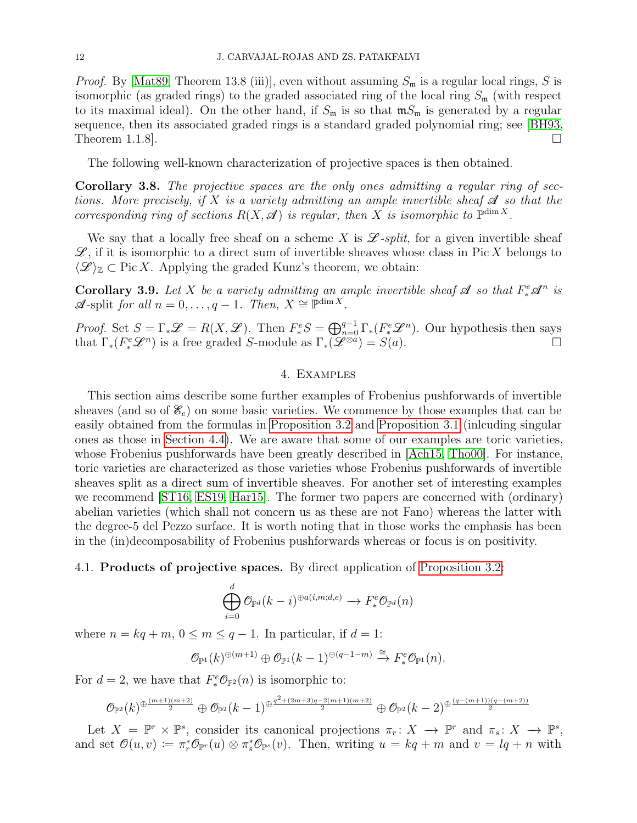*Proof.* By [\[Mat89,](#page-36-8) Theorem 13.8 (iii)], even without assuming  $S_m$  is a regular local rings, S is isomorphic (as graded rings) to the graded associated ring of the local ring  $S_{\rm m}$  (with respect to its maximal ideal). On the other hand, if  $S_m$  is so that  $\mathfrak{m}S_m$  is generated by a regular sequence, then its associated graded rings is a standard graded polynomial ring; see [\[BH93,](#page-35-4) Theorem 1.1.8].  $\Box$ 

The following well-known characterization of projective spaces is then obtained.

Corollary 3.8. The projective spaces are the only ones admitting a regular ring of sections. More precisely, if X is a variety admitting an ample invertible sheaf  $\mathcal A$  so that the corresponding ring of sections  $R(X, \mathcal{A})$  is regular, then X is isomorphic to  $\mathbb{P}^{\dim X}$ .

We say that a locally free sheaf on a scheme X is  $\mathscr{L}\text{-}split$ , for a given invertible sheaf  $\mathscr{L}$ , if it is isomorphic to a direct sum of invertible sheaves whose class in Pic X belongs to  $\langle \mathcal{L} \rangle_{\mathbb{Z}} \subset \text{Pic } X$ . Applying the graded Kunz's theorem, we obtain:

<span id="page-11-0"></span>**Corollary 3.9.** Let X be a variety admitting an ample invertible sheaf  $\mathcal{A}$  so that  $F^e_*\mathcal{A}^n$  is  $\mathscr A$ -split for all  $n = 0, \ldots, q - 1$ . Then,  $X \cong \mathbb P^{\dim X}$ .

*Proof.* Set  $S = \Gamma_* \mathscr{L} = R(X, \mathscr{L})$ . Then  $F^e_* S = \bigoplus_{n=0}^{q-1} \Gamma_*(F^e_* \mathscr{L}^n)$ . Our hypothesis then says that  $\Gamma_*(F^e_*\mathscr{L}^n)$  is a free graded S-module as  $\Gamma_*(\mathscr{L}^{\otimes a}) = S(a)$ .

#### 4. Examples

<span id="page-11-1"></span>This section aims describe some further examples of Frobenius pushforwards of invertible sheaves (and so of  $\mathscr{E}_e$ ) on some basic varieties. We commence by those examples that can be easily obtained from the formulas in [Proposition 3.2](#page-7-0) and [Proposition 3.1](#page-6-1) (inlcuding singular ones as those in [Section 4.4\)](#page-20-0). We are aware that some of our examples are toric varieties, whose Frobenius pushforwards have been greatly described in [\[Ach15,](#page-35-5) [Tho00\]](#page-37-3). For instance, toric varieties are characterized as those varieties whose Frobenius pushforwards of invertible sheaves split as a direct sum of invertible sheaves. For another set of interesting examples we recommend [\[ST16,](#page-37-4) [ES19,](#page-35-6) [Har15\]](#page-36-9). The former two papers are concerned with (ordinary) abelian varieties (which shall not concern us as these are not Fano) whereas the latter with the degree-5 del Pezzo surface. It is worth noting that in those works the emphasis has been in the (in)decomposability of Frobenius pushforwards whereas or focus is on positivity.

### <span id="page-11-2"></span>4.1. Products of projective spaces. By direct application of [Proposition 3.2:](#page-7-0)

$$
\bigoplus_{i=0}^d \mathcal{O}_{\mathbb{P}^d}(k-i)^{\oplus a(i,m;d,e)} \to F^e_* \mathcal{O}_{\mathbb{P}^d}(n)
$$

where  $n = kq + m$ ,  $0 \le m \le q - 1$ . In particular, if  $d = 1$ :

$$
\mathcal{O}_{\mathbb{P}^1}(k)^{\oplus (m+1)}\oplus \mathcal{O}_{\mathbb{P}^1}(k-1)^{\oplus (q-1-m)}\xrightarrow{\cong} F^e_*\mathcal{O}_{\mathbb{P}^1}(n).
$$

For  $d = 2$ , we have that  $F^e_* \mathcal{O}_{\mathbb{P}^2}(n)$  is isomorphic to:

$$
\mathcal{O}_{\mathbb{P}^2}(k)^{\oplus \frac{(m+1)(m+2)}{2}} \oplus \mathcal{O}_{\mathbb{P}^2}(k-1)^{\oplus \frac{q^2 + (2m+3)q - 2(m+1)(m+2)}{2}} \oplus \mathcal{O}_{\mathbb{P}^2}(k-2)^{\oplus \frac{(q - (m+1))(q - (m+2))}{2}}
$$

Let  $X = \mathbb{P}^r \times \mathbb{P}^s$ , consider its canonical projections  $\pi_r \colon X \to \mathbb{P}^r$  and  $\pi_s \colon X \to \mathbb{P}^s$ , and set  $\mathcal{O}(u, v) \coloneqq \pi_r^* \mathcal{O}_{\mathbb{P}^r}(u) \otimes \pi_s^* \mathcal{O}_{\mathbb{P}^s}(v)$ . Then, writing  $u = kq + m$  and  $v = lq + n$  with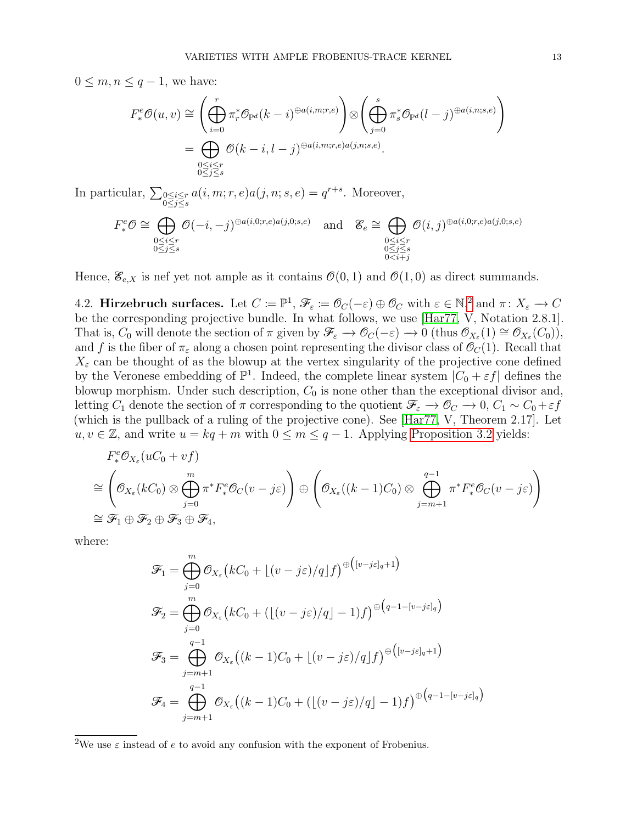$0 \leq m, n \leq q-1$ , we have:

$$
F_*^e \mathcal{O}(u, v) \cong \left( \bigoplus_{i=0}^r \pi_r^* \mathcal{O}_{\mathbb{P}^d}(k-i)^{\oplus a(i,m;r,e)} \right) \otimes \left( \bigoplus_{j=0}^s \pi_s^* \mathcal{O}_{\mathbb{P}^d}(l-j)^{\oplus a(i,n;s,e)} \right)
$$

$$
= \bigoplus_{\substack{0 \le i \le r \\ 0 \le j \le s}} \mathcal{O}(k-i, l-j)^{\oplus a(i,m;r,e)a(j,n;s,e)}.
$$

In particular,  $\sum_{\substack{0 \le i \le r \\ 0 \le j \le s}}$  $a(i, m; r, e) a(j, n; s, e) = q^{r+s}$ . Moreover,

$$
F^e_*\mathcal{O} \cong \bigoplus_{\substack{0 \le i \le r \\ 0 \le j \le s}} \mathcal{O}(-i, -j)^{\oplus a(i, 0; r, e)a(j, 0; s, e)} \quad \text{and} \quad \mathcal{E}_e \cong \bigoplus_{\substack{0 \le i \le r \\ 0 \le j \le s \\ 0 \le i + j}} \mathcal{O}(i, j)^{\oplus a(i, 0; r, e)a(j, 0; s, e)}
$$

Hence,  $\mathscr{E}_{e,X}$  is nef yet not ample as it contains  $\mathcal{O}(0,1)$  and  $\mathcal{O}(1,0)$  as direct summands.

<span id="page-12-0"></span>4.[2](#page-0-0). Hirzebruch surfaces. Let  $C \coloneqq \mathbb{P}^1$ ,  $\mathscr{F}_{\varepsilon} \coloneqq \mathscr{O}_C(-\varepsilon) \oplus \mathscr{O}_C$  with  $\varepsilon \in \mathbb{N}^2$  and  $\pi \colon X_{\varepsilon} \to C$ be the corresponding projective bundle. In what follows, we use [\[Har77,](#page-36-7) V, Notation 2.8.1]. That is,  $C_0$  will denote the section of  $\pi$  given by  $\mathscr{F}_{\varepsilon} \to \mathscr{O}_{C}(-\varepsilon) \to 0$  (thus  $\mathscr{O}_{X_{\varepsilon}}(1) \cong \mathscr{O}_{X_{\varepsilon}}(C_0)$ ), and f is the fiber of  $\pi_{\varepsilon}$  along a chosen point representing the divisor class of  $\mathcal{O}_C(1)$ . Recall that  $X_{\varepsilon}$  can be thought of as the blowup at the vertex singularity of the projective cone defined by the Veronese embedding of  $\mathbb{P}^1$ . Indeed, the complete linear system  $|C_0 + \varepsilon f|$  defines the blowup morphism. Under such description,  $C_0$  is none other than the exceptional divisor and, letting  $C_1$  denote the section of  $\pi$  corresponding to the quotient  $\mathcal{F}_{\varepsilon} \to \mathcal{O}_C \to 0$ ,  $C_1 \sim C_0 + \varepsilon f$ (which is the pullback of a ruling of the projective cone). See [\[Har77,](#page-36-7) V, Theorem 2.17]. Let  $u, v \in \mathbb{Z}$ , and write  $u = kq + m$  with  $0 \leq m \leq q - 1$ . Applying [Proposition 3.2](#page-7-0) yields:

$$
F^e_* \mathcal{O}_{X_\varepsilon}(uC_0 + v f)
$$
  
\n
$$
\cong \left(\mathcal{O}_{X_\varepsilon}(kC_0) \otimes \bigoplus_{j=0}^m \pi^* F^e_* \mathcal{O}_C(v - j\varepsilon)\right) \oplus \left(\mathcal{O}_{X_\varepsilon}((k-1)C_0) \otimes \bigoplus_{j=m+1}^{q-1} \pi^* F^e_* \mathcal{O}_C(v - j\varepsilon)\right)
$$
  
\n
$$
\cong \mathcal{F}_1 \oplus \mathcal{F}_2 \oplus \mathcal{F}_3 \oplus \mathcal{F}_4,
$$

where:

$$
\mathcal{F}_1 = \bigoplus_{j=0}^m \mathcal{O}_{X_{\varepsilon}}(kC_0 + \lfloor (v-j\varepsilon)/q \rfloor f)^{\oplus \left([v-j\varepsilon]_q + 1\right)}
$$
\n
$$
\mathcal{F}_2 = \bigoplus_{j=0}^m \mathcal{O}_{X_{\varepsilon}}(kC_0 + (\lfloor (v-j\varepsilon)/q \rfloor - 1)f)^{\oplus \left(q-1 - \lfloor v-j\varepsilon \rfloor_q\right)}
$$
\n
$$
\mathcal{F}_3 = \bigoplus_{j=m+1}^{q-1} \mathcal{O}_{X_{\varepsilon}}((k-1)C_0 + \lfloor (v-j\varepsilon)/q \rfloor f)^{\oplus \left([v-j\varepsilon]_q + 1\right)}
$$
\n
$$
\mathcal{F}_4 = \bigoplus_{j=m+1}^{q-1} \mathcal{O}_{X_{\varepsilon}}((k-1)C_0 + (\lfloor (v-j\varepsilon)/q \rfloor - 1)f)^{\oplus \left(q-1 - \lfloor v-j\varepsilon \rfloor_q\right)}
$$

<sup>2</sup>We use  $\varepsilon$  instead of e to avoid any confusion with the exponent of Frobenius.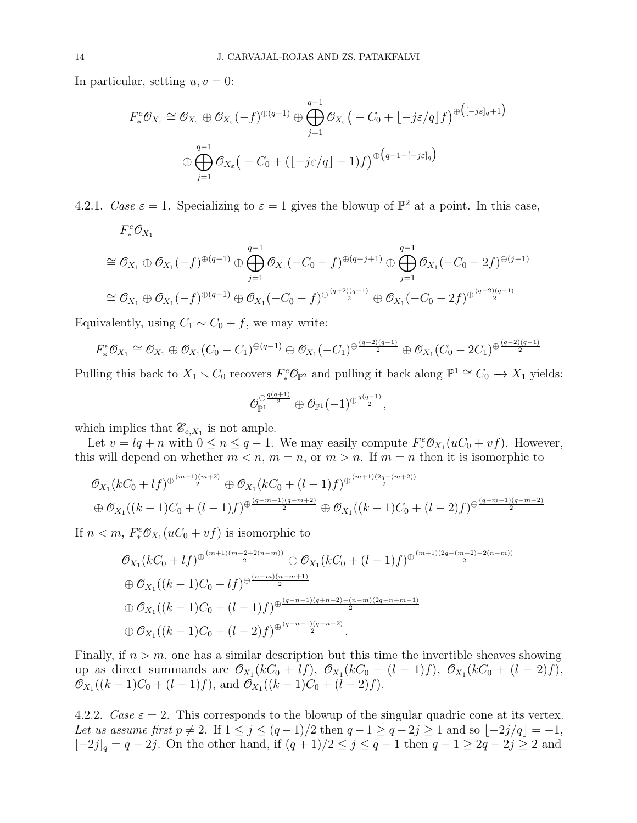In particular, setting  $u, v = 0$ :

$$
F_*^e \mathcal{O}_{X_{\varepsilon}} \cong \mathcal{O}_{X_{\varepsilon}} \oplus \mathcal{O}_{X_{\varepsilon}}(-f)^{\oplus (q-1)} \oplus \bigoplus_{j=1}^{q-1} \mathcal{O}_{X_{\varepsilon}}(-C_0 + \lfloor -j\varepsilon/q \rfloor f)^{\oplus ([-j\varepsilon]_q+1)}
$$
  

$$
\oplus \bigoplus_{j=1}^{q-1} \mathcal{O}_{X_{\varepsilon}}(-C_0 + (\lfloor -j\varepsilon/q \rfloor - 1)f)^{\oplus (q-1-[-j\varepsilon]_q)}
$$

4.2.1. Case  $\varepsilon = 1$ . Specializing to  $\varepsilon = 1$  gives the blowup of  $\mathbb{P}^2$  at a point. In this case,  $F^e_*\mathcal{O}_{X_1}$ 

$$
\cong \mathcal{O}_{X_1} \oplus \mathcal{O}_{X_1}(-f)^{\oplus (q-1)} \oplus \bigoplus_{j=1}^{q-1} \mathcal{O}_{X_1}(-C_0 - f)^{\oplus (q-j+1)} \oplus \bigoplus_{j=1}^{q-1} \mathcal{O}_{X_1}(-C_0 - 2f)^{\oplus (j-1)}
$$

$$
\cong \mathcal{O}_{X_1} \oplus \mathcal{O}_{X_1}(-f)^{\oplus (q-1)} \oplus \mathcal{O}_{X_1}(-C_0 - f)^{\oplus \frac{(q+2)(q-1)}{2}} \oplus \mathcal{O}_{X_1}(-C_0 - 2f)^{\oplus \frac{(q-2)(q-1)}{2}}
$$

Equivalently, using  $C_1 \sim C_0 + f$ , we may write:

$$
F_*^e \mathcal{O}_{X_1} \cong \mathcal{O}_{X_1} \oplus \mathcal{O}_{X_1} (C_0 - C_1)^{\oplus (q-1)} \oplus \mathcal{O}_{X_1} (-C_1)^{\oplus \frac{(q+2)(q-1)}{2}} \oplus \mathcal{O}_{X_1} (C_0 - 2C_1)^{\oplus \frac{(q-2)(q-1)}{2}}
$$

Pulling this back to  $X_1 \setminus C_0$  recovers  $F^e_*\mathcal{O}_{\mathbb{P}^2}$  and pulling it back along  $\mathbb{P}^1 \cong C_0 \to X_1$  yields:

$$
\mathcal{O}_{\mathbb{P}^{1}}^{\oplus \frac{q(q+1)}{2}} \oplus \mathcal{O}_{\mathbb{P}^{1}}(-1)^{\oplus \frac{q(q-1)}{2}},
$$

which implies that  $\mathscr{E}_{e,X_1}$  is not ample.

Let  $v = lq + n$  with  $0 \le n \le q - 1$ . We may easily compute  $F_*^e \mathcal{O}_{X_1}(uC_0 + v f)$ . However, this will depend on whether  $m < n$ ,  $m = n$ , or  $m > n$ . If  $m = n$  then it is isomorphic to

$$
\begin{aligned} &\mathcal{O}_{X_1}(k_0 + l f)^{\oplus \frac{(m+1)(m+2)}{2}} \oplus \mathcal{O}_{X_1}(k_0 + (l-1)f)^{\oplus \frac{(m+1)(2q - (m+2))}{2}} \\ &\oplus \mathcal{O}_{X_1}((k-1)C_0 + (l-1)f)^{\oplus \frac{(q-m-1)(q+m+2)}{2}} \oplus \mathcal{O}_{X_1}((k-1)C_0 + (l-2)f)^{\oplus \frac{(q-m-1)(q-m-2)}{2}} \end{aligned}
$$

If  $n < m$ ,  $F_*^e \mathcal{O}_{X_1}(uC_0 + vf)$  is isomorphic to

$$
\mathcal{O}_{X_1}(kC_0 + lf)^{\oplus \frac{(m+1)(m+2+2(n-m))}{2}} \oplus \mathcal{O}_{X_1}(kC_0 + (l-1)f)^{\oplus \frac{(m+1)(2q-(m+2)-2(n-m))}{2}}
$$
  

$$
\oplus \mathcal{O}_{X_1}((k-1)C_0 + lf)^{\oplus \frac{(n-m)(n-m+1)}{2}}
$$
  

$$
\oplus \mathcal{O}_{X_1}((k-1)C_0 + (l-1)f)^{\oplus \frac{(q-n-1)(q+n+2)-(n-m)(2q-n+m-1)}{2}}
$$
  

$$
\oplus \mathcal{O}_{X_1}((k-1)C_0 + (l-2)f)^{\oplus \frac{(q-n-1)(q-n-2)}{2}}.
$$

Finally, if  $n > m$ , one has a similar description but this time the invertible sheaves showing up as direct summands are  $\mathcal{O}_{X_1}(k_0 + l_1), \mathcal{O}_{X_1}(k_0 + (l-1)l), \mathcal{O}_{X_1}(k_0 + (l-2)l)$ ,  $\mathcal{O}_{X_1}((k-1)C_0 + (l-1)f)$ , and  $\mathcal{O}_{X_1}((k-1)C_0 + (l-2)f)$ .

4.2.2. Case  $\varepsilon = 2$ . This corresponds to the blowup of the singular quadric cone at its vertex. Let us assume first  $p \neq 2$ . If  $1 \leq j \leq (q-1)/2$  then  $q-1 \geq q-2j \geq 1$  and so  $[-2j/q] = -1$ ,  $[-2j]_q = q - 2j$ . On the other hand, if  $(q + 1)/2 \le j \le q - 1$  then  $q - 1 \ge 2q - 2j \ge 2$  and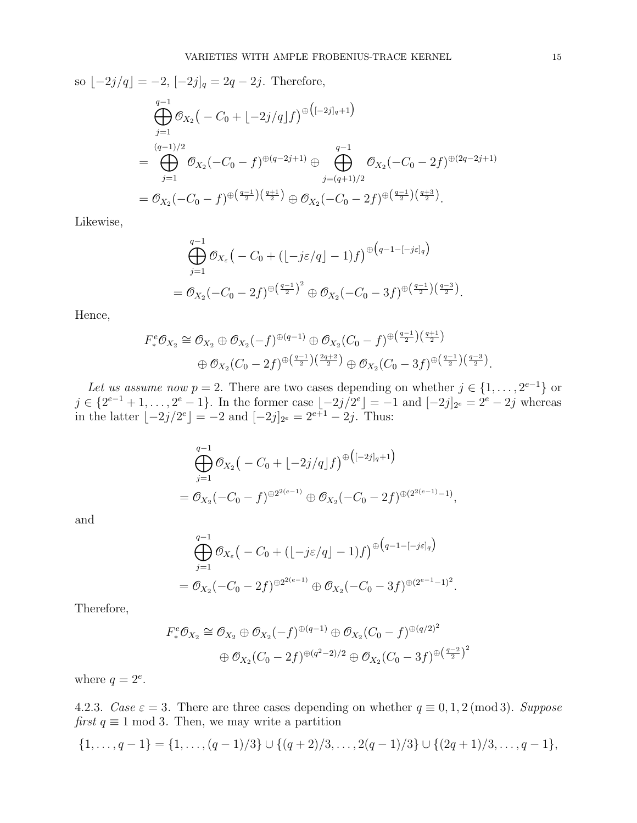so  $[-2j/q] = -2$ ,  $[-2j]_q = 2q - 2j$ . Therefore,  $\bigoplus$  $q-1$  $j=1$  $\mathscr{O}_{X_2}\big(-C_0+\lfloor -2j/q \rfloor f\big)^{\oplus \big(\lbrack -2j \rbrack_q+1\big)}$ =  $\overbrace{)}^{(q-1)/2}$  $j=1$  $\mathscr{O}_{X_2}(-C_0-f)^{\oplus (q-2j+1)}\oplus$  $q-1$  $j=(q+1)/2$  $\mathcal{O}_{X_2}(-C_0-2f)^{\oplus (2q-2j+1)}$  $=\mathcal{O}_{X_2}(-C_0-f)^{\oplus \left(\frac{q-1}{2}\right)\left(\frac{q+1}{2}\right)}\oplus \mathcal{O}_{X_2}(-C_0-2f)^{\oplus \left(\frac{q-1}{2}\right)\left(\frac{q+3}{2}\right)}.$ 

Likewise,

$$
\bigoplus_{j=1}^{q-1} \mathcal{O}_{X_{\varepsilon}}\big(-C_0 + (\lfloor -j\varepsilon/q \rfloor - 1)f\big)^{\oplus \big(q-1-[-j\varepsilon]_q\big)} \n= \mathcal{O}_{X_2}(-C_0 - 2f)^{\oplus \big(\frac{q-1}{2}\big)^2} \oplus \mathcal{O}_{X_2}(-C_0 - 3f)^{\oplus \big(\frac{q-1}{2}\big)\big(\frac{q-3}{2}\big)}.
$$

Hence,

$$
F_*^e \mathcal{O}_{X_2} \cong \mathcal{O}_{X_2} \oplus \mathcal{O}_{X_2}(-f)^{\oplus (q-1)} \oplus \mathcal{O}_{X_2}(C_0 - f)^{\oplus \left(\frac{q-1}{2}\right)\left(\frac{q+1}{2}\right)} \oplus \mathcal{O}_{X_2}(C_0 - 2f)^{\oplus \left(\frac{q-1}{2}\right)\left(\frac{2q+2}{2}\right)} \oplus \mathcal{O}_{X_2}(C_0 - 3f)^{\oplus \left(\frac{q-1}{2}\right)\left(\frac{q-3}{2}\right)}.
$$

Let us assume now  $p = 2$ . There are two cases depending on whether  $j \in \{1, \ldots, 2^{e-1}\}\$  or  $j \in \{2^{e-1}+1,\ldots,2^e-1\}$ . In the former case  $\lfloor -2j/2^e \rfloor = -1$  and  $\lfloor -2j \rfloor_{2^e} = 2^e - 2j$  whereas in the latter  $\lfloor -2j/2^e \rfloor = -2$  and  $\lfloor -2j \rfloor_{2^e} = 2^{e+1} - 2j$ . Thus:

$$
\bigoplus_{j=1}^{q-1} \mathcal{O}_{X_2}(-C_0 + \lfloor -2j/q \rfloor f)^{\oplus ([-2j]_q + 1)}
$$
  
=  $\mathcal{O}_{X_2}(-C_0 - f)^{\oplus 2^{2(e-1)}} \oplus \mathcal{O}_{X_2}(-C_0 - 2f)^{\oplus (2^{2(e-1)}-1)},$ 

and

$$
\bigoplus_{j=1}^{q-1} \mathcal{O}_{X_{\varepsilon}}(-C_0 + (\lfloor -j\varepsilon/q \rfloor - 1)f)^{\oplus (q-1 - \lfloor -j\varepsilon \rfloor_q)}
$$
\n
$$
= \mathcal{O}_{X_2}(-C_0 - 2f)^{\oplus 2^{2(\varepsilon - 1)}} \oplus \mathcal{O}_{X_2}(-C_0 - 3f)^{\oplus (2^{\varepsilon - 1} - 1)^2}
$$

.

Therefore,

$$
F_*^e \mathcal{O}_{X_2} \cong \mathcal{O}_{X_2} \oplus \mathcal{O}_{X_2}(-f)^{\oplus (q-1)} \oplus \mathcal{O}_{X_2}(C_0 - f)^{\oplus (q/2)^2}
$$
  

$$
\oplus \mathcal{O}_{X_2}(C_0 - 2f)^{\oplus (q^2 - 2)/2} \oplus \mathcal{O}_{X_2}(C_0 - 3f)^{\oplus (\frac{q-2}{2})^2}
$$

where  $q = 2^e$ .

4.2.3. Case  $\varepsilon = 3$ . There are three cases depending on whether  $q \equiv 0, 1, 2 \pmod{3}$ . Suppose first  $q \equiv 1 \mod 3$ . Then, we may write a partition

$$
\{1,\ldots,q-1\} = \{1,\ldots,(q-1)/3\} \cup \{(q+2)/3,\ldots,2(q-1)/3\} \cup \{(2q+1)/3,\ldots,q-1\},\
$$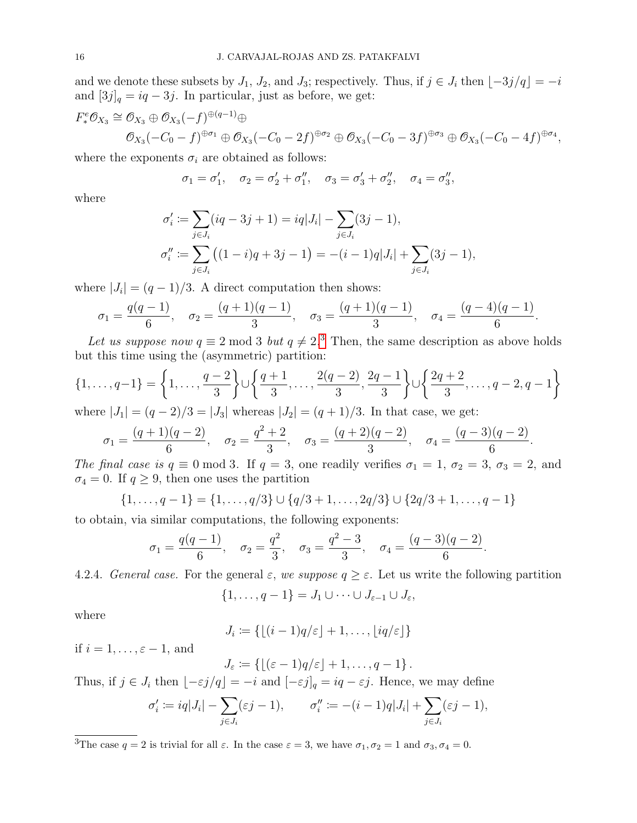and we denote these subsets by  $J_1$ ,  $J_2$ , and  $J_3$ ; respectively. Thus, if  $j \in J_i$  then  $[-3j/q] = -i$ and  $[3j]_q = iq - 3j$ . In particular, just as before, we get:

$$
F^e_* \mathcal{O}_{X_3} \cong \mathcal{O}_{X_3} \oplus \mathcal{O}_{X_3}(-f)^{\oplus (q-1)} \oplus
$$
  

$$
\mathcal{O}_{X_3}(-C_0 - f)^{\oplus \sigma_1} \oplus \mathcal{O}_{X_3}(-C_0 - 2f)^{\oplus \sigma_2} \oplus \mathcal{O}_{X_3}(-C_0 - 3f)^{\oplus \sigma_3} \oplus \mathcal{O}_{X_3}(-C_0 - 4f)^{\oplus \sigma_4},
$$

where the exponents  $\sigma_i$  are obtained as follows:

$$
\sigma_1 = \sigma'_1, \quad \sigma_2 = \sigma'_2 + \sigma''_1, \quad \sigma_3 = \sigma'_3 + \sigma''_2, \quad \sigma_4 = \sigma''_3,
$$

where

$$
\sigma'_i := \sum_{j \in J_i} (iq - 3j + 1) = iq|J_i| - \sum_{j \in J_i} (3j - 1),
$$
  

$$
\sigma''_i := \sum_{j \in J_i} ((1 - i)q + 3j - 1) = -(i - 1)q|J_i| + \sum_{j \in J_i} (3j - 1),
$$

where  $|J_i| = (q-1)/3$ . A direct computation then shows:

$$
\sigma_1 = \frac{q(q-1)}{6}, \quad \sigma_2 = \frac{(q+1)(q-1)}{3}, \quad \sigma_3 = \frac{(q+1)(q-1)}{3}, \quad \sigma_4 = \frac{(q-4)(q-1)}{6}.
$$

Let us suppose now  $q \equiv 2 \mod 3$  $q \equiv 2 \mod 3$  but  $q \neq 2$ .<sup>3</sup> Then, the same description as above holds but this time using the (asymmetric) partition:

$$
\{1, \ldots, q-1\} = \left\{1, \ldots, \frac{q-2}{3}\right\} \cup \left\{\frac{q+1}{3}, \ldots, \frac{2(q-2)}{3}, \frac{2q-1}{3}\right\} \cup \left\{\frac{2q+2}{3}, \ldots, q-2, q-1\right\}
$$

where  $|J_1| = (q-2)/3 = |J_3|$  whereas  $|J_2| = (q+1)/3$ . In that case, we get:

$$
\sigma_1 = \frac{(q+1)(q-2)}{6}
$$
,  $\sigma_2 = \frac{q^2+2}{3}$ ,  $\sigma_3 = \frac{(q+2)(q-2)}{3}$ ,  $\sigma_4 = \frac{(q-3)(q-2)}{6}$ .

The final case is  $q \equiv 0 \mod 3$ . If  $q = 3$ , one readily verifies  $\sigma_1 = 1$ ,  $\sigma_2 = 3$ ,  $\sigma_3 = 2$ , and  $\sigma_4 = 0$ . If  $q \geq 9$ , then one uses the partition

$$
\{1, \ldots, q-1\} = \{1, \ldots, q/3\} \cup \{q/3+1, \ldots, 2q/3\} \cup \{2q/3+1, \ldots, q-1\}
$$

to obtain, via similar computations, the following exponents:

$$
\sigma_1 = \frac{q(q-1)}{6}, \quad \sigma_2 = \frac{q^2}{3}, \quad \sigma_3 = \frac{q^2-3}{3}, \quad \sigma_4 = \frac{(q-3)(q-2)}{6}
$$

.

4.2.4. General case. For the general  $\varepsilon$ , we suppose  $q \geq \varepsilon$ . Let us write the following partition

$$
\{1,\ldots,q-1\}=J_1\cup\cdots\cup J_{\varepsilon-1}\cup J_{\varepsilon},
$$

where

$$
J_i := \{ \lfloor (i-1)q/\varepsilon \rfloor + 1, \ldots, \lfloor iq/\varepsilon \rfloor \}
$$

if 
$$
i = 1, ..., \varepsilon - 1
$$
, and

$$
J_{\varepsilon} \coloneqq \left\{ \lfloor (\varepsilon - 1)q/\varepsilon \rfloor + 1, \ldots, q - 1 \right\}.
$$

Thus, if  $j \in J_i$  then  $\lfloor -\varepsilon j/q \rfloor = -i$  and  $[-\varepsilon j]_q = iq - \varepsilon j$ . Hence, we may define

$$
\sigma'_i := iq|J_i| - \sum_{j \in J_i} (\varepsilon j - 1), \qquad \sigma''_i := -(i - 1)q|J_i| + \sum_{j \in J_i} (\varepsilon j - 1),
$$

 $\overline{3}$ The case  $q = 2$  is trivial for all  $\varepsilon$ . In the case  $\varepsilon = 3$ , we have  $\sigma_1, \sigma_2 = 1$  and  $\sigma_3, \sigma_4 = 0$ .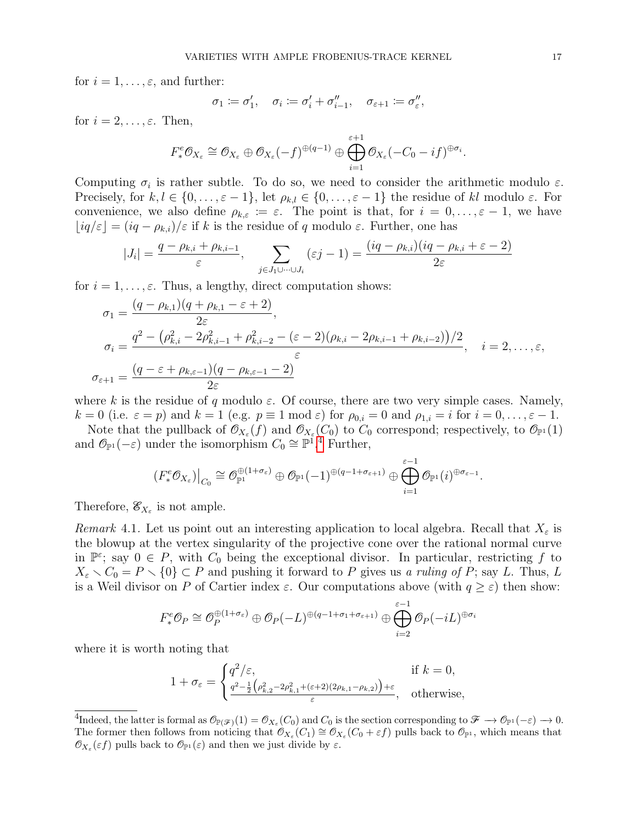for  $i = 1, \ldots, \varepsilon$ , and further:

$$
\sigma_1 \coloneqq \sigma'_1, \quad \sigma_i \coloneqq \sigma'_i + \sigma''_{i-1}, \quad \sigma_{\varepsilon+1} \coloneqq \sigma''_{\varepsilon},
$$

for  $i = 2, \ldots, \varepsilon$ . Then,

$$
F^e_* \mathcal{O}_{X_{\varepsilon}} \cong \mathcal{O}_{X_{\varepsilon}} \oplus \mathcal{O}_{X_{\varepsilon}}(-f)^{\oplus (q-1)} \oplus \bigoplus_{i=1}^{\varepsilon+1} \mathcal{O}_{X_{\varepsilon}}(-C_0 - if)^{\oplus \sigma_i}.
$$

Computing  $\sigma_i$  is rather subtle. To do so, we need to consider the arithmetic modulo  $\varepsilon$ . Precisely, for  $k, l \in \{0, \ldots, \varepsilon - 1\}$ , let  $\rho_{k,l} \in \{0, \ldots, \varepsilon - 1\}$  the residue of kl modulo  $\varepsilon$ . For convenience, we also define  $\rho_{k,\varepsilon} := \varepsilon$ . The point is that, for  $i = 0, \ldots, \varepsilon - 1$ , we have  $[iq/\varepsilon] = (iq - \rho_{k,i})/\varepsilon$  if k is the residue of q modulo  $\varepsilon$ . Further, one has

$$
|J_i| = \frac{q - \rho_{k,i} + \rho_{k,i-1}}{\varepsilon}, \quad \sum_{j \in J_1 \cup \dots \cup J_i} (\varepsilon j - 1) = \frac{(iq - \rho_{k,i})(iq - \rho_{k,i} + \varepsilon - 2)}{2\varepsilon}
$$

for  $i = 1, \ldots, \varepsilon$ . Thus, a lengthy, direct computation shows:

$$
\sigma_1 = \frac{(q - \rho_{k,1})(q + \rho_{k,1} - \varepsilon + 2)}{2\varepsilon},
$$
\n
$$
\sigma_i = \frac{q^2 - (\rho_{k,i}^2 - 2\rho_{k,i-1}^2 + \rho_{k,i-2}^2 - (\varepsilon - 2)(\rho_{k,i} - 2\rho_{k,i-1} + \rho_{k,i-2}))/2}{\varepsilon}, \quad i = 2, \dots, \varepsilon,
$$
\n
$$
\sigma_{\varepsilon+1} = \frac{(q - \varepsilon + \rho_{k,\varepsilon-1})(q - \rho_{k,\varepsilon-1} - 2)}{2\varepsilon}
$$

where k is the residue of q modulo  $\varepsilon$ . Of course, there are two very simple cases. Namely,  $k = 0$  (i.e.  $\varepsilon = p$ ) and  $k = 1$  (e.g.  $p \equiv 1 \mod \varepsilon$ ) for  $\rho_{0,i} = 0$  and  $\rho_{1,i} = i$  for  $i = 0, \ldots, \varepsilon - 1$ .

Note that the pullback of  $\mathcal{O}_{X_{\varepsilon}}(f)$  and  $\mathcal{O}_{X_{\varepsilon}}(C_0)$  to  $C_0$  correspond; respectively, to  $\mathcal{O}_{\mathbb{P}^1}(1)$ and  $\mathcal{O}_{\mathbb{P}^1}(-\varepsilon)$  under the isomorphism  $C_0 \cong \mathbb{P}^1$ .<sup>[4](#page-0-0)</sup> Further,

$$
(F^e_*\mathcal{O}_{X_{\varepsilon}})\big|_{C_0}\cong \mathcal{O}_{\mathbb{P}^1}^{\oplus (1+\sigma_{\varepsilon})}\oplus \mathcal{O}_{\mathbb{P}^1}(-1)^{\oplus (q-1+\sigma_{\varepsilon+1})}\oplus\bigoplus_{i=1}^{\varepsilon-1}\mathcal{O}_{\mathbb{P}^1}(i)^{\oplus \sigma_{\varepsilon-1}}.
$$

Therefore,  $\mathcal{E}_{X_{\varepsilon}}$  is not ample.

<span id="page-16-0"></span>Remark 4.1. Let us point out an interesting application to local algebra. Recall that  $X_{\varepsilon}$  is the blowup at the vertex singularity of the projective cone over the rational normal curve in  $\mathbb{P}^{\varepsilon}$ ; say  $0 \in P$ , with  $C_0$  being the exceptional divisor. In particular, restricting f to  $X_{\varepsilon} \setminus C_0 = P \setminus \{0\} \subset P$  and pushing it forward to P gives us a ruling of P; say L. Thus, L is a Weil divisor on P of Cartier index  $\varepsilon$ . Our computations above (with  $q \geq \varepsilon$ ) then show:

$$
F^e_* \mathcal{O}_P \cong \mathcal{O}_P^{\oplus (1+\sigma_{\varepsilon})} \oplus \mathcal{O}_P(-L)^{\oplus (q-1+\sigma_1+\sigma_{\varepsilon+1})} \oplus \bigoplus_{i=2}^{\varepsilon-1} \mathcal{O}_P(-iL)^{\oplus \sigma_i}
$$

where it is worth noting that

$$
1 + \sigma_{\varepsilon} = \begin{cases} q^2/\varepsilon, & \text{if } k = 0, \\ \frac{q^2 - \frac{1}{2} \left( \rho_{k,2}^2 - 2\rho_{k,1}^2 + (\varepsilon + 2)(2\rho_{k,1} - \rho_{k,2}) \right) + \varepsilon}{\varepsilon}, & \text{otherwise,} \end{cases}
$$

 ${}^{4}\text{Indeed, the latter is formal as }\mathcal{O}_{\mathbb{P}(\mathscr{F})}(1)=\mathcal{O}_{X_{\varepsilon}}(C_{0})\text{ and }C_{0}\text{ is the section corresponding to }\mathscr{F}\longrightarrow\mathcal{O}_{\mathbb{P}^{1}}(-\varepsilon)\longrightarrow0.$ The former then follows from noticing that  $\mathcal{O}_{X_{\varepsilon}}(C_1) \cong \mathcal{O}_{X_{\varepsilon}}(C_0 + \varepsilon f)$  pulls back to  $\mathcal{O}_{\mathbb{P}^1}$ , which means that  $\mathcal{O}_{X_{\varepsilon}}(\varepsilon f)$  pulls back to  $\mathcal{O}_{\mathbb{P}^1}(\varepsilon)$  and then we just divide by  $\varepsilon$ .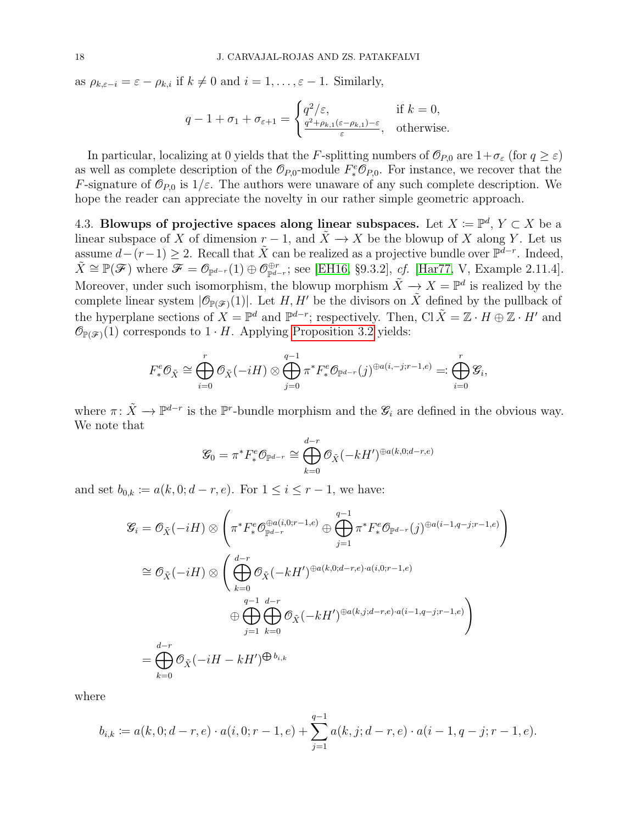as  $\rho_{k,\varepsilon-i} = \varepsilon - \rho_{k,i}$  if  $k \neq 0$  and  $i = 1, \ldots, \varepsilon - 1$ . Similarly,

$$
q - 1 + \sigma_1 + \sigma_{\varepsilon+1} = \begin{cases} q^2/\varepsilon, & \text{if } k = 0, \\ \frac{q^2 + \rho_{k,1}(\varepsilon - \rho_{k,1}) - \varepsilon}{\varepsilon}, & \text{otherwise.} \end{cases}
$$

In particular, localizing at 0 yields that the F-splitting numbers of  $\mathcal{O}_{P,0}$  are  $1+\sigma_{\varepsilon}$  (for  $q \geq \varepsilon$ ) as well as complete description of the  $\mathcal{O}_{P,0}$ -module  $F_*^e \mathcal{O}_{P,0}$ . For instance, we recover that the F-signature of  $\mathcal{O}_{P,0}$  is  $1/\varepsilon$ . The authors were unaware of any such complete description. We hope the reader can appreciate the novelty in our rather simple geometric approach.

4.3. Blowups of projective spaces along linear subspaces. Let  $X := \mathbb{P}^d$ ,  $Y \subset X$  be a linear subspace of X of dimension  $r-1$ , and  $\tilde{X} \to X$  be the blowup of X along Y. Let us assume  $d-(r-1) \geq 2$ . Recall that  $\tilde{X}$  can be realized as a projective bundle over  $\mathbb{P}^{d-r}$ . Indeed,  $\tilde{X} \cong \mathbb{P}(\mathscr{F})$  where  $\mathscr{F} = \mathcal{O}_{\mathbb{P}^{d-r}}(1) \oplus \mathcal{O}_{\mathbb{P}^{d-r}}^{\oplus r}$ ; see [\[EH16,](#page-35-7) §9.3.2], cf. [\[Har77,](#page-36-7) V, Example 2.11.4]. Moreover, under such isomorphism, the blowup morphism  $\tilde{X} \to X = \mathbb{P}^d$  is realized by the complete linear system  $|\mathcal{O}_{\mathbb{P}(\mathscr{F})}(1)|$ . Let H, H' be the divisors on  $\tilde{X}$  defined by the pullback of the hyperplane sections of  $X = \mathbb{P}^d$  and  $\mathbb{P}^{d-r}$ ; respectively. Then, Cl  $\tilde{X} = \mathbb{Z} \cdot H \oplus \mathbb{Z} \cdot H'$  and  $\mathcal{O}_{\mathbb{P}(\mathscr{F})}(1)$  corresponds to  $1 \cdot H$ . Applying [Proposition 3.2](#page-7-0) yields:

$$
F^e_*\mathcal{O}_{\tilde{X}} \cong \bigoplus_{i=0}^r \mathcal{O}_{\tilde{X}}(-iH) \otimes \bigoplus_{j=0}^{q-1} \pi^* F^e_* \mathcal{O}_{\mathbb{P}^{d-r}}(j)^{\oplus a(i,-j;r-1,e)} =: \bigoplus_{i=0}^r \mathcal{G}_i,
$$

where  $\pi: \tilde{X} \to \mathbb{P}^{d-r}$  is the  $\mathbb{P}^r$ -bundle morphism and the  $\mathscr{G}_i$  are defined in the obvious way. We note that

$$
\mathcal{G}_0 = \pi^* F^e_* \mathcal{O}_{\mathbb{P}^{d-r}} \cong \bigoplus_{k=0}^{d-r} \mathcal{O}_{\tilde{X}}(-kH')^{\oplus a(k,0;d-r,e)}
$$

and set  $b_{0,k} := a(k, 0; d-r, e)$ . For  $1 \le i \le r - 1$ , we have:

$$
\mathcal{G}_{i} = \mathcal{O}_{\tilde{X}}(-iH) \otimes \left(\pi^{*}F^{e}_{*}\mathcal{O}^{\oplus a(i,0;r-1,e)}_{\mathbb{P}^{d-r}} \oplus \bigoplus_{j=1}^{q-1} \pi^{*}F^{e}_{*}\mathcal{O}_{\mathbb{P}^{d-r}}(j)^{\oplus a(i-1,q-j;r-1,e)}\right)
$$

$$
\cong \mathcal{O}_{\tilde{X}}(-iH) \otimes \left(\bigoplus_{k=0}^{d-r} \mathcal{O}_{\tilde{X}}(-kH')^{\oplus a(k,0;d-r,e)\cdot a(i,0;r-1,e)}\oplus \bigoplus_{j=1}^{q-1} \bigoplus_{k=0}^{d-r} \mathcal{O}_{\tilde{X}}(-kH')^{\oplus a(k,j;d-r,e)\cdot a(i-1,q-j;r-1,e)}\right)
$$

$$
= \bigoplus_{k=0}^{d-r} \mathcal{O}_{\tilde{X}}(-iH - kH')^{\bigoplus b_{i,k}}
$$

where

$$
b_{i,k} := a(k,0;d-r,e) \cdot a(i,0;r-1,e) + \sum_{j=1}^{q-1} a(k,j;d-r,e) \cdot a(i-1,q-j;r-1,e).
$$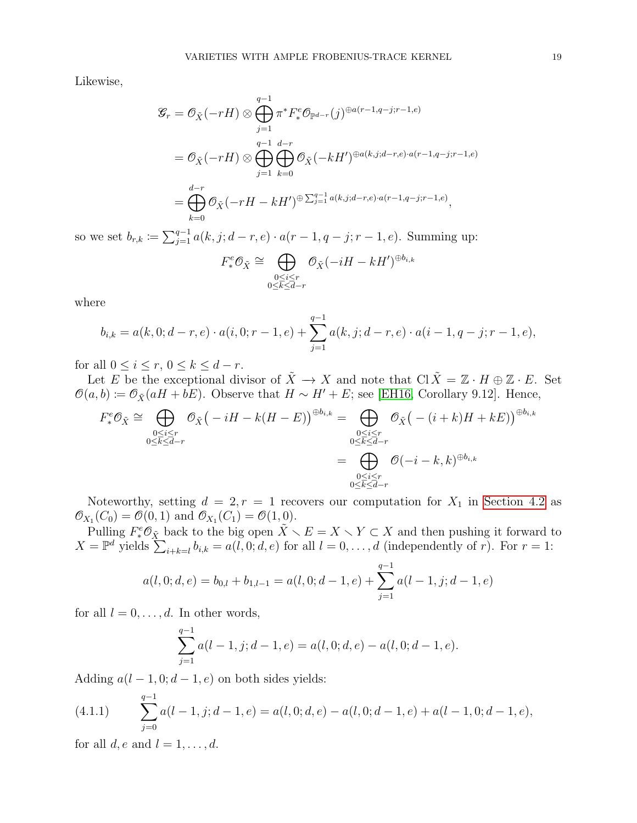Likewise,

$$
\mathcal{G}_r = \mathcal{O}_{\tilde{X}}(-rH) \otimes \bigoplus_{j=1}^{q-1} \pi^* F^e_* \mathcal{O}_{\mathbb{P}^{d-r}}(j)^{\oplus a(r-1,q-j;r-1,e)}
$$
  
=  $\mathcal{O}_{\tilde{X}}(-rH) \otimes \bigoplus_{j=1}^{q-1} \bigoplus_{k=0}^{d-r} \mathcal{O}_{\tilde{X}}(-kH')^{\oplus a(k,j;d-r,e)\cdot a(r-1,q-j;r-1,e)}$   
=  $\bigoplus_{k=0}^{d-r} \mathcal{O}_{\tilde{X}}(-rH - kH')^{\oplus \sum_{j=1}^{q-1} a(k,j;d-r,e)\cdot a(r-1,q-j;r-1,e)},$ 

so we set  $b_{r,k} := \sum_{j=1}^{q-1} a(k, j; d-r, e) \cdot a(r-1, q-j; r-1, e)$ . Summing up:

$$
F^e_* \mathcal{O}_{\tilde{X}} \cong \bigoplus_{\substack{0 \le i \le r \\ 0 \le k \le d-r}} \mathcal{O}_{\tilde{X}}(-iH - kH')^{\oplus b_{i,k}}
$$

where

$$
b_{i,k} = a(k,0;d-r,e) \cdot a(i,0;r-1,e) + \sum_{j=1}^{q-1} a(k,j;d-r,e) \cdot a(i-1,q-j;r-1,e),
$$

for all  $0 \leq i \leq r, 0 \leq k \leq d-r$ .

Let E be the exceptional divisor of  $\tilde{X} \to X$  and note that  $\text{Cl } \tilde{X} = \mathbb{Z} \cdot H \oplus \mathbb{Z} \cdot E$ . Set  $\mathcal{O}(a, b) \coloneqq \mathcal{O}_{\tilde{X}}(aH + bE)$ . Observe that  $H \sim H' + E$ ; see [\[EH16,](#page-35-7) Corollary 9.12]. Hence,

$$
F_*^e \mathcal{O}_{\tilde{X}} \cong \bigoplus_{\substack{0 \le i \le r \\ 0 \le k \le d-r}} \mathcal{O}_{\tilde{X}}(-iH - k(H - E))^{\oplus b_{i,k}} = \bigoplus_{\substack{0 \le i \le r \\ 0 \le k \le d-r \\ 0 \le k \le d-r}} \mathcal{O}_{\tilde{X}}(-i+k)H + kE)^{\oplus b_{i,k}}
$$

$$
= \bigoplus_{\substack{0 \le i \le r \\ 0 \le k \le d-r}} \mathcal{O}(-i-k,k)^{\oplus b_{i,k}}
$$

Noteworthy, setting  $d = 2, r = 1$  recovers our computation for  $X_1$  in [Section 4.2](#page-12-0) as  $\mathcal{O}_{X_1}(C_0) = \mathcal{O}(0, 1)$  and  $\mathcal{O}_{X_1}(C_1) = \mathcal{O}(1, 0)$ .

Pulling  $F^e_*\mathcal{O}_{\tilde{X}}$  back to the big open  $\tilde{X} \setminus E = X \setminus Y \subset X$  and then pushing it forward to  $X = \mathbb{P}^d$  yields  $\sum_{i+k=l} b_{i,k} = a(l, 0; d, e)$  for all  $l = 0, \ldots, d$  (independently of r). For  $r = 1$ :

$$
a(l, 0; d, e) = b_{0,l} + b_{1,l-1} = a(l, 0; d-1, e) + \sum_{j=1}^{q-1} a(l-1, j; d-1, e)
$$

for all  $l = 0, \ldots, d$ . In other words,

$$
\sum_{j=1}^{q-1} a(l-1,j;d-1,e) = a(l,0;d,e) - a(l,0;d-1,e).
$$

Adding  $a(l-1, 0; d-1, e)$  on both sides yields:

<span id="page-18-0"></span>(4.1.1) 
$$
\sum_{j=0}^{q-1} a(l-1,j;d-1,e) = a(l,0;d,e) - a(l,0;d-1,e) + a(l-1,0;d-1,e),
$$

for all  $d, e$  and  $l = 1, \ldots, d$ .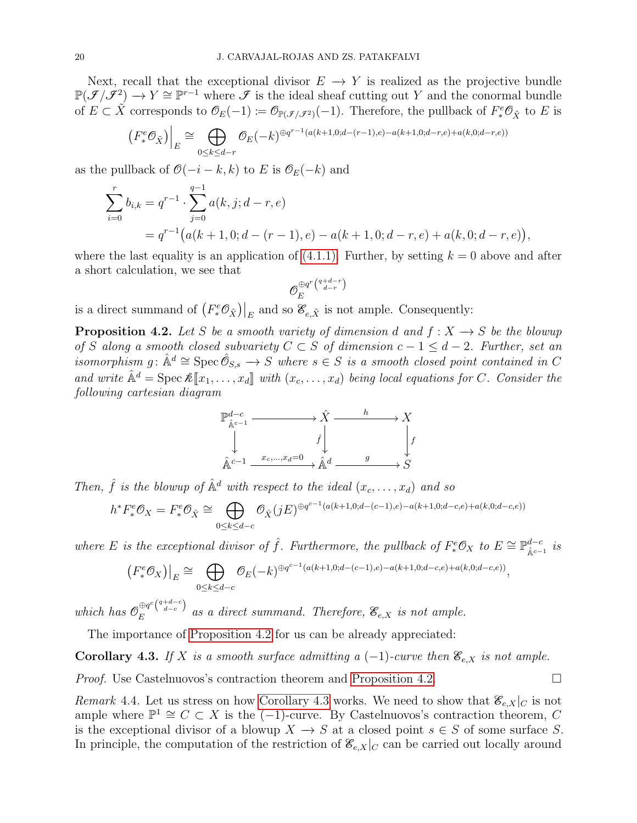Next, recall that the exceptional divisor  $E \to Y$  is realized as the projective bundle  $\mathbb{P}(\mathcal{J}/\mathcal{J}^2) \to Y \cong \mathbb{P}^{r-1}$  where  $\mathcal J$  is the ideal sheaf cutting out Y and the conormal bundle of  $E \subset \tilde{X}$  corresponds to  $\mathcal{O}_E(-1) \coloneqq \mathcal{O}_{\mathbb{P}(\mathcal{J}/\mathcal{J}^2)}(-1)$ . Therefore, the pullback of  $F^e_*\mathcal{O}_{\tilde{X}}$  to E is

$$
\left(F^e_*\mathcal{O}_{\tilde{X}}\right)\Big|_E \cong \bigoplus_{0\leq k\leq d-r} \mathcal{O}_E(-k)^{\oplus q^{r-1}(a(k+1,0;d-(r-1),e)-a(k+1,0;d-r,e)+a(k,0;d-r,e))}
$$

as the pullback of  $\mathcal{O}(-i-k,k)$  to E is  $\mathcal{O}_E(-k)$  and

$$
\sum_{i=0}^{r} b_{i,k} = q^{r-1} \cdot \sum_{j=0}^{q-1} a(k,j;d-r,e)
$$
  
=  $q^{r-1} (a(k+1,0;d-(r-1),e) - a(k+1,0;d-r,e) + a(k,0;d-r,e)),$ 

where the last equality is an application of  $(4.1.1)$ . Further, by setting  $k = 0$  above and after a short calculation, we see that

$$
\mathcal{O}_E^{\oplus q^r\binom{q+d-r}{d-r}}
$$

is a direct summand of  $(F_*^e \mathcal{O}_{\tilde{X}})|_E$  and so  $\mathcal{E}_{e,\tilde{X}}$  is not ample. Consequently:

<span id="page-19-0"></span>**Proposition 4.2.** Let S be a smooth variety of dimension d and  $f: X \rightarrow S$  be the blowup of S along a smooth closed subvariety  $C \subset S$  of dimension  $c - 1 \leq d - 2$ . Further, set an isomorphism g:  $\hat{\mathbb{A}}^d \cong \operatorname{Spec} \hat{\mathcal{O}}_{S,s} \to S$  where  $s \in S$  is a smooth closed point contained in C and write  $\hat{\mathbb{A}}^d = \text{Spec } \mathcal{K}[\![x_1,\ldots,x_d]\!]$  with  $(x_c,\ldots,x_d)$  being local equations for C. Consider the following cartesian diagram



Then,  $\hat{f}$  is the blowup of  $\hat{A}^d$  with respect to the ideal  $(x_c, \ldots, x_d)$  and so

$$
h^* F^e_* \mathcal{O}_X = F^e_* \mathcal{O}_{\hat{X}} \cong \bigoplus_{0 \le k \le d-c} \mathcal{O}_{\hat{X}}(jE)^{\oplus q^{c-1}(a(k+1,0;d-(c-1),e)-a(k+1,0;d-c,e)+a(k,0;d-c,e))}
$$

where E is the exceptional divisor of  $\hat{f}$ . Furthermore, the pullback of  $F_*^e \mathcal{O}_X$  to  $E \cong \mathbb{P}^{d-c}_{\hat{\mathbb{A}}^{c-c}}$  $_{\hat{\mathbb{A}}^{c-1}}^{d-c}$  is

$$
(F^e_* \mathcal{O}_X)\big|_E \cong \bigoplus_{0 \le k \le d-c} \mathcal{O}_E(-k)^{\oplus q^{c-1}(a(k+1,0;d-(c-1),e)-a(k+1,0;d-c,e)+a(k,0;d-c,e))},
$$

which has  $\mathcal{O}_E^{\oplus q^c\binom{q+d-c}{d-c}}$  $\mathcal{E}_E^{\cup q}$  (d-c) as a direct summand. Therefore,  $\mathcal{E}_{e,X}$  is not ample.

The importance of [Proposition 4.2](#page-19-0) for us can be already appreciated:

<span id="page-19-1"></span>Corollary 4.3. If X is a smooth surface admitting a  $(-1)$ -curve then  $\mathcal{E}_{e,X}$  is not ample.

*Proof.* Use Castelnuovos's contraction theorem and [Proposition 4.2.](#page-19-0)

Remark 4.4. Let us stress on how [Corollary 4.3](#page-19-1) works. We need to show that  $\mathscr{E}_{e,X}|_C$  is not ample where  $\mathbb{P}^1 \cong C \subset X$  is the  $(-1)$ -curve. By Castelnuovos's contraction theorem, C is the exceptional divisor of a blowup  $X \to S$  at a closed point  $s \in S$  of some surface S. In principle, the computation of the restriction of  $\mathcal{E}_{e,X}|_C$  can be carried out locally around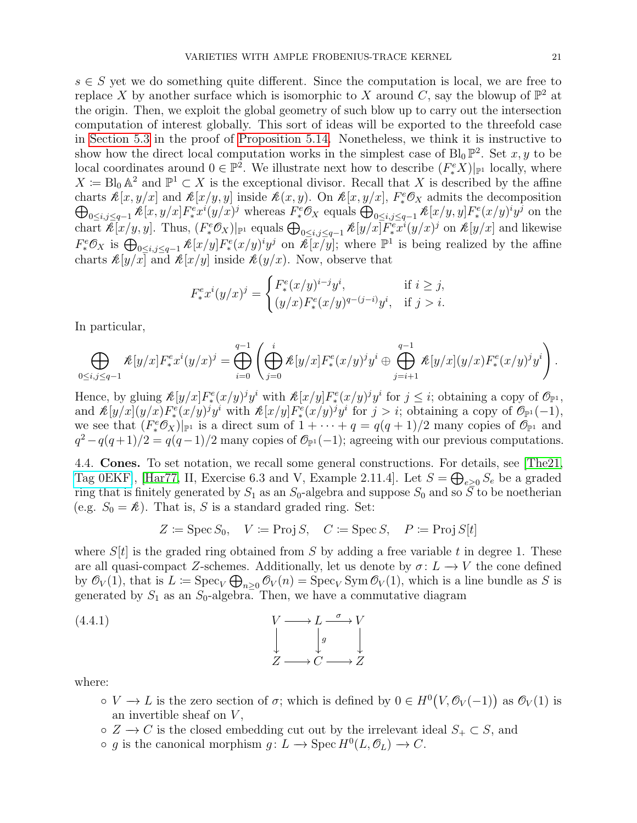$s \in S$  yet we do something quite different. Since the computation is local, we are free to replace X by another surface which is isomorphic to X around C, say the blowup of  $\mathbb{P}^2$  at the origin. Then, we exploit the global geometry of such blow up to carry out the intersection computation of interest globally. This sort of ideas will be exported to the threefold case in [Section 5.3](#page-29-2) in the proof of [Proposition 5.14.](#page-30-0) Nonetheless, we think it is instructive to show how the direct local computation works in the simplest case of  $Bl_0 \mathbb{P}^2$ . Set x, y to be local coordinates around  $0 \in \mathbb{P}^2$ . We illustrate next how to describe  $(F^e_*X)|_{\mathbb{P}^1}$  locally, where  $X := \text{Bl}_0 \mathbb{A}^2$  and  $\mathbb{P}^1 \subset X$  is the exceptional divisor. Recall that X is described by the affine charts  $\mathcal{K}[x, y/x]$  and  $\mathcal{K}[x/y, y]$  inside  $\mathcal{K}(x, y)$ . On  $\mathcal{K}[x, y/x]$ ,  $F_*^e$ charts  $\mathcal{K}[x, y/x]$  and  $\mathcal{K}[x/y, y]$  inside  $\mathcal{K}(x, y)$ . On  $\mathcal{K}[x, y/x]$ ,  $F_*^e\mathcal{O}_X$  admits the decomposition  $\bigoplus_{0 \leq i, j \leq q-1} \mathcal{K}[x, y/x] F_*^e(x/y)^i y^j$  on the chart  $\mathcal{R}[x/y, y]$ . Thus,  $(F^e_* \mathcal{O}_X)|_{\mathbb{P}^1}$  equals  $\bigoplus_{0 \leq i, j \leq q-1} \mathcal{R}[y/x] \overline{F^e_* x^i}(y/x)^j$  on  $\mathcal{R}[y/x]$  and likewise  $F^e_*\mathcal{O}_X$  is  $\bigoplus_{0\leq i,j\leq q-1} \mathcal{K}[x/y]F^e_*(x/y)^iy^j$  on  $\mathcal{K}[x/y]$ ; where  $\mathbb{P}^1$  is being realized by the affine charts  $\mathcal{K}[y/x]$  and  $\mathcal{K}[x/y]$  inside  $\mathcal{K}[y/x]$ . Now, observe that

$$
F_*^e x^i (y/x)^j = \begin{cases} F_*^e (x/y)^{i-j} y^i, & \text{if } i \ge j, \\ (y/x) F_*^e (x/y)^{q-(j-i)} y^i, & \text{if } j > i. \end{cases}
$$

In particular,

$$
\bigoplus_{0 \leq i,j \leq q-1} \mathcal{R}[y/x] F_{*}^{e} x^{i} (y/x)^{j} = \bigoplus_{i=0}^{q-1} \left( \bigoplus_{j=0}^{i} \mathcal{R}[y/x] F_{*}^{e} (x/y)^{j} y^{i} \oplus \bigoplus_{j=i+1}^{q-1} \mathcal{R}[y/x] (y/x) F_{*}^{e} (x/y)^{j} y^{i} \right).
$$

Hence, by gluing  $\mathcal{K}[y/x]F^e_*(x/y)^j y^i$  with  $\mathcal{K}[x/y]F^e_*(x/y)^j y^i$  for  $j \leq i$ ; obtaining a copy of  $\mathcal{O}_{\mathbb{P}^1}$ , and  $\mathcal{R}[y/x](y/x)F^e_*(x/y)^j y^i$  with  $\mathcal{R}[x/y]F^e_*(x/y)^j y^i$  for  $j > i$ ; obtaining a copy of  $\mathcal{O}_{\mathbb{P}^1}(-1)$ , we see that  $(F^e_* \mathcal{O}_X)|_{\mathbb{P}^1}$  is a direct sum of  $1 + \cdots + q = q(q+1)/2$  many copies of  $\mathcal{O}_{\mathbb{P}^1}$  and  $q^2 - q(q+1)/2 = q(q-1)/2$  many copies of  $\mathcal{O}_{\mathbb{P}^1}(-1)$ ; agreeing with our previous computations.

<span id="page-20-0"></span>4.4. Cones. To set notation, we recall some general constructions. For details, see [\[The21,](#page-37-5) [Tag 0EKF\]](https://stacks.math.columbia.edu/tag/0EKF), [\[Har77,](#page-36-7) II, Exercise 6.3 and V, Example 2.11.4]. Let  $S = \bigoplus_{e \geq 0} S_e$  be a graded ring that is finitely generated by  $S_1$  as an  $S_0$ -algebra and suppose  $S_0$  and so  $\overline{S}$  to be noetherian (e.g.  $S_0 = \mathcal{K}$ ). That is, S is a standard graded ring. Set:

<span id="page-20-1"></span>
$$
Z \coloneqq \operatorname{Spec} S_0, \quad V \coloneqq \operatorname{Proj} S, \quad C \coloneqq \operatorname{Spec} S, \quad P \coloneqq \operatorname{Proj} S[t]
$$

where  $S[t]$  is the graded ring obtained from S by adding a free variable t in degree 1. These are all quasi-compact Z-schemes. Additionally, let us denote by  $\sigma: L \to V$  the cone defined by  $\mathcal{O}_V(1)$ , that is  $L := \text{Spec}_V \bigoplus_{n \geq 0} \mathcal{O}_V(n) = \text{Spec}_V \text{Sym } \mathcal{O}_V(1)$ , which is a line bundle as S is generated by  $S_1$  as an  $S_0$ -algebra. Then, we have a commutative diagram

(4.4.1) 
$$
\downarrow \qquad \qquad V \longrightarrow L \xrightarrow{\sigma} V
$$

$$
\downarrow g \qquad \qquad \downarrow g
$$

$$
Z \longrightarrow C \longrightarrow Z
$$

where:

- $\circ V \to L$  is the zero section of  $\sigma$ ; which is defined by  $0 \in H^0(V, \mathcal{O}_V(-1))$  as  $\mathcal{O}_V(1)$  is an invertible sheaf on  $V$ ,
- $\circ$  Z  $\rightarrow$  C is the closed embedding cut out by the irrelevant ideal  $S_+ \subset S$ , and
- $\circ$  g is the canonical morphism  $g: L \to \text{Spec } H^0(L, \mathcal{O}_L) \to C$ .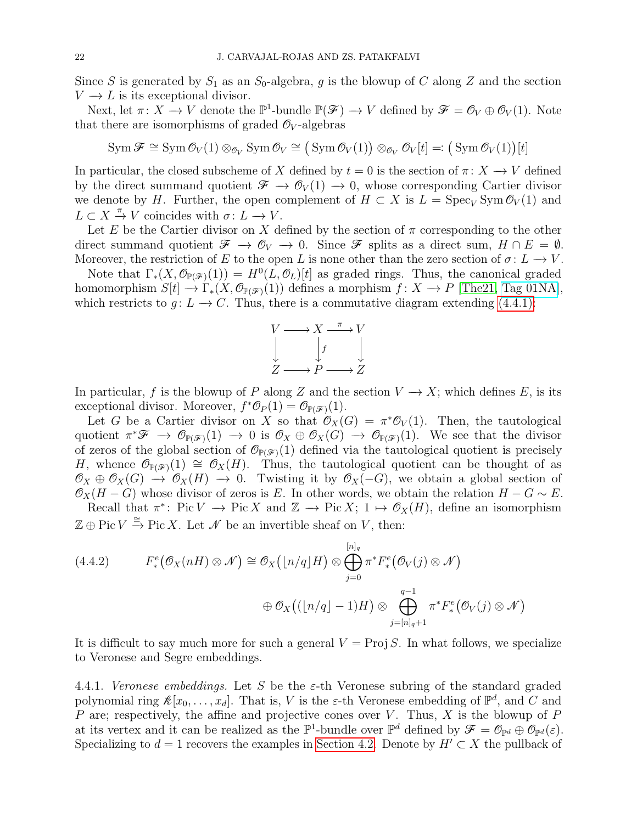Since S is generated by  $S_1$  as an  $S_0$ -algebra, g is the blowup of C along Z and the section  $V \rightarrow L$  is its exceptional divisor.

Next, let  $\pi \colon X \to V$  denote the  $\mathbb{P}^1$ -bundle  $\mathbb{P}(\mathscr{F}) \to V$  defined by  $\mathscr{F} = \mathscr{O}_V \oplus \mathscr{O}_V(1)$ . Note that there are isomorphisms of graded  $\mathcal{O}_V$ -algebras

$$
\operatorname{Sym} \mathscr{F} \cong \operatorname{Sym} \mathscr{O}_V(1) \otimes_{\mathscr{O}_V} \operatorname{Sym} \mathscr{O}_V \cong (\operatorname{Sym} \mathscr{O}_V(1)) \otimes_{\mathscr{O}_V} \mathscr{O}_V[t] =: (\operatorname{Sym} \mathscr{O}_V(1))[t]
$$

In particular, the closed subscheme of X defined by  $t = 0$  is the section of  $\pi \colon X \to V$  defined by the direct summand quotient  $\mathcal{F} \to \mathcal{O}_V(1) \to 0$ , whose corresponding Cartier divisor we denote by H. Further, the open complement of  $H \subset X$  is  $L = \text{Spec}_V \text{Sym} \mathcal{O}_V(1)$  and  $L \subset X \stackrel{\pi}{\to} V$  coincides with  $\sigma: L \to V$ .

Let E be the Cartier divisor on X defined by the section of  $\pi$  corresponding to the other direct summand quotient  $\mathcal{F} \to \mathcal{O}_V \to 0$ . Since  $\mathcal{F}$  splits as a direct sum,  $H \cap E = \emptyset$ . Moreover, the restriction of E to the open L is none other than the zero section of  $\sigma: L \to V$ .

Note that  $\Gamma_*(X, \mathcal{O}_{\mathbb{P}(\mathscr{F})}(1)) = H^0(L, \mathcal{O}_L)[t]$  as graded rings. Thus, the canonical graded homomorphism  $S[t] \to \Gamma_*(X, \mathcal{O}_{\mathbb{P}(\mathscr{F})}(1))$  defines a morphism  $f: X \to P$  [\[The21,](#page-37-5) [Tag 01NA\]](https://stacks.math.columbia.edu/tag/01NA), which restricts to  $g: L \to C$ . Thus, there is a commutative diagram extending [\(4.4.1\):](#page-20-1)



In particular, f is the blowup of P along Z and the section  $V \to X$ ; which defines E, is its exceptional divisor. Moreover,  $f^* \mathcal{O}_P(1) = \mathcal{O}_{\mathbb{P}(\mathcal{F})}(1)$ .

Let G be a Cartier divisor on X so that  $\mathcal{O}_X(G) = \pi^* \mathcal{O}_V(1)$ . Then, the tautological quotient  $\pi^*\mathscr{F} \to \mathscr{O}_{\mathbb{P}(\mathscr{F})}(1) \to 0$  is  $\mathscr{O}_X \oplus \mathscr{O}_X(G) \to \mathscr{O}_{\mathbb{P}(\mathscr{F})}(1)$ . We see that the divisor of zeros of the global section of  $\mathcal{O}_{\mathbb{P}(\mathscr{F})}(1)$  defined via the tautological quotient is precisely H, whence  $\mathcal{O}_{\mathbb{P}(\mathscr{F})}(1) \cong \mathcal{O}_X(H)$ . Thus, the tautological quotient can be thought of as  $\mathcal{O}_X \oplus \mathcal{O}_X(G) \rightarrow \mathcal{O}_X(H) \longrightarrow 0$ . Twisting it by  $\mathcal{O}_X(-G)$ , we obtain a global section of  $\mathcal{O}_X(H - G)$  whose divisor of zeros is E. In other words, we obtain the relation  $H - G \sim E$ .

Recall that  $\pi^*$ : Pic  $V \to \text{Pic } X$  and  $\mathbb{Z} \to \text{Pic } X$ ;  $1 \mapsto \mathcal{O}_X(H)$ , define an isomorphism  $\mathbb{Z} \oplus \text{Pic } V \xrightarrow{\cong} \text{Pic } X$ . Let  $\mathscr N$  be an invertible sheaf on V, then:

<span id="page-21-0"></span>
$$
(4.4.2) \qquad F^e_*(\mathcal{O}_X(nH) \otimes \mathcal{N}) \cong \mathcal{O}_X(\lfloor n/q \rfloor H) \otimes \bigoplus_{j=0}^{\lfloor n \rfloor_q} \pi^* F^e_*(\mathcal{O}_V(j) \otimes \mathcal{N})
$$

$$
\oplus \mathcal{O}_X((\lfloor n/q \rfloor - 1)H) \otimes \bigoplus_{j=[n]_q+1}^{q-1} \pi^* F^e_*(\mathcal{O}_V(j) \otimes \mathcal{N})
$$

It is difficult to say much more for such a general  $V = \text{Proj } S$ . In what follows, we specialize to Veronese and Segre embeddings.

<span id="page-21-1"></span>4.4.1. Veronese embeddings. Let S be the  $\varepsilon$ -th Veronese subring of the standard graded polynomial ring  $\mathcal{K}[x_0,\ldots,x_d]$ . That is, V is the  $\varepsilon$ -th Veronese embedding of  $\mathbb{P}^d$ , and C and P are; respectively, the affine and projective cones over V. Thus,  $X$  is the blowup of  $P$ at its vertex and it can be realized as the  $\mathbb{P}^1$ -bundle over  $\mathbb{P}^d$  defined by  $\mathscr{F} = \mathscr{O}_{\mathbb{P}^d} \oplus \mathscr{O}_{\mathbb{P}^d}(\varepsilon)$ . Specializing to  $d = 1$  recovers the examples in [Section 4.2.](#page-12-0) Denote by  $H' \subset X$  the pullback of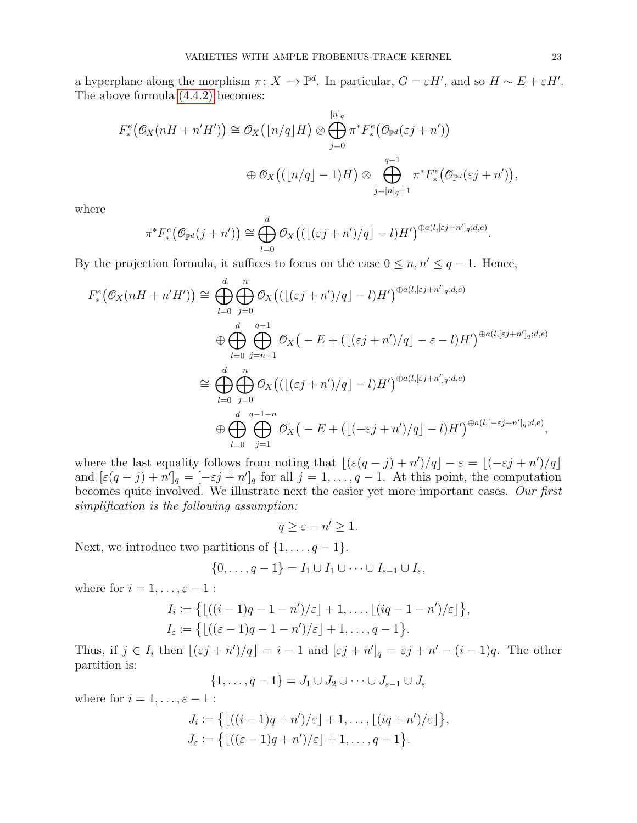a hyperplane along the morphism  $\pi: X \to \mathbb{P}^d$ . In particular,  $G = \varepsilon H'$ , and so  $H \sim E + \varepsilon H'$ . The above formula [\(4.4.2\)](#page-21-0) becomes:

$$
F_*^e(\mathcal{O}_X(nH + n'H')) \cong \mathcal{O}_X(\lfloor n/q \rfloor H) \otimes \bigoplus_{j=0}^{\lfloor n \rfloor_q} \pi^* F_*^e(\mathcal{O}_{\mathbb{P}^d}(\varepsilon j + n'))
$$
  

$$
\oplus \mathcal{O}_X((\lfloor n/q \rfloor - 1)H) \otimes \bigoplus_{j=[n]_q+1}^{q-1} \pi^* F_*^e(\mathcal{O}_{\mathbb{P}^d}(\varepsilon j + n')),
$$

where

$$
\pi^* F^e_*(\mathcal{O}_{\mathbb{P}^d}(j+n')) \cong \bigoplus_{l=0}^d \mathcal{O}_X\big((\lfloor (\varepsilon j+n')/q\rfloor - l)H'\big)^{\oplus a(l,[\varepsilon j+n']_q;d,e)}
$$

By the projection formula, it suffices to focus on the case  $0 \leq n, n' \leq q - 1$ . Hence,

$$
F_*^e(\mathcal{O}_X(nH + n'H')) \cong \bigoplus_{l=0}^d \bigoplus_{j=0}^n \mathcal{O}_X((\lfloor (\varepsilon j + n')/q \rfloor - l)H')^{\oplus a(l, [\varepsilon j + n']_q; d, e)}
$$
  

$$
\oplus \bigoplus_{l=0}^d \bigoplus_{j=n+1}^{q-1} \mathcal{O}_X(-E + (\lfloor (\varepsilon j + n')/q \rfloor - \varepsilon - l)H')^{\oplus a(l, [\varepsilon j + n']_q; d, e)}
$$
  

$$
\cong \bigoplus_{l=0}^d \bigoplus_{j=0}^n \mathcal{O}_X((\lfloor (\varepsilon j + n')/q \rfloor - l)H')^{\oplus a(l, [\varepsilon j + n']_q; d, e)}
$$
  

$$
\oplus \bigoplus_{l=0}^d \bigoplus_{j=1}^{q-1-n} \mathcal{O}_X(-E + (\lfloor (-\varepsilon j + n')/q \rfloor - l)H')^{\oplus a(l, [-\varepsilon j + n']_q; d, e)},
$$

where the last equality follows from noting that  $\lfloor (\varepsilon(q - j) + n')/q \rfloor - \varepsilon = \lfloor (-\varepsilon j + n')/q \rfloor$ and  $[\varepsilon(q-j)+n']_q = [-\varepsilon j+n']_q$  for all  $j=1,\ldots,q-1$ . At this point, the computation becomes quite involved. We illustrate next the easier yet more important cases. Our first simplification is the following assumption:

$$
q \geq \varepsilon - n' \geq 1.
$$

Next, we introduce two partitions of  $\{1, \ldots, q-1\}$ .

$$
\{0,\ldots,q-1\}=I_1\cup I_1\cup\cdots\cup I_{\varepsilon-1}\cup I_{\varepsilon},
$$

where for  $i = 1, \ldots, \varepsilon - 1$ :

$$
I_i := \left\{ \lfloor ((i-1)q-1-n')/\varepsilon \rfloor + 1, \ldots, \lfloor (iq-1-n')/\varepsilon \rfloor \right\},
$$
  

$$
I_{\varepsilon} := \left\{ \lfloor ((\varepsilon - 1)q - 1 - n')/\varepsilon \rfloor + 1, \ldots, q - 1 \right\}.
$$

Thus, if  $j \in I_i$  then  $\lfloor (\varepsilon j + n')/q \rfloor = i - 1$  and  $[\varepsilon j + n']_q = \varepsilon j + n' - (i - 1)q$ . The other partition is:

$$
\{1,\ldots,q-1\}=J_1\cup J_2\cup\cdots\cup J_{\varepsilon-1}\cup J_{\varepsilon}
$$

where for  $i = 1, \ldots, \varepsilon - 1$ :

$$
J_i := \left\{ \lfloor ((i-1)q + n')/\varepsilon \rfloor + 1, \ldots, \lfloor (iq + n')/\varepsilon \rfloor \right\},
$$
  

$$
J_{\varepsilon} := \left\{ \lfloor ((\varepsilon - 1)q + n')/\varepsilon \rfloor + 1, \ldots, q - 1 \right\}.
$$

.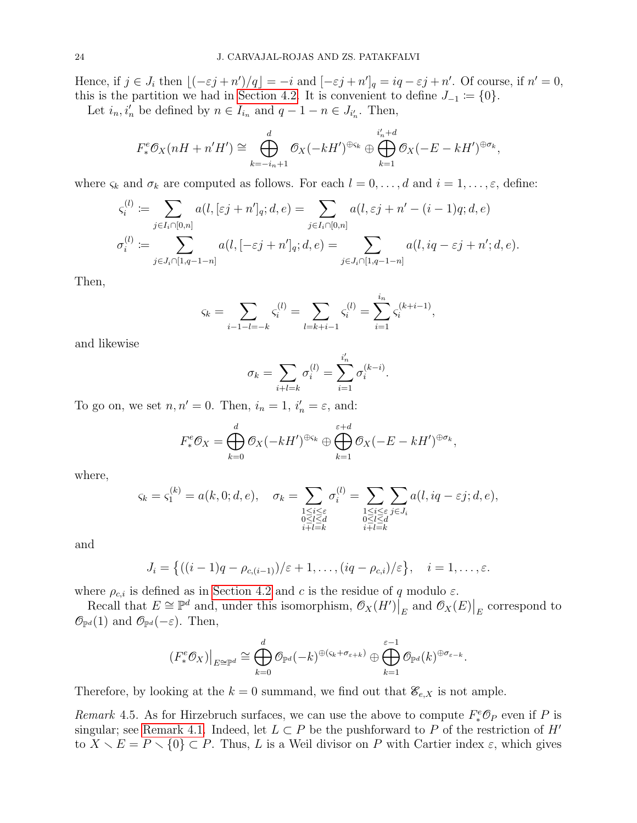Hence, if  $j \in J_i$  then  $\lfloor (-\varepsilon j + n')/q \rfloor = -i$  and  $[-\varepsilon j + n']_q = iq - \varepsilon j + n'$ . Of course, if  $n' = 0$ , this is the partition we had in [Section 4.2.](#page-12-0) It is convenient to define  $J_{-1} := \{0\}.$ 

Let  $i_n, i'_n$  be defined by  $n \in I_{i_n}$  and  $q - 1 - n \in J_{i'_n}$ . Then,

$$
F_*^e \mathcal{O}_X(nH + n'H') \cong \bigoplus_{k=-i_n+1}^d \mathcal{O}_X(-kH')^{\oplus \varsigma_k} \oplus \bigoplus_{k=1}^{i'_n+d} \mathcal{O}_X(-E-kH')^{\oplus \sigma_k},
$$

where  $\varsigma_k$  and  $\sigma_k$  are computed as follows. For each  $l = 0, \ldots, d$  and  $i = 1, \ldots, \varepsilon$ , define:

$$
\varsigma_i^{(l)} \coloneqq \sum_{j \in I_i \cap [0,n]} a(l, [\varepsilon j + n']_q; d, e) = \sum_{j \in I_i \cap [0,n]} a(l, \varepsilon j + n' - (i-1)q; d, e)
$$

$$
\sigma_i^{(l)} \coloneqq \sum_{j \in J_i \cap [1,q-1-n]} a(l, [-\varepsilon j + n']_q; d, e) = \sum_{j \in J_i \cap [1,q-1-n]} a(l, iq - \varepsilon j + n'; d, e).
$$

Then,

$$
\varsigma_k = \sum_{i-1-l=-k} \varsigma_i^{(l)} = \sum_{l=k+i-1} \varsigma_i^{(l)} = \sum_{i=1}^{i_n} \varsigma_i^{(k+i-1)},
$$

and likewise

$$
\sigma_k = \sum_{i+l=k} \sigma_i^{(l)} = \sum_{i=1}^{i'_n} \sigma_i^{(k-i)}.
$$

To go on, we set  $n, n' = 0$ . Then,  $i_n = 1$ ,  $i'_n = \varepsilon$ , and:

$$
F_*^e \mathcal{O}_X = \bigoplus_{k=0}^d \mathcal{O}_X(-kH')^{\oplus \varsigma_k} \oplus \bigoplus_{k=1}^{\varepsilon+d} \mathcal{O}_X(-E-kH')^{\oplus \sigma_k},
$$

where,

$$
\varsigma_k = \varsigma_1^{(k)} = a(k,0;d,e), \quad \sigma_k = \sum_{\substack{1 \le i \le \varepsilon \\ 0 \le l \le d \\ i+l=k}} \sigma_i^{(l)} = \sum_{\substack{1 \le i \le \varepsilon \\ 0 \le l \le d \\ i+l=k}} \sum_{j \in J_i} a(l, iq - \varepsilon j; d, e),
$$

and

$$
J_i = \left\{ \left( (i-1)q - \rho_{c,(i-1)} \right) / \varepsilon + 1, \ldots, \left( iq - \rho_{c,i} \right) / \varepsilon \right\}, \quad i = 1, \ldots, \varepsilon.
$$

where  $\rho_{c,i}$  is defined as in [Section 4.2](#page-12-0) and c is the residue of q modulo  $\varepsilon$ .

Recall that  $E \cong \mathbb{P}^d$  and, under this isomorphism,  $\mathcal{O}_X(H')\Big|_E$  and  $\mathcal{O}_X(E)\Big|_E$  correspond to  $\mathcal{O}_{\mathbb{P}^d}(1)$  and  $\mathcal{O}_{\mathbb{P}^d}(-\varepsilon)$ . Then,

$$
(F^e_*\mathcal{O}_X)\big|_{E\cong\mathbb{P}^d}\cong \bigoplus_{k=0}^d\mathcal{O}_{\mathbb{P}^d}(-k)^{\oplus(\varsigma_k+\sigma_{\varepsilon+k})}\oplus\bigoplus_{k=1}^{\varepsilon-1}\mathcal{O}_{\mathbb{P}^d}(k)^{\oplus\sigma_{\varepsilon-k}}.
$$

Therefore, by looking at the  $k = 0$  summand, we find out that  $\mathcal{E}_{e,X}$  is not ample.

<span id="page-23-0"></span>Remark 4.5. As for Hirzebruch surfaces, we can use the above to compute  $F^e_*\mathcal{O}_P$  even if P is singular; see [Remark 4.1.](#page-16-0) Indeed, let  $L \subset P$  be the pushforward to P of the restriction of H' to  $X \setminus E = P \setminus \{0\} \subset P$ . Thus, L is a Weil divisor on P with Cartier index  $\varepsilon$ , which gives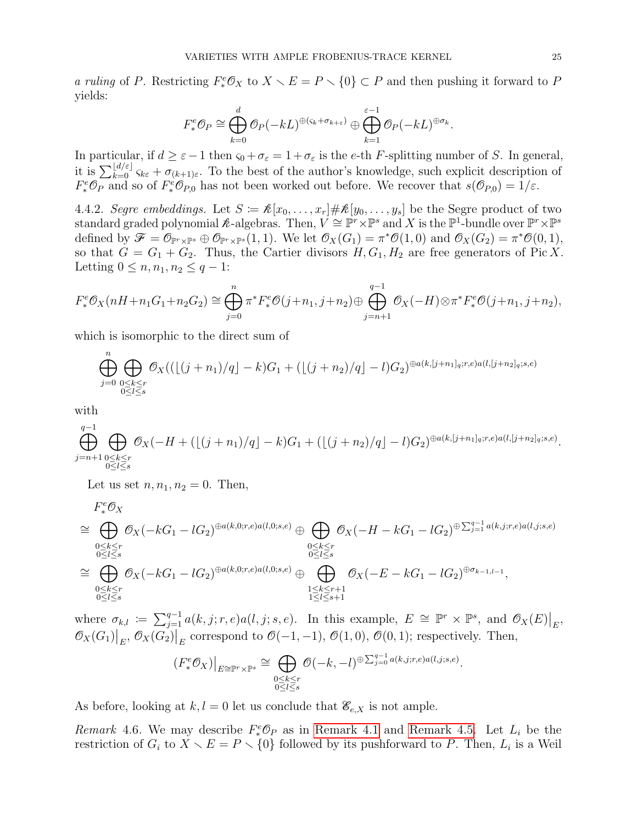a ruling of P. Restricting  $F^e_* \mathcal{O}_X$  to  $X \setminus E = P \setminus \{0\} \subset P$  and then pushing it forward to P yields:

$$
F_*^e \mathcal{O}_P \cong \bigoplus_{k=0}^d \mathcal{O}_P(-kL)^{\oplus(\varsigma_k + \sigma_{k+\varepsilon})} \oplus \bigoplus_{k=1}^{\varepsilon-1} \mathcal{O}_P(-kL)^{\oplus \sigma_k}.
$$

In particular, if  $d \geq \varepsilon - 1$  then  $\varsigma_0 + \sigma_{\varepsilon} = 1 + \sigma_{\varepsilon}$  is the e-th F-splitting number of S. In general, it is  $\sum_{k=0}^{\lfloor d/\varepsilon \rfloor} \varsigma_{k\varepsilon} + \sigma_{(k+1)\varepsilon}$ . To the best of the author's knowledge, such explicit description of  $F^e_*\mathcal{O}_P$  and so of  $F^e_*\mathcal{O}_{P,0}$  has not been worked out before. We recover that  $s(\mathcal{O}_{P,0})=1/\varepsilon$ .

<span id="page-24-1"></span>4.4.2. Segre embeddings. Let  $S := \mathcal{K}[x_0, \ldots, x_r] \# \mathcal{K}[y_0, \ldots, y_s]$  be the Segre product of two standard graded polynomial  $\mathcal{R}$ -algebras. Then,  $V \cong \mathbb{P}^r \times \mathbb{P}^s$  and X is the  $\mathbb{P}^1$ -bundle over  $\mathbb{P}^r \times \mathbb{P}^s$ defined by  $\mathscr{F} = \mathscr{O}_{\mathbb{P}^r \times \mathbb{P}^s} \oplus \mathscr{O}_{\mathbb{P}^r \times \mathbb{P}^s}(1,1)$ . We let  $\mathscr{O}_X(G_1) = \pi^* \mathscr{O}(1,0)$  and  $\mathscr{O}_X(G_2) = \pi^* \mathscr{O}(0,1)$ , so that  $G = G_1 + G_2$ . Thus, the Cartier divisors  $H, G_1, H_2$  are free generators of Pic X. Letting  $0 \le n, n_1, n_2 \le q - 1$ :

$$
F_*^e \mathcal{O}_X(nH + n_1G_1 + n_2G_2) \cong \bigoplus_{j=0}^n \pi^* F_*^e \mathcal{O}(j+n_1, j+n_2) \oplus \bigoplus_{j=n+1}^{q-1} \mathcal{O}_X(-H) \otimes \pi^* F_*^e \mathcal{O}(j+n_1, j+n_2),
$$

which is isomorphic to the direct sum of

$$
\bigoplus_{j=0}^{n} \bigoplus_{\substack{0 \le k \le r \\ 0 \le l \le s}} \mathcal{O}_X((\lfloor (j+n_1)/q \rfloor - k)G_1 + (\lfloor (j+n_2)/q \rfloor - l)G_2)^{\oplus a(k,[j+n_1]_q; r, e)a(l,[j+n_2]_q; s, e)}
$$

with

$$
\bigoplus_{j=n+1}^{q-1} \bigoplus_{\substack{0 \le k \le r \\ 0 \le l \le s}} \mathcal{O}_X(-H + (\lfloor (j+n_1)/q \rfloor - k)G_1 + (\lfloor (j+n_2)/q \rfloor - l)G_2)^{\oplus a(k, [j+n_1]_q; r, e)a(l, [j+n_2]_q; s, e)}.
$$

Let us set  $n, n_1, n_2 = 0$ . Then,

$$
F^e_*\mathcal{O}_X
$$

$$
\cong \bigoplus_{\substack{0 \le k \le r \\ 0 \le l \le s}} \mathcal{O}_X(-kG_1 - lG_2)^{\oplus a(k,0;r,e)a(l,0;s,e)} \oplus \bigoplus_{\substack{0 \le k \le r \\ 0 \le l \le s}} \mathcal{O}_X(-H - kG_1 - lG_2)^{\oplus \sum_{j=1}^{q-1} a(k,j;r,e)a(l,j;s,e)}
$$
  

$$
\cong \bigoplus_{\substack{0 \le k \le r \\ 0 \le l \le s}} \mathcal{O}_X(-kG_1 - lG_2)^{\oplus a(k,0;r,e)a(l,0;s,e)} \oplus \bigoplus_{\substack{1 \le k \le r+1 \\ 1 \le l \le s+1}} \mathcal{O}_X(-E - kG_1 - lG_2)^{\oplus \sigma_{k-1,l-1}},
$$

where  $\sigma_{k,l} := \sum_{j=1}^{q-1} a(k,j;r,e) a(l,j;s,e)$ . In this example,  $E \cong \mathbb{P}^r \times \mathbb{P}^s$ , and  $\mathcal{O}_X(E)|_E$ ,  $\mathcal{O}_X(G_1)|_E, \mathcal{O}_X(G_2)|_E$  correspond to  $\mathcal{O}(-1,-1), \mathcal{O}(1,0), \mathcal{O}(0,1)$ ; respectively. Then,

$$
(F^e_* \mathcal{O}_X)\big|_{E \cong \mathbb{P}^r \times \mathbb{P}^s} \cong \bigoplus_{\substack{0 \le k \le r \\ 0 \le l \le s}} \mathcal{O}(-k, -l)^{\oplus \sum_{j=0}^{q-1} a(k, j; r, e) a(l, j; s, e)}
$$

.

As before, looking at  $k, l = 0$  let us conclude that  $\mathcal{E}_{e,X}$  is not ample.

<span id="page-24-0"></span>Remark 4.6. We may describe  $F^e_*\mathcal{O}_P$  as in [Remark 4.1](#page-16-0) and [Remark 4.5.](#page-23-0) Let  $L_i$  be the restriction of  $G_i$  to  $\overline{X} \setminus E = P \setminus \{0\}$  followed by its pushforward to P. Then,  $L_i$  is a Weil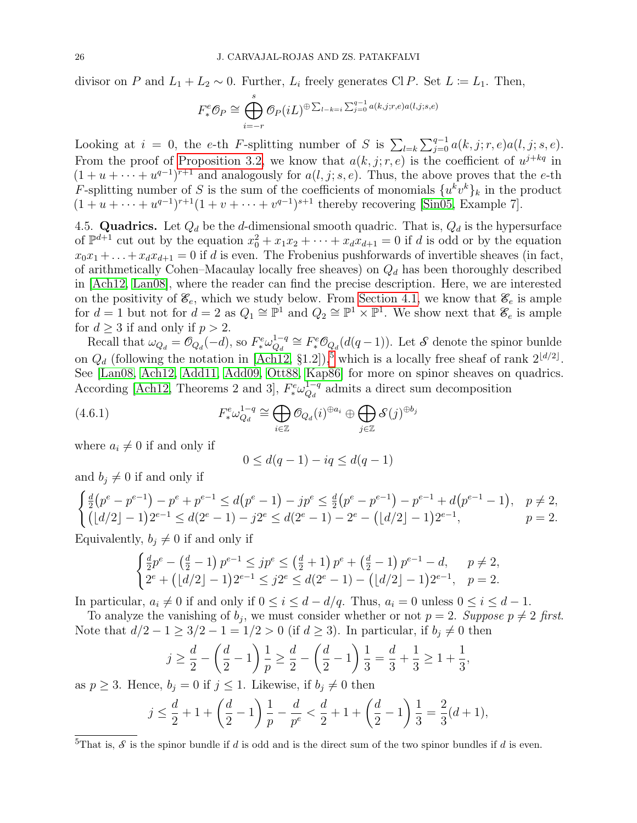divisor on P and  $L_1 + L_2 \sim 0$ . Further,  $L_i$  freely generates Cl P. Set  $L := L_1$ . Then,

$$
F^e_* \mathcal{O}_P \cong \bigoplus_{i=-r}^s \mathcal{O}_P(iL)^{\oplus \sum_{l-k=i} \sum_{j=0}^{q-1} a(k,j;r,e)a(l,j;s,e)}
$$

Looking at  $i = 0$ , the e-th F-splitting number of S is  $\sum_{l=k} \sum_{j=0}^{q-1} a(k, j; r, e) a(l, j; s, e)$ . From the proof of [Proposition 3.2,](#page-7-0) we know that  $a(k, j; r, e)$  is the coefficient of  $u^{j+kq}$  in  $(1+u+\cdots+u^{q-1})^{r+1}$  and analogously for  $a(l, j; s, e)$ . Thus, the above proves that the e-th F-splitting number of S is the sum of the coefficients of monomials  $\{u^k v^k\}_k$  in the product  $(1 + u + \cdots + u^{q-1})^{r+1}(1 + v + \cdots + v^{q-1})^{s+1}$  thereby recovering [\[Sin05,](#page-37-2) Example 7].

<span id="page-25-0"></span>4.5. Quadrics. Let  $Q_d$  be the d-dimensional smooth quadric. That is,  $Q_d$  is the hypersurface of  $\mathbb{P}^{d+1}$  cut out by the equation  $x_0^2 + x_1x_2 + \cdots + x_dx_{d+1} = 0$  if d is odd or by the equation  $x_0x_1 + \ldots + x_dx_{d+1} = 0$  if d is even. The Frobenius pushforwards of invertible sheaves (in fact, of arithmetically Cohen–Macaulay locally free sheaves) on  $Q_d$  has been thoroughly described in [\[Ach12,](#page-35-0) [Lan08\]](#page-36-4), where the reader can find the precise description. Here, we are interested on the positivity of  $\mathcal{E}_e$ , which we study below. From [Section 4.1,](#page-11-2) we know that  $\mathcal{E}_e$  is ample for  $d = 1$  but not for  $d = 2$  as  $Q_1 \cong \mathbb{P}^1$  and  $Q_2 \cong \mathbb{P}^1 \times \mathbb{P}^1$ . We show next that  $\mathscr{E}_e$  is ample for  $d \geq 3$  if and only if  $p > 2$ .

Recall that  $\omega_{Q_d} = \mathcal{O}_{Q_d}(-d)$ , so  $F^e_* \omega_{Q_d}^{1-q}$  $Q_d^{1-q} \cong F_*^e \mathcal{O}_{Q_d}(d(q-1))$ . Let  $\mathcal S$  denote the spinor bunlde on  $Q_d$  (following the notation in [\[Ach12,](#page-35-0) §1.2]),<sup>[5](#page-0-0)</sup> which is a locally free sheaf of rank  $2^{\lfloor d/2 \rfloor}$ . See [\[Lan08,](#page-36-4) [Ach12,](#page-35-0) [Add11,](#page-35-8) [Add09,](#page-35-9) [Ott88,](#page-37-6) [Kap86\]](#page-36-10) for more on spinor sheaves on quadrics. According [\[Ach12,](#page-35-0) Theorems 2 and 3],  $F^e_* \omega_{Q_d}^{1-q}$  $\frac{d^{1-q}}{Q_d}$  admits a direct sum decomposition

(4.6.1) 
$$
F^e_* \omega_{Q_d}^{1-q} \cong \bigoplus_{i \in \mathbb{Z}} \mathcal{O}_{Q_d}(i)^{\oplus a_i} \oplus \bigoplus_{j \in \mathbb{Z}} \mathcal{S}(j)^{\oplus b_j}
$$

where  $a_i \neq 0$  if and only if

<span id="page-25-1"></span>
$$
0\leq d(q-1)-iq\leq d(q-1)
$$

and  $b_j \neq 0$  if and only if

$$
\begin{cases} \frac{d}{2}(p^e - p^{e-1}) - p^e + p^{e-1} \le d(p^e - 1) - jp^e \le \frac{d}{2}(p^e - p^{e-1}) - p^{e-1} + d(p^{e-1} - 1), & p \ne 2, \\ (\lfloor d/2 \rfloor - 1)2^{e-1} \le d(2^e - 1) - j2^e \le d(2^e - 1) - 2^e - (\lfloor d/2 \rfloor - 1)2^{e-1}, & p = 2. \end{cases}
$$

Equivalently,  $b_j \neq 0$  if and only if

$$
\begin{cases} \frac{d}{2}p^{e} - \left(\frac{d}{2} - 1\right)p^{e-1} \leq j p^{e} \leq \left(\frac{d}{2} + 1\right)p^{e} + \left(\frac{d}{2} - 1\right)p^{e-1} - d, \quad p \neq 2, \\ 2^{e} + \left(\lfloor d/2 \rfloor - 1\right)2^{e-1} \leq j 2^{e} \leq d(2^{e} - 1) - \left(\lfloor d/2 \rfloor - 1\right)2^{e-1}, \quad p = 2. \end{cases}
$$

In particular,  $a_i \neq 0$  if and only if  $0 \leq i \leq d - d/q$ . Thus,  $a_i = 0$  unless  $0 \leq i \leq d - 1$ .

To analyze the vanishing of  $b_j$ , we must consider whether or not  $p = 2$ . Suppose  $p \neq 2$  first. Note that  $d/2 - 1 \geq 3/2 - 1 = 1/2 > 0$  (if  $d \geq 3$ ). In particular, if  $b_i \neq 0$  then

$$
j \ge \frac{d}{2} - \left(\frac{d}{2} - 1\right)\frac{1}{p} \ge \frac{d}{2} - \left(\frac{d}{2} - 1\right)\frac{1}{3} = \frac{d}{3} + \frac{1}{3} \ge 1 + \frac{1}{3},
$$

as  $p \geq 3$ . Hence,  $b_j = 0$  if  $j \leq 1$ . Likewise, if  $b_j \neq 0$  then

$$
j \le \frac{d}{2} + 1 + \left(\frac{d}{2} - 1\right)\frac{1}{p} - \frac{d}{p^e} < \frac{d}{2} + 1 + \left(\frac{d}{2} - 1\right)\frac{1}{3} = \frac{2}{3}(d+1),
$$

<sup>&</sup>lt;sup>5</sup>That is,  $S$  is the spinor bundle if d is odd and is the direct sum of the two spinor bundles if d is even.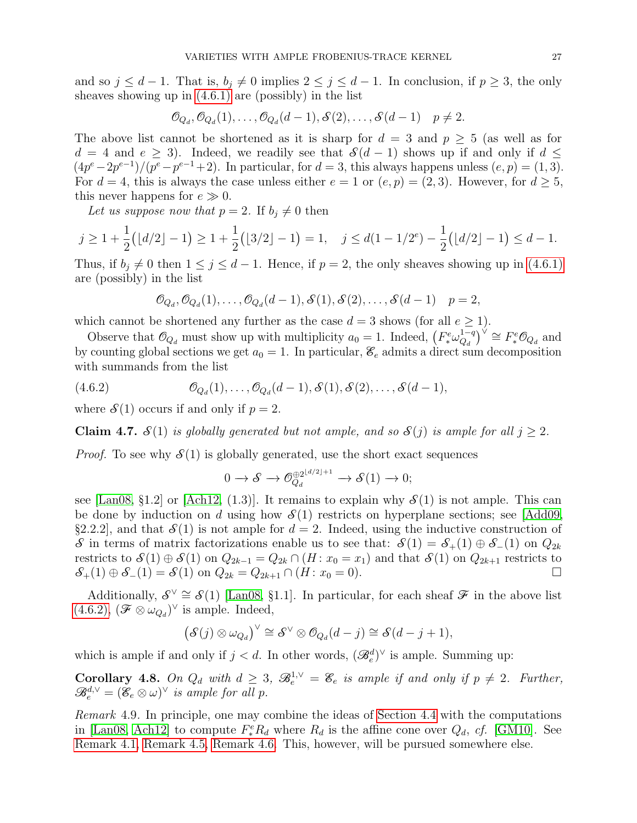and so  $j \leq d-1$ . That is,  $b_j \neq 0$  implies  $2 \leq j \leq d-1$ . In conclusion, if  $p \geq 3$ , the only sheaves showing up in  $(4.6.1)$  are (possibly) in the list

$$
\mathcal{O}_{Q_d}, \mathcal{O}_{Q_d}(1), \ldots, \mathcal{O}_{Q_d}(d-1), \mathcal{S}(2), \ldots, \mathcal{S}(d-1) \quad p \neq 2.
$$

The above list cannot be shortened as it is sharp for  $d = 3$  and  $p > 5$  (as well as for  $d = 4$  and  $e \ge 3$ ). Indeed, we readily see that  $\mathcal{S}(d-1)$  shows up if and only if  $d \le$  $(4p^e - 2p^{e-1})/(p^e - p^{e-1} + 2)$ . In particular, for  $d = 3$ , this always happens unless  $(e, p) = (1, 3)$ . For  $d = 4$ , this is always the case unless either  $e = 1$  or  $(e, p) = (2, 3)$ . However, for  $d \ge 5$ , this never happens for  $e \gg 0$ .

Let us suppose now that  $p = 2$ . If  $b_i \neq 0$  then

$$
j \ge 1 + \frac{1}{2} ( \lfloor d/2 \rfloor - 1 ) \ge 1 + \frac{1}{2} ( \lfloor 3/2 \rfloor - 1 ) = 1, \quad j \le d ( 1 - 1/2^e ) - \frac{1}{2} ( \lfloor d/2 \rfloor - 1 ) \le d - 1.
$$

Thus, if  $b_j \neq 0$  then  $1 \leq j \leq d-1$ . Hence, if  $p = 2$ , the only sheaves showing up in [\(4.6.1\)](#page-25-1) are (possibly) in the list

<span id="page-26-1"></span>
$$
\mathcal{O}_{Q_d}, \mathcal{O}_{Q_d}(1), \ldots, \mathcal{O}_{Q_d}(d-1), \mathcal{S}(1), \mathcal{S}(2), \ldots, \mathcal{S}(d-1) \quad p=2,
$$

which cannot be shortened any further as the case  $d = 3$  shows (for all  $e \ge 1$ ).

Observe that  $\mathcal{O}_{Q_d}$  must show up with multiplicity  $a_0 = 1$ . Indeed,  $\left(F^e_* \omega_{Q_d}^{1-q}\right)$  $\left(Q_d^{1-q}\right)^{\check{\vee}} \cong F^e_* \mathcal{O}_{Q_d}$  and by counting global sections we get  $a_0 = 1$ . In particular,  $\mathcal{E}_e$  admits a direct sum decomposition with summands from the list

(4.6.2) 
$$
\mathcal{O}_{Q_d}(1), \ldots, \mathcal{O}_{Q_d}(d-1), \mathcal{S}(1), \mathcal{S}(2), \ldots, \mathcal{S}(d-1),
$$

where  $\mathcal{S}(1)$  occurs if and only if  $p = 2$ .

**Claim 4.7.**  $\mathcal{S}(1)$  is globally generated but not ample, and so  $\mathcal{S}(j)$  is ample for all  $j \geq 2$ .

*Proof.* To see why  $\mathcal{S}(1)$  is globally generated, use the short exact sequences

$$
0 \to \mathcal{S} \to \mathcal{O}_{Q_d}^{\oplus 2^{\lfloor d/2 \rfloor + 1}} \to \mathcal{S}(1) \to 0;
$$

see [\[Lan08,](#page-36-4) §1.2] or [\[Ach12,](#page-35-0) (1.3)]. It remains to explain why  $\mathcal{S}(1)$  is not ample. This can be done by induction on d using how  $\mathcal{S}(1)$  restricts on hyperplane sections; see [\[Add09,](#page-35-9) §2.2.2], and that  $\mathcal{S}(1)$  is not ample for  $d = 2$ . Indeed, using the inductive construction of S in terms of matrix factorizations enable us to see that:  $S(1) = S_+(1) \oplus S_-(1)$  on  $Q_{2k}$ restricts to  $\mathcal{S}(1) \oplus \mathcal{S}(1)$  on  $Q_{2k-1} = Q_{2k} \cap (H : x_0 = x_1)$  and that  $\mathcal{S}(1)$  on  $Q_{2k+1}$  restricts to  $S_+(1) \oplus S_-(1) = S(1)$  on  $Q_{2k} = Q_{2k+1} \cap (H : x_0 = 0)$ .

Additionally,  $S^{\vee} \cong S(1)$  [\[Lan08,](#page-36-4) §1.1]. In particular, for each sheaf  $\mathcal F$  in the above list  $(4.6.2), (\mathcal{F} \otimes \omega_{Q_d})^{\vee}$  $(4.6.2), (\mathcal{F} \otimes \omega_{Q_d})^{\vee}$  is ample. Indeed,

$$
(\mathcal{S}(j) \otimes \omega_{Q_d})^{\vee} \cong \mathcal{S}^{\vee} \otimes \mathcal{O}_{Q_d}(d-j) \cong \mathcal{S}(d-j+1),
$$

which is ample if and only if  $j < d$ . In other words,  $(\mathscr{B}_e^d)^\vee$  is ample. Summing up:

<span id="page-26-0"></span>**Corollary 4.8.** On  $Q_d$  with  $d \geq 3$ ,  $\mathcal{B}_e^{1,\vee} = \mathcal{E}_e$  is ample if and only if  $p \neq 2$ . Further,  $\mathscr{B}_e^{d,\vee} = (\mathscr{E}_e \otimes \omega)^\vee$  is ample for all p.

Remark 4.9. In principle, one may combine the ideas of [Section 4.4](#page-20-0) with the computations in [\[Lan08,](#page-36-4) [Ach12\]](#page-35-0) to compute  $F_*^e R_d$  where  $R_d$  is the affine cone over  $Q_d$ , cf. [\[GM10\]](#page-36-11). See [Remark 4.1,](#page-16-0) [Remark 4.5,](#page-23-0) [Remark 4.6.](#page-24-0) This, however, will be pursued somewhere else.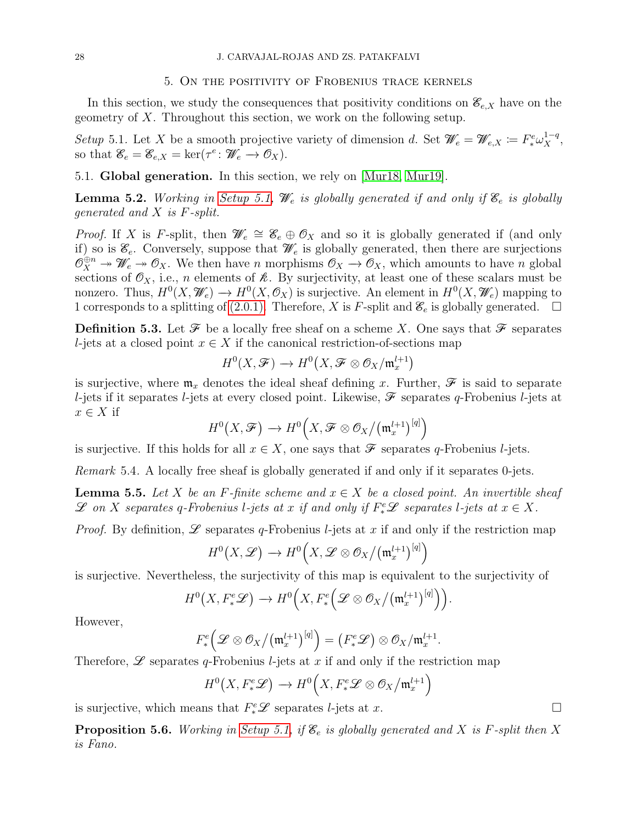### 5. On the positivity of Frobenius trace kernels

<span id="page-27-0"></span>In this section, we study the consequences that positivity conditions on  $\mathscr{E}_{e,X}$  have on the geometry of X. Throughout this section, we work on the following setup.

<span id="page-27-1"></span>Setup 5.1. Let X be a smooth projective variety of dimension d. Set  $\mathscr{W}_e = \mathscr{W}_{e,X} := F^e_* \omega_X^{1-q}$ , so that  $\mathscr{E}_e = \mathscr{E}_{e,X} = \ker(\tau^e \colon \mathscr{W}_e \to \mathscr{O}_X).$ 

5.1. Global generation. In this section, we rely on [\[Mur18,](#page-37-7) [Mur19\]](#page-37-8).

<span id="page-27-3"></span>**Lemma 5.2.** Working in [Setup 5.1,](#page-27-1)  $\mathcal{W}_e$  is globally generated if and only if  $\mathcal{E}_e$  is globally generated and X is F-split.

*Proof.* If X is F-split, then  $\mathscr{W}_e \cong \mathscr{E}_e \oplus \mathscr{O}_X$  and so it is globally generated if (and only if) so is  $\mathscr{E}_e$ . Conversely, suppose that  $\mathscr{W}_e$  is globally generated, then there are surjections  $\mathcal{O}_X^{\oplus n} \twoheadrightarrow \mathscr{U}_e \twoheadrightarrow \mathcal{O}_X$ . We then have n morphisms  $\mathcal{O}_X \to \mathcal{O}_X$ , which amounts to have n global sections of  $\mathcal{O}_X$ , i.e., n elements of  $\mathcal{R}$ . By surjectivity, at least one of these scalars must be nonzero. Thus,  $H^0(X, \mathscr{W}_e) \to H^0(X, \mathcal{O}_X)$  is surjective. An element in  $H^0(X, \mathscr{W}_e)$  mapping to 1 corresponds to a splitting of [\(2.0.1\).](#page-3-2) Therefore, X is F-split and  $\mathscr{E}_e$  is globally generated.  $\Box$ 

**Definition 5.3.** Let  $\mathcal F$  be a locally free sheaf on a scheme X. One says that  $\mathcal F$  separates l-jets at a closed point  $x \in X$  if the canonical restriction-of-sections map

$$
H^0(X,\mathcal{F})\to H^0\big(X,\mathcal{F}\otimes \mathcal{O}_X/\mathfrak{m}^{l+1}_x\big)
$$

is surjective, where  $\mathfrak{m}_x$  denotes the ideal sheaf defining x. Further,  $\mathscr F$  is said to separate l-jets if it separates l-jets at every closed point. Likewise,  $\mathscr F$  separates q-Frobenius l-jets at  $x \in X$  if

$$
H^0(X,\mathcal{F}) \to H^0\Big(X,\mathcal{F} \otimes \mathcal{O}_X/(\mathfrak{m}_x^{l+1})^{[q]}\Big)
$$

is surjective. If this holds for all  $x \in X$ , one says that  $\mathscr F$  separates q-Frobenius l-jets.

Remark 5.4. A locally free sheaf is globally generated if and only if it separates 0-jets.

<span id="page-27-2"></span>**Lemma 5.5.** Let X be an F-finite scheme and  $x \in X$  be a closed point. An invertible sheaf  $\mathscr L$  on X separates q-Frobenius l-jets at x if and only if  $F^e_*\mathscr L$  separates l-jets at  $x \in X$ .

*Proof.* By definition,  $\mathscr L$  separates q-Frobenius l-jets at x if and only if the restriction map

$$
H^0(X,\mathscr{L}) \to H^0\Big(X,\mathscr{L}\otimes \mathcal{O}_X\big/\big(\mathfrak{m}^{l+1}_x\big)^{[q]}\Big)
$$

is surjective. Nevertheless, the surjectivity of this map is equivalent to the surjectivity of

$$
H^{0}\big(X, F_{*}^{e}\mathscr{L}\big) \to H^{0}\Big(X, F_{*}^{e}\Big(\mathscr{L} \otimes \mathscr{O}_{X}/\big(\mathfrak{m}_{x}^{l+1}\big)^{[q]}\Big)\Big).
$$

However,

$$
F_*^e\left(\mathscr{L}\otimes\mathscr{O}_X/\big(\mathfrak{m}_x^{l+1}\big)^{[q]}\right)=\left(F_*^e\mathscr{L}\right)\otimes\mathscr{O}_X/\mathfrak{m}_x^{l+1}.
$$

Therefore,  $\mathscr L$  separates q-Frobenius l-jets at x if and only if the restriction map

$$
H^0(X, F^e_*\mathscr{L}) \to H^0(X, F^e_*\mathscr{L} \otimes \mathscr{O}_X/\mathfrak{m}_x^{l+1})
$$

is surjective, which means that  $F^e_*\mathscr{L}$  separates *l*-jets at x.

<span id="page-27-4"></span>**Proposition 5.6.** Working in [Setup 5.1,](#page-27-1) if  $\mathscr{E}_e$  is globally generated and X is F-split then X is Fano.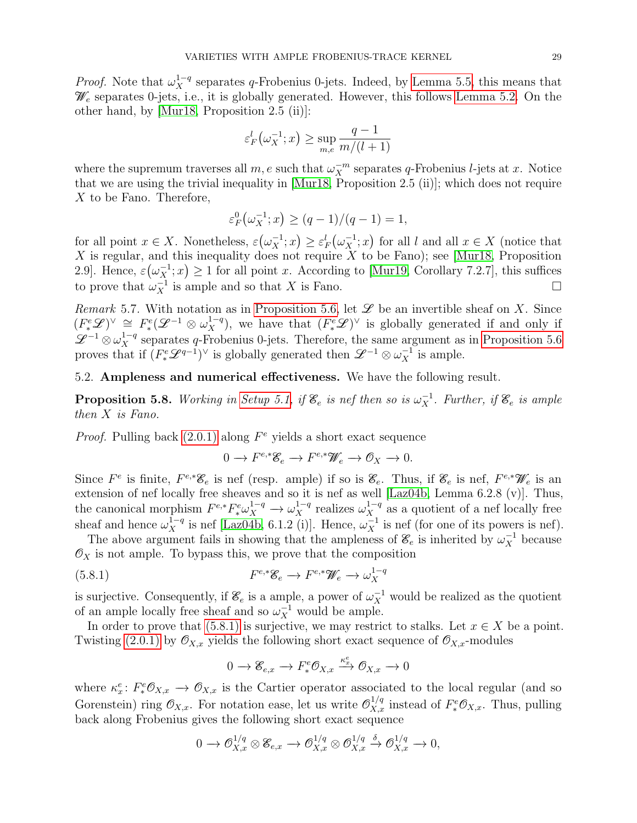*Proof.* Note that  $\omega_X^{1-q}$  separates q-Frobenius 0-jets. Indeed, by [Lemma 5.5,](#page-27-2) this means that  $\mathcal{W}_e$  separates 0-jets, i.e., it is globally generated. However, this follows [Lemma 5.2.](#page-27-3) On the other hand, by [\[Mur18,](#page-37-7) Proposition 2.5 (ii)]:

$$
\varepsilon_F^l(\omega_X^{-1};x) \ge \sup_{m,e} \frac{q-1}{m/(l+1)}
$$

where the supremum traverses all  $m, e$  such that  $\omega_X^{-m}$  separates q-Frobenius *l*-jets at x. Notice that we are using the trivial inequality in [\[Mur18,](#page-37-7) Proposition 2.5 (ii)]; which does not require X to be Fano. Therefore,

$$
\varepsilon_F^0(\omega_X^{-1}; x) \ge (q-1)/(q-1) = 1,
$$

for all point  $x \in X$ . Nonetheless,  $\varepsilon(\omega_X^{-1}; x) \geq \varepsilon_F^{l}(\omega_X^{-1}; x)$  for all l and all  $x \in X$  (notice that  $X$  is regular, and this inequality does not require  $X$  to be Fano); see [\[Mur18,](#page-37-7) Proposition 2.9]. Hence,  $\varepsilon(\omega_X^{-1}; x) \ge 1$  for all point x. According to [\[Mur19,](#page-37-8) Corollary 7.2.7], this suffices to prove that  $\omega_X^{-1}$  is ample and so that X is Fano.

Remark 5.7. With notation as in [Proposition 5.6,](#page-27-4) let  $\mathscr L$  be an invertible sheaf on X. Since  $(F^e_*\mathscr{L})^{\vee} \cong F^e_*(\mathscr{L}^{-1} \otimes \omega_X^{1-q}),$  we have that  $(F^e_*\mathscr{L})^{\vee}$  is globally generated if and only if  $\mathscr{L}^{-1}\otimes \omega_X^{1-q}$  separates q-Frobenius 0-jets. Therefore, the same argument as in [Proposition 5.6](#page-27-4) proves that if  $(F^e_*\mathscr{L}^{q-1})^{\vee}$  is globally generated then  $\mathscr{L}^{-1}\otimes \omega_X^{-1}$  is ample.

5.2. Ampleness and numerical effectiveness. We have the following result.

<span id="page-28-0"></span>**Proposition 5.8.** Working in [Setup 5.1,](#page-27-1) if  $\mathscr{E}_e$  is nef then so is  $\omega_X^{-1}$ . Further, if  $\mathscr{E}_e$  is ample then X is Fano.

*Proof.* Pulling back  $(2.0.1)$  along  $F<sup>e</sup>$  yields a short exact sequence

$$
0 \to F^{e,*}\mathscr{E}_e \to F^{e,*}\mathscr{W}_e \to \mathscr{O}_X \to 0.
$$

Since  $F^e$  is finite,  $F^{e,*}\mathscr{C}_e$  is nef (resp. ample) if so is  $\mathscr{C}_e$ . Thus, if  $\mathscr{C}_e$  is nef,  $F^{e,*}\mathscr{W}_e$  is an extension of nef locally free sheaves and so it is nef as well [\[Laz04b,](#page-36-12) Lemma 6.2.8 (v)]. Thus, the canonical morphism  $F^{e,*}F^e_* \omega_X^{1-q} \to \omega_X^{1-q}$  realizes  $\omega_X^{1-q}$  as a quotient of a nef locally free sheaf and hence  $\omega_X^{1-q}$  is nef [\[Laz04b,](#page-36-12) 6.1.2 (i)]. Hence,  $\omega_X^{-1}$  is nef (for one of its powers is nef).

The above argument fails in showing that the ampleness of  $\mathcal{E}_e$  is inherited by  $\omega_X^{-1}$  because  $\mathcal{O}_X$  is not ample. To bypass this, we prove that the composition

(5.8.1) 
$$
F^{e,*}\mathscr{E}_e \to F^{e,*}\mathscr{W}_e \to \omega_X^{1-q}
$$

is surjective. Consequently, if  $\mathcal{E}_e$  is a ample, a power of  $\omega_X^{-1}$  would be realized as the quotient of an ample locally free sheaf and so  $\omega_X^{-1}$  would be ample.

In order to prove that [\(5.8.1\)](#page-28-1) is surjective, we may restrict to stalks. Let  $x \in X$  be a point. Twisting [\(2.0.1\)](#page-3-2) by  $\mathcal{O}_{X,x}$  yields the following short exact sequence of  $\mathcal{O}_{X,x}$ -modules

<span id="page-28-1"></span>
$$
0 \to \mathscr{E}_{e,x} \to F^e_* \mathscr{O}_{X,x} \xrightarrow{\kappa_x^e} \mathscr{O}_{X,x} \to 0
$$

where  $\kappa_x^e: F_*^e \mathcal{O}_{X,x} \to \mathcal{O}_{X,x}$  is the Cartier operator associated to the local regular (and so Gorenstein) ring  $\mathcal{O}_{X,x}$ . For notation ease, let us write  $\mathcal{O}_{X,x}^{1/q}$  instead of  $F_*^e\mathcal{O}_{X,x}$ . Thus, pulling back along Frobenius gives the following short exact sequence

$$
0 \to \mathcal{O}_{X,x}^{1/q} \otimes \mathscr{E}_{e,x} \to \mathcal{O}_{X,x}^{1/q} \otimes \mathcal{O}_{X,x}^{1/q} \xrightarrow{\delta} \mathcal{O}_{X,x}^{1/q} \to 0,
$$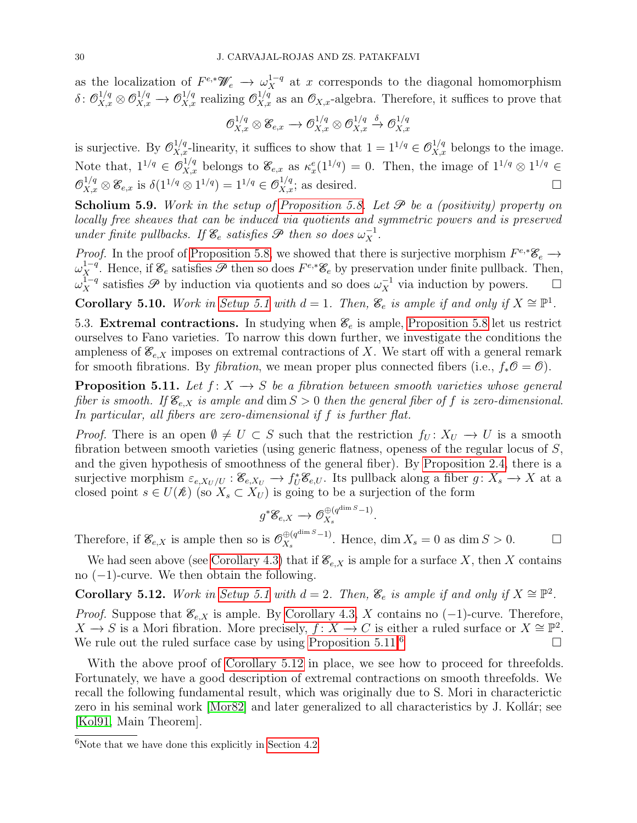as the localization of  $F^{e,*}\mathscr{W}_e \to \omega_X^{1-q}$  at x corresponds to the diagonal homomorphism  $\delta: \mathcal{O}_{X,x}^{1/q} \otimes \mathcal{O}_{X,x}^{1/q} \to \mathcal{O}_{X,x}^{1/q}$  realizing  $\mathcal{O}_{X,x}^{1/q}$  as an  $\mathcal{O}_{X,x}$ -algebra. Therefore, it suffices to prove that

$$
\mathcal{O}_{X,x}^{1/q}\otimes \mathscr{E}_{e,x}\to \mathcal{O}_{X,x}^{1/q}\otimes \mathcal{O}_{X,x}^{1/q}\stackrel{\delta}{\to} \mathcal{O}_{X,x}^{1/q}
$$

is surjective. By  $\mathcal{O}_{X,x}^{1/q}$ -linearity, it suffices to show that  $1 = 1^{1/q} \in \mathcal{O}_{X,x}^{1/q}$  belongs to the image. Note that,  $1^{1/q} \in \mathcal{O}_{X,x}^{1/q}$  belongs to  $\mathcal{E}_{e,x}$  as  $\kappa_x^e(1^{1/q}) = 0$ . Then, the image of  $1^{1/q} \otimes 1^{1/q} \in$  $\mathcal{O}_{X,x}^{1/q} \otimes \mathcal{E}_{e,x}$  is  $\delta(1^{1/q} \otimes 1^{1/q}) = 1^{1/q} \in \mathcal{O}_{X,x}^{1/q}$ ; as desired.

Scholium 5.9. Work in the setup of [Proposition 5.8.](#page-28-0) Let  $\mathscr P$  be a (positivity) property on locally free sheaves that can be induced via quotients and symmetric powers and is preserved under finite pullbacks. If  $\mathcal{E}_e$  satisfies  $\mathcal{P}$  then so does  $\omega_X^{-1}$ .

*Proof.* In the proof of [Proposition 5.8,](#page-28-0) we showed that there is surjective morphism  $F^{e,*}\mathscr{E}_e \to$  $\omega_X^{1-q}$ . Hence, if  $\mathscr{E}_e$  satisfies  $\mathscr{P}$  then so does  $F^{e,*}\mathscr{E}_e$  by preservation under finite pullback. Then,  $\omega_X^{\overline{1-q}}$  satisfies  $\mathscr P$  by induction via quotients and so does  $\omega_X^{-1}$  via induction by powers. □

<span id="page-29-1"></span>Corollary 5.10. Work in [Setup 5.1](#page-27-1) with  $d = 1$ . Then,  $\mathcal{E}_e$  is ample if and only if  $X \cong \mathbb{P}^1$ .

<span id="page-29-2"></span>5.3. Extremal contractions. In studying when  $\mathscr{E}_e$  is ample, [Proposition 5.8](#page-28-0) let us restrict ourselves to Fano varieties. To narrow this down further, we investigate the conditions the ampleness of  $\mathcal{E}_{e,X}$  imposes on extremal contractions of X. We start off with a general remark for smooth fibrations. By *fibration*, we mean proper plus connected fibers (i.e.,  $f_*\mathcal{O} = \mathcal{O}$ ).

<span id="page-29-3"></span>**Proposition 5.11.** Let  $f: X \rightarrow S$  be a fibration between smooth varieties whose general fiber is smooth. If  $\mathcal{E}_{e,X}$  is ample and dim  $S > 0$  then the general fiber of f is zero-dimensional. In particular, all fibers are zero-dimensional if f is further flat.

*Proof.* There is an open  $\emptyset \neq U \subset S$  such that the restriction  $f_U: X_U \to U$  is a smooth fibration between smooth varieties (using generic flatness, openess of the regular locus of  $S$ , and the given hypothesis of smoothness of the general fiber). By [Proposition 2.4,](#page-5-1) there is a surjective morphism  $\varepsilon_{e,X_U/U}: \mathscr{E}_{e,X_U} \to f^*_U \mathscr{E}_{e,U}$ . Its pullback along a fiber  $g: X_s \to X$  at a closed point  $s \in U(\mathcal{R})$  (so  $X_s \subset X_U$ ) is going to be a surjection of the form

$$
g^*\mathscr{E}_{e,X} \longrightarrow \mathcal{O}_{X_s}^{\oplus (q^{\dim S}-1)}.
$$

Therefore, if  $\mathscr{E}_{e,X}$  is ample then so is  $\mathcal{O}_{X_e}^{\oplus (q^{\dim S}-1)}$  $\mathcal{L}_X^{(q^{\dim S}-1)}$ . Hence, dim  $X_s = 0$  as dim  $S > 0$ .

We had seen above (see [Corollary 4.3\)](#page-19-1) that if  $\mathcal{E}_{e,X}$  is ample for a surface X, then X contains no  $(-1)$ -curve. We then obtain the following.

<span id="page-29-0"></span>Corollary 5.12. Work in [Setup 5.1](#page-27-1) with  $d = 2$ . Then,  $\mathcal{E}_e$  is ample if and only if  $X \cong \mathbb{P}^2$ .

*Proof.* Suppose that  $\mathcal{E}_{e,X}$  is ample. By [Corollary 4.3,](#page-19-1) X contains no (-1)-curve. Therefore,  $X \to S$  is a Mori fibration. More precisely,  $f: X \to C$  is either a ruled surface or  $X \cong \mathbb{P}^2$ . We rule out the ruled surface case by using [Proposition 5.11.](#page-29-3)<sup>[6](#page-0-0)</sup>

With the above proof of [Corollary 5.12](#page-29-0) in place, we see how to proceed for threefolds. Fortunately, we have a good description of extremal contractions on smooth threefolds. We recall the following fundamental result, which was originally due to S. Mori in characterictic zero in his seminal work  $[Mor82]$  and later generalized to all characteristics by J. Kollár; see [\[Kol91,](#page-36-14) Main Theorem].

 ${}^{6}$ Note that we have done this explicitly in [Section 4.2.](#page-12-0)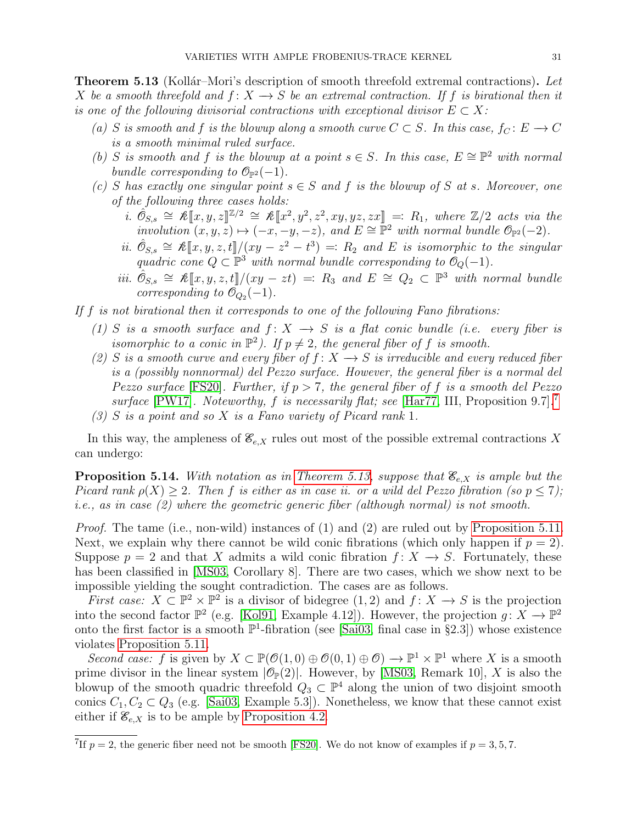<span id="page-30-1"></span>**Theorem 5.13** (Kollár–Mori's description of smooth threefold extremal contractions). Let X be a smooth threefold and  $f: X \to S$  be an extremal contraction. If f is birational then it is one of the following divisorial contractions with exceptional divisor  $E \subset X$ :

- (a) S is smooth and f is the blowup along a smooth curve  $C \subset S$ . In this case,  $f_C : E \to C$ is a smooth minimal ruled surface.
- (b) S is smooth and f is the blowup at a point  $s \in S$ . In this case,  $E \cong \mathbb{P}^2$  with normal bundle corresponding to  $\mathcal{O}_{\mathbb{P}^2}(-1)$ .
- (c) S has exactly one singular point  $s \in S$  and f is the blowup of S at s. Moreover, one of the following three cases holds:
	- i.  $\hat{\mathcal{O}}_{S,s} \cong \mathcal{K}[\![x,y,z]\!]^{\mathbb{Z}/2} \cong \mathcal{K}[\![x^2,y^2,z^2,xy,yz,zx]\!] =: R_1$ , where  $\mathbb{Z}/2$  acts via the involution  $(x, y, z) \mapsto (-x, -y, -z)$ , and  $E \cong \mathbb{P}^2$  with normal bundle  $\mathcal{O}_{\mathbb{P}^2}(-2)$ .
	- ii.  $\hat{\mathcal{O}}_{S,s} \cong \mathcal{K}[\![x,y,z,t]\!]/(xy-z^2-t^3) =: R_2$  and E is isomorphic to the singular quadric cone  $O \subset \mathbb{P}^3$  with normal bundle corresponding to  $\mathcal{O}_S(-1)$ quadric cone  $Q \subset \mathbb{P}^3$  with normal bundle corresponding to  $\mathcal{O}_Q(-1)$ .
	- iii.  $\hat{O}_{S,s} \cong \mathcal{K}[[x,y,z,t]]/(xy zt) =: R_3$  and  $E \cong Q_2 \subset \mathbb{P}^3$  with normal bundle<br>corresponding to  $\mathcal{O}_{\odot}(-1)$ corresponding to  $\mathcal{O}_{Q_2}(-1)$ .

If  $f$  is not birational then it corresponds to one of the following Fano fibrations:

- (1) S is a smooth surface and  $f: X \to S$  is a flat conic bundle (i.e. every fiber is isomorphic to a conic in  $\mathbb{P}^2$ ). If  $p \neq 2$ , the general fiber of f is smooth.
- (2) S is a smooth curve and every fiber of  $f: X \rightarrow S$  is irreducible and every reduced fiber is a (possibly nonnormal) del Pezzo surface. However, the general fiber is a normal del Pezzo surface [\[FS20\]](#page-36-15). Further, if  $p > 7$ , the general fiber of f is a smooth del Pezzo surface [\[PW17\]](#page-37-9). Noteworthy, f is necessarily flat; see [\[Har77,](#page-36-7) III, Proposition 9.[7](#page-0-0)].<sup>7</sup>  $(3)$  S is a point and so X is a Fano variety of Picard rank 1.

In this way, the ampleness of  $\mathcal{E}_{e,X}$  rules out most of the possible extremal contractions X can undergo:

<span id="page-30-0"></span>**Proposition 5.14.** With notation as in [Theorem 5.13,](#page-30-1) suppose that  $\mathcal{E}_{e,X}$  is ample but the Picard rank  $\rho(X) \geq 2$ . Then f is either as in case ii. or a wild del Pezzo fibration (so  $p \leq 7$ ); i.e., as in case (2) where the geometric generic fiber (although normal) is not smooth.

*Proof.* The tame (i.e., non-wild) instances of  $(1)$  and  $(2)$  are ruled out by [Proposition 5.11.](#page-29-3) Next, we explain why there cannot be wild conic fibrations (which only happen if  $p = 2$ ). Suppose  $p = 2$  and that X admits a wild conic fibration  $f: X \to S$ . Fortunately, these has been classified in [\[MS03,](#page-36-16) Corollary 8]. There are two cases, which we show next to be impossible yielding the sought contradiction. The cases are as follows.

First case:  $X \subseteq \mathbb{P}^2 \times \mathbb{P}^2$  is a divisor of bidegree  $(1,2)$  and  $f: X \to S$  is the projection into the second factor  $\mathbb{P}^2$  (e.g. [\[Kol91,](#page-36-14) Example 4.12]). However, the projection  $g: X \to \mathbb{P}^2$ onto the first factor is a smooth  $\mathbb{P}^1$ -fibration (see [\[Sai03,](#page-37-10) final case in §2.3]) whose existence violates [Proposition 5.11.](#page-29-3)

Second case: f is given by  $X \subset \mathbb{P}(\mathcal{O}(1,0) \oplus \mathcal{O}(0,1) \oplus \mathcal{O}) \to \mathbb{P}^1 \times \mathbb{P}^1$  where X is a smooth prime divisor in the linear system  $|\mathcal{O}_P(2)|$ . However, by [\[MS03,](#page-36-16) Remark 10], X is also the blowup of the smooth quadric threefold  $Q_3 \subset \mathbb{P}^4$  along the union of two disjoint smooth conics  $C_1, C_2 \subset Q_3$  (e.g. [\[Sai03,](#page-37-10) Example 5.3]). Nonetheless, we know that these cannot exist either if  $\mathcal{E}_{e,X}$  is to be ample by [Proposition 4.2.](#page-19-0)

<sup>&</sup>lt;sup>7</sup>If  $p = 2$ , the generic fiber need not be smooth [\[FS20\]](#page-36-15). We do not know of examples if  $p = 3, 5, 7$ .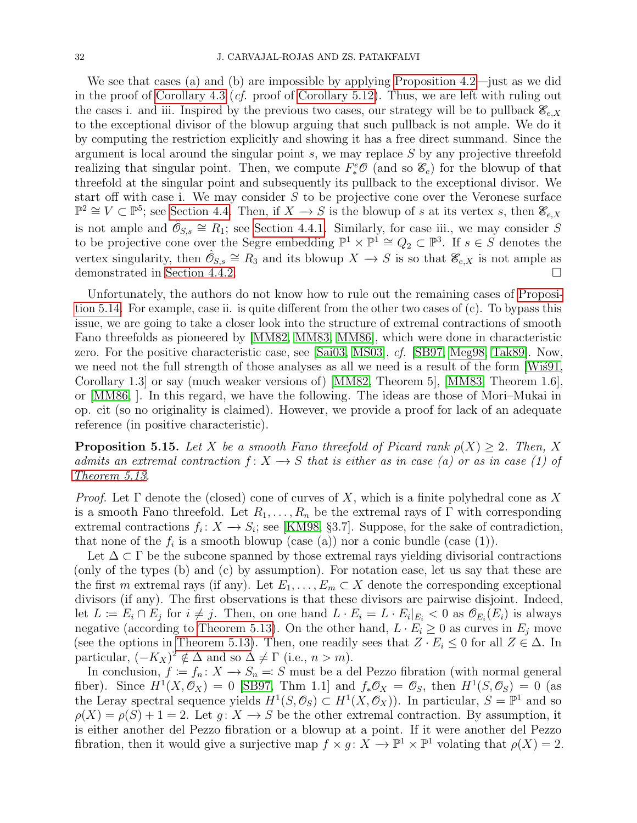We see that cases (a) and (b) are impossible by applying [Proposition 4.2—](#page-19-0)just as we did in the proof of [Corollary 4.3](#page-19-1) (*cf.* proof of [Corollary 5.12\)](#page-29-0). Thus, we are left with ruling out the cases i. and iii. Inspired by the previous two cases, our strategy will be to pullback  $\mathcal{E}_{e,X}$ to the exceptional divisor of the blowup arguing that such pullback is not ample. We do it by computing the restriction explicitly and showing it has a free direct summand. Since the argument is local around the singular point  $s$ , we may replace  $S$  by any projective threefold realizing that singular point. Then, we compute  $F^e_*\mathcal{O}$  (and so  $\mathcal{E}_e$ ) for the blowup of that threefold at the singular point and subsequently its pullback to the exceptional divisor. We start off with case i. We may consider  $S$  to be projective cone over the Veronese surface  $\mathbb{P}^2 \cong V \subset \mathbb{P}^5$ ; see [Section 4.4.](#page-20-0) Then, if  $X \to S$  is the blowup of s at its vertex s, then  $\mathscr{E}_{e,X}$ is not ample and  $\hat{\mathcal{O}}_{S,s} \cong R_1$ ; see [Section 4.4.1.](#page-21-1) Similarly, for case iii., we may consider S to be projective cone over the Segre embedding  $\mathbb{P}^1 \times \mathbb{P}^1 \cong Q_2 \subset \mathbb{P}^3$ . If  $s \in S$  denotes the vertex singularity, then  $\hat{\mathcal{O}}_{S,s} \cong R_3$  and its blowup  $X \to S$  is so that  $\mathscr{E}_{e,X}$  is not ample as demonstrated in [Section 4.4.2.](#page-24-1)

Unfortunately, the authors do not know how to rule out the remaining cases of [Proposi](#page-30-0)[tion 5.14.](#page-30-0) For example, case ii. is quite different from the other two cases of (c). To bypass this issue, we are going to take a closer look into the structure of extremal contractions of smooth Fano threefolds as pioneered by [\[MM82,](#page-36-17) [MM83,](#page-36-18) [MM86\]](#page-36-19), which were done in characteristic zero. For the positive characteristic case, see [\[Sai03,](#page-37-10) [MS03\]](#page-36-16), cf. [\[SB97,](#page-37-11) [Meg98,](#page-36-20) [Tak89\]](#page-37-12). Now, we need not the full strength of those analyses as all we need is a result of the form  $Wi\in(91, 60)$ Corollary 1.3] or say (much weaker versions of) [\[MM82,](#page-36-17) Theorem 5], [\[MM83,](#page-36-18) Theorem 1.6], or [\[MM86,](#page-36-19) ]. In this regard, we have the following. The ideas are those of Mori–Mukai in op. cit (so no originality is claimed). However, we provide a proof for lack of an adequate reference (in positive characteristic).

<span id="page-31-0"></span>**Proposition 5.15.** Let X be a smooth Fano threefold of Picard rank  $\rho(X) > 2$ . Then, X admits an extremal contraction  $f: X \to S$  that is either as in case (a) or as in case (1) of [Theorem 5.13.](#page-30-1)

Proof. Let  $\Gamma$  denote the (closed) cone of curves of X, which is a finite polyhedral cone as X is a smooth Fano threefold. Let  $R_1, \ldots, R_n$  be the extremal rays of Γ with corresponding extremal contractions  $f_i: X \to S_i$ ; see [\[KM98,](#page-36-21) §3.7]. Suppose, for the sake of contradiction, that none of the  $f_i$  is a smooth blowup (case (a)) nor a conic bundle (case (1)).

Let  $\Delta \subset \Gamma$  be the subcone spanned by those extremal rays yielding divisorial contractions (only of the types (b) and (c) by assumption). For notation ease, let us say that these are the first m extremal rays (if any). Let  $E_1, \ldots, E_m \subset X$  denote the corresponding exceptional divisors (if any). The first observations is that these divisors are pairwise disjoint. Indeed, let  $L := E_i \cap E_j$  for  $i \neq j$ . Then, on one hand  $L \cdot E_i = L \cdot E_i|_{E_i} < 0$  as  $\mathcal{O}_{E_i}(E_i)$  is always negative (according to [Theorem 5.13\)](#page-30-1). On the other hand,  $L \cdot E_i \geq 0$  as curves in  $E_j$  move (see the options in [Theorem 5.13\)](#page-30-1). Then, one readily sees that  $Z \cdot E_i \leq 0$  for all  $Z \in \Delta$ . In particular,  $(-K_X)^2 \notin \Delta$  and so  $\Delta \neq \Gamma$  (i.e.,  $n > m$ ).

In conclusion,  $f := f_n: X \to S_n =: S$  must be a del Pezzo fibration (with normal general fiber). Since  $H^1(X, \mathcal{O}_X) = 0$  [\[SB97,](#page-37-11) Thm 1.1] and  $f_*\mathcal{O}_X = \mathcal{O}_S$ , then  $H^1(S, \mathcal{O}_S) = 0$  (as the Leray spectral sequence yields  $H^1(S, \mathcal{O}_S) \subset H^1(X, \mathcal{O}_X)$ . In particular,  $S = \mathbb{P}^1$  and so  $\rho(X) = \rho(S) + 1 = 2$ . Let  $q: X \to S$  be the other extremal contraction. By assumption, it is either another del Pezzo fibration or a blowup at a point. If it were another del Pezzo fibration, then it would give a surjective map  $f \times g : X \to \mathbb{P}^1 \times \mathbb{P}^1$  volating that  $\rho(X) = 2$ .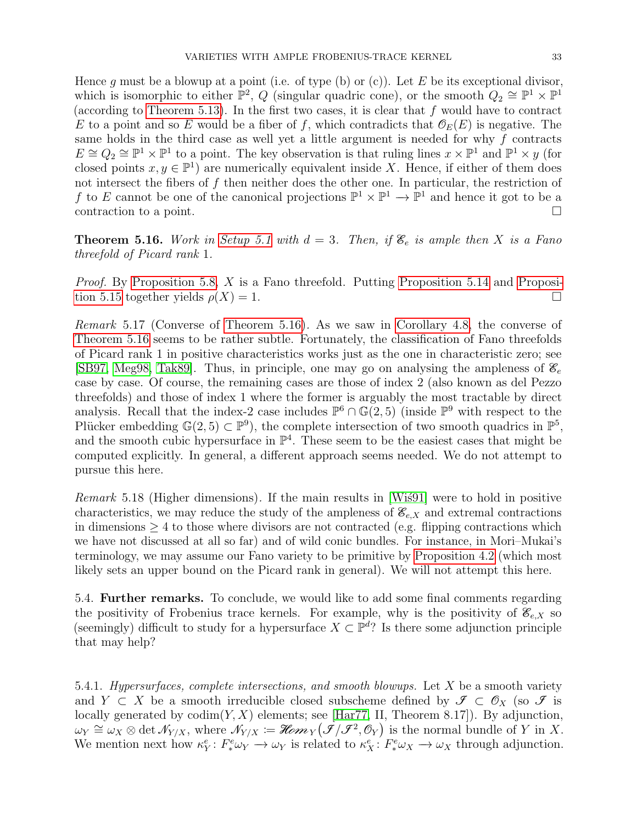Hence q must be a blowup at a point (i.e. of type (b) or (c)). Let  $E$  be its exceptional divisor, which is isomorphic to either  $\mathbb{P}^2$ , Q (singular quadric cone), or the smooth  $Q_2 \cong \mathbb{P}^1 \times \mathbb{P}^1$ (according to [Theorem 5.13\)](#page-30-1). In the first two cases, it is clear that  $f$  would have to contract E to a point and so E would be a fiber of f, which contradicts that  $\mathcal{O}_E(E)$  is negative. The same holds in the third case as well yet a little argument is needed for why  $f$  contracts  $E \cong Q_2 \cong \mathbb{P}^1 \times \mathbb{P}^1$  to a point. The key observation is that ruling lines  $x \times \mathbb{P}^1$  and  $\mathbb{P}^1 \times y$  (for closed points  $x, y \in \mathbb{P}^1$  are numerically equivalent inside X. Hence, if either of them does not intersect the fibers of f then neither does the other one. In particular, the restriction of f to E cannot be one of the canonical projections  $\mathbb{P}^1 \times \mathbb{P}^1 \to \mathbb{P}^1$  and hence it got to be a contraction to a point.

<span id="page-32-0"></span>**Theorem 5.16.** Work in [Setup 5.1](#page-27-1) with  $d = 3$ . Then, if  $\mathscr{E}_e$  is ample then X is a Fano threefold of Picard rank 1.

*Proof.* By [Proposition 5.8,](#page-28-0) X is a Fano threefold. Putting [Proposition 5.14](#page-30-0) and [Proposi](#page-31-0)[tion 5.15](#page-31-0) together yields  $\rho(X) = 1$ .

Remark 5.17 (Converse of [Theorem 5.16\)](#page-32-0). As we saw in [Corollary 4.8,](#page-26-0) the converse of [Theorem 5.16](#page-32-0) seems to be rather subtle. Fortunately, the classification of Fano threefolds of Picard rank 1 in positive characteristics works just as the one in characteristic zero; see [\[SB97,](#page-37-11) [Meg98,](#page-36-20) [Tak89\]](#page-37-12). Thus, in principle, one may go on analysing the ampleness of  $\mathscr{E}_e$ case by case. Of course, the remaining cases are those of index 2 (also known as del Pezzo threefolds) and those of index 1 where the former is arguably the most tractable by direct analysis. Recall that the index-2 case includes  $\mathbb{P}^6 \cap \mathbb{G}(2,5)$  (inside  $\mathbb{P}^9$  with respect to the Plücker embedding  $\mathbb{G}(2,5) \subset \mathbb{P}^9$ , the complete intersection of two smooth quadrics in  $\mathbb{P}^5$ , and the smooth cubic hypersurface in  $\mathbb{P}^4$ . These seem to be the easiest cases that might be computed explicitly. In general, a different approach seems needed. We do not attempt to pursue this here.

Remark 5.18 (Higher dimensions). If the main results in [Wis91] were to hold in positive characteristics, we may reduce the study of the ampleness of  $\mathcal{E}_{e,X}$  and extremal contractions in dimensions  $\geq 4$  to those where divisors are not contracted (e.g. flipping contractions which we have not discussed at all so far) and of wild conic bundles. For instance, in Mori–Mukai's terminology, we may assume our Fano variety to be primitive by [Proposition 4.2](#page-19-0) (which most likely sets an upper bound on the Picard rank in general). We will not attempt this here.

5.4. Further remarks. To conclude, we would like to add some final comments regarding the positivity of Frobenius trace kernels. For example, why is the positivity of  $\mathscr{E}_{e,X}$  so (seemingly) difficult to study for a hypersurface  $X \subset \mathbb{P}^d$ ? Is there some adjunction principle that may help?

5.4.1. Hypersurfaces, complete intersections, and smooth blowups. Let  $X$  be a smooth variety and  $Y \subset X$  be a smooth irreducible closed subscheme defined by  $\mathcal{I} \subset \mathcal{O}_X$  (so  $\mathcal{I}$  is locally generated by  $\text{codim}(Y, X)$  elements; see [\[Har77,](#page-36-7) II, Theorem 8.17]). By adjunction, because generated by codim(*i*, *X*) elements, see [Harri, H, Theorem 6.17]). By adjunction,<br>  $\omega_Y \cong \omega_X \otimes \det \mathcal{N}_{Y/X}$ , where  $\mathcal{N}_{Y/X} := \mathcal{H}om_Y(\mathcal{J}/\mathcal{J}^2, \mathcal{O}_Y)$  is the normal bundle of Y in X. We mention next how  $\kappa_Y^e: F^e_* \omega_Y \to \omega_Y$  is related to  $\kappa_X^e: F^e_* \omega_X \to \omega_X$  through adjunction.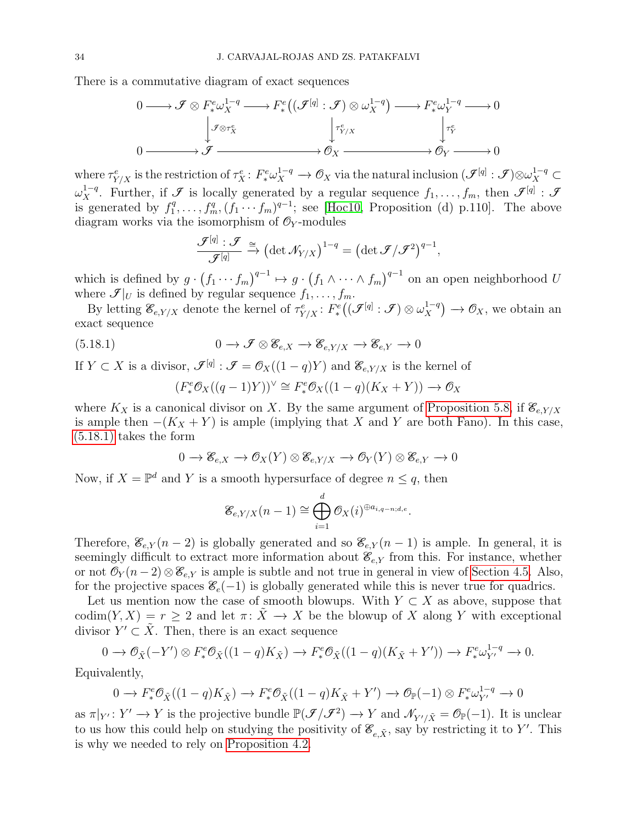There is a commutative diagram of exact sequences

$$
0 \longrightarrow \mathcal{F} \otimes F^e_* \omega_X^{1-q} \longrightarrow F^e_*((\mathcal{F}^{[q]} : \mathcal{F}) \otimes \omega_X^{1-q}) \longrightarrow F^e_* \omega_Y^{1-q} \longrightarrow 0
$$
  

$$
\downarrow^{\mathcal{F} \otimes \tau_X^e} \qquad \qquad \downarrow^{\tau_{Y/X}^e} \qquad \qquad \downarrow^{\tau_Y^e} \qquad \qquad 0
$$
  

$$
0 \longrightarrow \mathcal{F} \longrightarrow \mathcal{O}_X \longrightarrow 0
$$

where  $\tau_{Y/X}^e$  is the restriction of  $\tau_X^e: F^e_* \omega_X^{1-q} \to \mathcal{O}_X$  via the natural inclusion  $(\mathcal{J}^{[q]}: \mathcal{J}) \otimes \omega_X^{1-q} \subset$  $\omega_X^{1-q}$ . Further, if  $\mathscr F$  is locally generated by a regular sequence  $f_1,\ldots,f_m$ , then  $\mathscr F^{[q]}$ :  $\mathscr F$ is generated by  $f_1^q$  $f_1^q, \ldots, f_m^q, (f_1 \cdots f_m)^{q-1}$ ; see [\[Hoc10,](#page-36-22) Proposition (d) p.110]. The above diagram works via the isomorphism of  $\mathcal{O}_Y$ -modules

$$
\frac{\mathcal{F}^{[q]}:\mathcal{F}}{\mathcal{F}^{[q]}}\xrightarrow{\cong}\big(\text{det}\,\mathcal{N}_{Y/X}\big)^{1-q}=\big(\text{det}\,\mathcal{F}/\mathcal{F}^2\big)^{q-1},
$$

which is defined by  $g \cdot (f_1 \cdots f_m)^{q-1} \mapsto g \cdot (f_1 \wedge \cdots \wedge f_m)^{q-1}$  on an open neighborhood U where  $\mathcal{I}|_U$  is defined by regular sequence  $f_1, \ldots, f_m$ .

By letting  $\mathscr{E}_{e,Y/X}$  denote the kernel of  $\tau_{Y/X}^e$ :  $F^e_*(\mathscr{I}^{[q]}:\mathscr{I})\otimes \omega_X^{1-q}$  $\mathcal{L}_X^{1-q}$   $\rightarrow \mathcal{O}_X$ , we obtain an exact sequence

(5.18.1) 
$$
0 \to \mathcal{F} \otimes \mathcal{E}_{e,X} \to \mathcal{E}_{e,Y/X} \to \mathcal{E}_{e,Y} \to 0
$$

If  $Y \subset X$  is a divisor,  $\mathcal{I}^{[q]} : \mathcal{I} = \mathcal{O}_X((1-q)Y)$  and  $\mathcal{E}_{e, Y/X}$  is the kernel of

<span id="page-33-0"></span>
$$
(F^e_*\mathcal{O}_X((q-1)Y))^{\vee} \cong F^e_*\mathcal{O}_X((1-q)(K_X+Y)) \longrightarrow \mathcal{O}_X
$$

where  $K_X$  is a canonical divisor on X. By the same argument of [Proposition 5.8,](#page-28-0) if  $\mathcal{E}_{e, Y/X}$ is ample then  $-(K_X + Y)$  is ample (implying that X and Y are both Fano). In this case,  $(5.18.1)$  takes the form

$$
0 \to \mathcal{E}_{e,X} \to \mathcal{O}_X(Y) \otimes \mathcal{E}_{e,Y/X} \to \mathcal{O}_Y(Y) \otimes \mathcal{E}_{e,Y} \to 0
$$

Now, if  $X = \mathbb{P}^d$  and Y is a smooth hypersurface of degree  $n \leq q$ , then

$$
\mathscr{E}_{e,Y/X}(n-1) \cong \bigoplus_{i=1}^d \mathcal{O}_X(i)^{\oplus a_{i,q-n;d,e}}.
$$

Therefore,  $\mathscr{E}_{e,Y}(n-2)$  is globally generated and so  $\mathscr{E}_{e,Y}(n-1)$  is ample. In general, it is seemingly difficult to extract more information about  $\mathcal{E}_{e,Y}$  from this. For instance, whether or not  $\mathcal{O}_Y(n-2) \otimes \mathcal{E}_{e,Y}$  is ample is subtle and not true in general in view of [Section 4.5.](#page-25-0) Also, for the projective spaces  $\mathscr{E}_e(-1)$  is globally generated while this is never true for quadrics.

Let us mention now the case of smooth blowups. With  $Y \subset X$  as above, suppose that codim(Y, X) = r  $\geq$  2 and let  $\pi: \tilde{X} \to X$  be the blowup of X along Y with exceptional divisor  $Y' \subset \tilde{X}$ . Then, there is an exact sequence

$$
0 \to \mathcal{O}_{\tilde{X}}(-Y') \otimes F^e_* \mathcal{O}_{\tilde{X}}((1-q)K_{\tilde{X}}) \to F^e_* \mathcal{O}_{\tilde{X}}((1-q)(K_{\tilde{X}}+Y')) \to F^e_* \omega_{Y'}^{1-q} \to 0.
$$

Equivalently,

$$
0 \to F^e_*\mathcal{O}_{\tilde{X}}((1-q)K_{\tilde{X}}) \to F^e_*\mathcal{O}_{\tilde{X}}((1-q)K_{\tilde{X}} + Y') \to \mathcal{O}_{\mathbb{P}}(-1) \otimes F^e_*\omega_{Y'}^{1-q} \to 0
$$

as  $\pi|_{Y'} : Y' \to Y$  is the projective bundle  $\mathbb{P}(\mathcal{J}/\mathcal{J}^2) \to Y$  and  $\mathcal{N}_{Y'/\tilde{X}} = \mathcal{O}_{\mathbb{P}}(-1)$ . It is unclear to us how this could help on studying the positivity of  $\mathscr{E}_{e,\tilde{X}}$ , say by restricting it to Y'. This is why we needed to rely on [Proposition 4.2.](#page-19-0)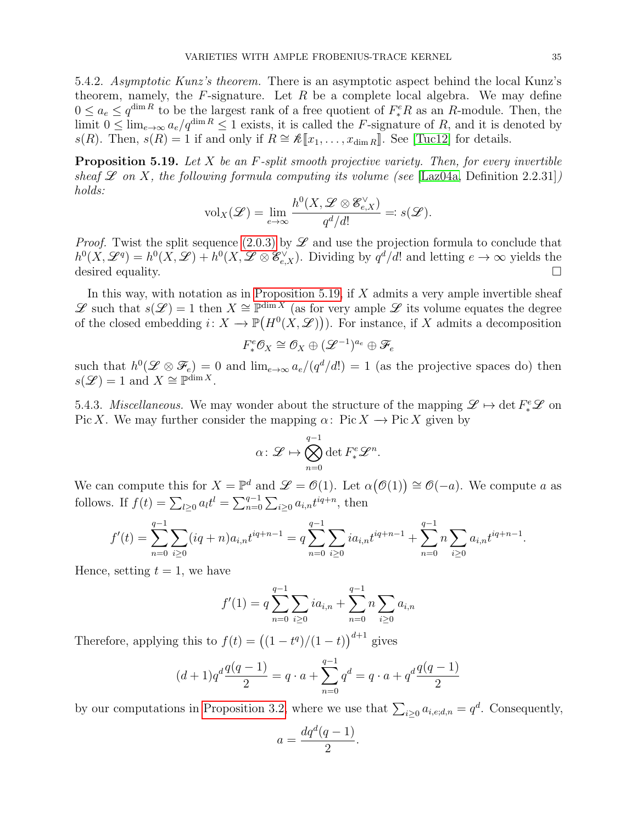5.4.2. Asymptotic Kunz's theorem. There is an asymptotic aspect behind the local Kunz's theorem, namely, the  $F$ -signature. Let  $R$  be a complete local algebra. We may define  $0 \le a_e \le q^{\dim R}$  to be the largest rank of a free quotient of  $F_*^eR$  as an R-module. Then, the limit  $0 \le \lim_{\epsilon \to \infty} a_{\epsilon}/q^{\dim R} \le 1$  exists, it is called the F-signature of R, and it is denoted by s(R). Then,  $s(R) = 1$  if and only if  $R \cong \mathcal{K}[\![x_1, \ldots, x_{\dim R}]\!]$ . See [\[Tuc12\]](#page-37-14) for details.

<span id="page-34-0"></span>**Proposition 5.19.** Let  $X$  be an  $F$ -split smooth projective variety. Then, for every invertible sheaf  $\mathscr L$  on X, the following formula computing its volume (see [\[Laz04a,](#page-36-23) Definition 2.2.31]) holds:

$$
\mathrm{vol}_X(\mathscr{L}) = \lim_{e \to \infty} \frac{h^0(X, \mathscr{L} \otimes \mathscr{E}_{e,X}^\vee)}{q^d/d!} =: s(\mathscr{L}).
$$

*Proof.* Twist the split sequence [\(2.0.3\)](#page-3-3) by  $\mathscr L$  and use the projection formula to conclude that  $h^0(X, \mathscr{L}^q) = h^0(X, \mathscr{L}) + h^0(X, \mathscr{L} \otimes \mathscr{E}_{e,X}^{\vee}).$  Dividing by  $q^d/d!$  and letting  $e \to \infty$  yields the desired equality.

In this way, with notation as in [Proposition 5.19,](#page-34-0) if  $X$  admits a very ample invertible sheaf  $\mathscr L$  such that  $s(\mathscr L)=1$  then  $X\cong \mathbb P^{\dim X}$  (as for very ample  $\mathscr L$  its volume equates the degree of the closed embedding  $i: X \to \mathbb{P}(H^0(X, \mathcal{L}))$ . For instance, if X admits a decomposition

$$
F^e_*\mathcal{O}_X\cong \mathcal{O}_X\oplus (\mathscr{L}^{-1})^{a_e}\oplus \mathscr{F}_e
$$

such that  $h^0(\mathscr{L} \otimes \mathscr{F}_e) = 0$  and  $\lim_{e\to\infty} a_e/(q^d/d!) = 1$  (as the projective spaces do) then  $s(\mathcal{L}) = 1$  and  $X \cong \mathbb{P}^{\dim X}$ .

5.4.3. Miscellaneous. We may wonder about the structure of the mapping  $\mathscr{L} \mapsto \det F^e_* \mathscr{L}$  on Pic X. We may further consider the mapping  $\alpha: Pic X \to Pic X$  given by

$$
\alpha \colon \mathscr{L} \mapsto \bigotimes_{n=0}^{q-1} \det F^e_* \mathscr{L}^n.
$$

We can compute this for  $X = \mathbb{P}^d$  and  $\mathscr{L} = \mathcal{O}(1)$ . Let  $\alpha(\mathcal{O}(1)) \cong \mathcal{O}(-a)$ . We compute a as follows. If  $f(t) = \sum_{l \geq 0} a_l t^l = \sum_{n=0}^{q-1} \sum_{i \geq 0} a_{i,n} t^{iq+n}$ , then

$$
f'(t) = \sum_{n=0}^{q-1} \sum_{i\geq 0} (iq+n)a_{i,n}t^{iq+n-1} = q \sum_{n=0}^{q-1} \sum_{i\geq 0} ia_{i,n}t^{iq+n-1} + \sum_{n=0}^{q-1} n \sum_{i\geq 0} a_{i,n}t^{iq+n-1}.
$$

Hence, setting  $t = 1$ , we have

$$
f'(1) = q \sum_{n=0}^{q-1} \sum_{i \ge 0} i a_{i,n} + \sum_{n=0}^{q-1} n \sum_{i \ge 0} a_{i,n}
$$

Therefore, applying this to  $f(t) = ((1 - t^q)/(1 - t))^{d+1}$  gives

$$
(d+1)q^d \frac{q(q-1)}{2} = q \cdot a + \sum_{n=0}^{q-1} q^d = q \cdot a + q^d \frac{q(q-1)}{2}
$$

by our computations in [Proposition 3.2,](#page-7-0) where we use that  $\sum_{i\geq 0} a_{i,e,d,n} = q^d$ . Consequently,

$$
a = \frac{dq^d(q-1)}{2}
$$

.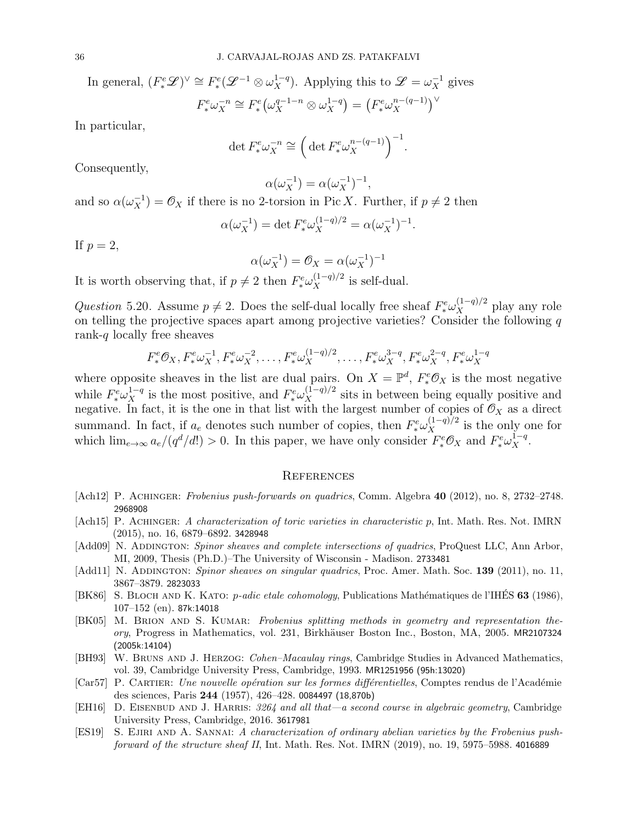In general,  $(F^e_*\mathscr{L})^{\vee} \cong F^e_*(\mathscr{L}^{-1} \otimes \omega_X^{1-q})$ . Applying this to  $\mathscr{L} = \omega_X^{-1}$  gives  $F^e_* \omega_X^{-n}$  $\overline{f}_X^{-n} \cong F_*^e \left( \omega_X^{q-1-n} \otimes \omega_X^{1-q} \right)$  $X^{1-q}$  =  $(F_*^e \omega_X^{n-(q-1)})$  $\binom{n-(q-1)}{X}^{\vee}$ 

In particular,

$$
\det F^e_* \omega_X^{-n} \cong \left( \det F^e_* \omega_X^{n - (q - 1)} \right)^{-1}.
$$

Consequently,

$$
\alpha(\omega_X^{-1}) = \alpha(\omega_X^{-1})^{-1},
$$

and so  $\alpha(\omega_X^{-1}) = \mathcal{O}_X$  if there is no 2-torsion in Pic X. Further, if  $p \neq 2$  then

$$
\alpha(\omega_X^{-1}) = \det F^e_* \omega_X^{(1-q)/2} = \alpha(\omega_X^{-1})^{-1}.
$$

If  $p=2$ ,

$$
\alpha(\omega_X^{-1}) = \mathcal{O}_X = \alpha(\omega_X^{-1})^{-1}
$$

It is worth observing that, if  $p \neq 2$  then  $F^e_* \omega_X^{(1-q)/2}$  is self-dual.

Question 5.20. Assume  $p \neq 2$ . Does the self-dual locally free sheaf  $F^e_* \omega_X^{(1-q)/2}$  play any role on telling the projective spaces apart among projective varieties? Consider the following q rank- $q$  locally free sheaves

$$
F^e_*\mathcal{O}_X, F^e_*\omega_X^{-1}, F^e_*\omega_X^{-2}, \dots, F^e_*\omega_X^{(1-q)/2}, \dots, F^e_*\omega_X^{3-q}, F^e_*\omega_X^{2-q}, F^e_*\omega_X^{1-q}
$$

where opposite sheaves in the list are dual pairs. On  $X = \mathbb{P}^d$ ,  $F_*^e \mathcal{O}_X$  is the most negative while  $F^e_* \omega_X^{1-q}$  is the most positive, and  $F^e_* \omega_X^{(1-q)/2}$  sits in between being equally positive and negative. In fact, it is the one in that list with the largest number of copies of  $\mathcal{O}_X$  as a direct summand. In fact, if  $a_e$  denotes such number of copies, then  $F^e_* \omega_X^{(1-q)/2}$  is the only one for which  $\lim_{e\to\infty} a_e/(q^d/d!) > 0$ . In this paper, we have only consider  $F^e_* \mathcal{O}_X$  and  $F^e_* \omega_X^{1-q}$ .

#### **REFERENCES**

- <span id="page-35-0"></span>[Ach12] P. ACHINGER: Frobenius push-forwards on quadrics, Comm. Algebra 40 (2012), no. 8, 2732–2748. 2968908
- <span id="page-35-5"></span>[Ach15] P. Achinger: A characterization of toric varieties in characteristic p, Int. Math. Res. Not. IMRN (2015), no. 16, 6879–6892. 3428948
- <span id="page-35-9"></span>[Add09] N. ADDINGTON: Spinor sheaves and complete intersections of quadrics, ProQuest LLC, Ann Arbor, MI, 2009, Thesis (Ph.D.)–The University of Wisconsin - Madison. 2733481
- <span id="page-35-8"></span>[Add11] N. ADDINGTON: Spinor sheaves on singular quadrics, Proc. Amer. Math. Soc. 139 (2011), no. 11, 3867–3879. 2823033
- <span id="page-35-3"></span>[BK86] S. BLOCH AND K. KATO: p-adic etale cohomology, Publications Mathématiques de l'IHÉS 63 (1986), 107–152 (en). 87k:14018
- <span id="page-35-2"></span>[BK05] M. Brion and S. Kumar: Frobenius splitting methods in geometry and representation theory, Progress in Mathematics, vol. 231, Birkhäuser Boston Inc., Boston, MA, 2005. MR2107324 (2005k:14104)
- <span id="page-35-4"></span>[BH93] W. BRUNS AND J. HERZOG: Cohen–Macaulay rings, Cambridge Studies in Advanced Mathematics, vol. 39, Cambridge University Press, Cambridge, 1993. MR1251956 (95h:13020)
- <span id="page-35-1"></span>[Car57] P. CARTIER: Une nouvelle opération sur les formes différentielles, Comptes rendus de l'Académie des sciences, Paris 244 (1957), 426–428. 0084497 (18,870b)
- <span id="page-35-7"></span>[EH16] D. EISENBUD AND J. HARRIS: 3264 and all that—a second course in algebraic geometry, Cambridge University Press, Cambridge, 2016. 3617981
- <span id="page-35-6"></span>[ES19] S. Ejiri and A. Sannai: A characterization of ordinary abelian varieties by the Frobenius pushforward of the structure sheaf II, Int. Math. Res. Not. IMRN (2019), no. 19, 5975–5988. 4016889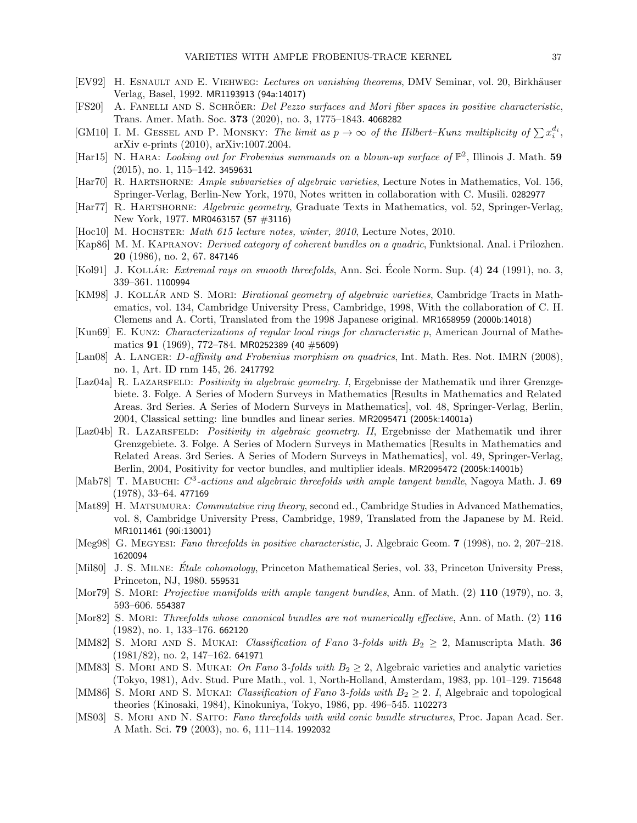- <span id="page-36-5"></span>[EV92] H. ESNAULT AND E. VIEHWEG: Lectures on vanishing theorems, DMV Seminar, vol. 20, Birkhäuser Verlag, Basel, 1992. MR1193913 (94a:14017)
- <span id="page-36-15"></span>[FS20] A. FANELLI AND S. SCHRÖER: Del Pezzo surfaces and Mori fiber spaces in positive characteristic, Trans. Amer. Math. Soc. 373 (2020), no. 3, 1775–1843. 4068282
- <span id="page-36-11"></span>[GM10] I. M. GESSEL AND P. MONSKY: The limit as  $p \to \infty$  of the Hilbert–Kunz multiplicity of  $\sum x_i^{d_i}$ , arXiv e-prints (2010), arXiv:1007.2004.
- <span id="page-36-9"></span>[Har15] N. HARA: Looking out for Frobenius summands on a blown-up surface of  $\mathbb{P}^2$ , Illinois J. Math. 59 (2015), no. 1, 115–142. 3459631
- <span id="page-36-2"></span>[Har70] R. HARTSHORNE: Ample subvarieties of algebraic varieties, Lecture Notes in Mathematics, Vol. 156, Springer-Verlag, Berlin-New York, 1970, Notes written in collaboration with C. Musili. 0282977
- <span id="page-36-7"></span>[Har77] R. HARTSHORNE: Algebraic geometry, Graduate Texts in Mathematics, vol. 52, Springer-Verlag, New York, 1977. MR0463157 (57 #3116)
- <span id="page-36-22"></span>[Hoc10] M. HOCHSTER: Math 615 lecture notes, winter,  $2010$ , Lecture Notes, 2010.
- <span id="page-36-10"></span>[Kap86] M. M. Kapranov: Derived category of coherent bundles on a quadric, Funktsional. Anal. i Prilozhen. 20 (1986), no. 2, 67. 847146
- <span id="page-36-14"></span>[Kol91] J. KOLLÁR: *Extremal rays on smooth threefolds*, Ann. Sci. École Norm. Sup.  $(4)$  24  $(1991)$ , no. 3, 339–361. 1100994
- <span id="page-36-21"></span>[KM98] J. KOLLÁR AND S. MORI: *Birational geometry of algebraic varieties*, Cambridge Tracts in Mathematics, vol. 134, Cambridge University Press, Cambridge, 1998, With the collaboration of C. H. Clemens and A. Corti, Translated from the 1998 Japanese original. MR1658959 (2000b:14018)
- <span id="page-36-0"></span>[Kun69] E. Kunz: Characterizations of regular local rings for characteristic p, American Journal of Mathematics 91 (1969), 772–784. MR0252389 (40  $\#$ 5609)
- <span id="page-36-4"></span>[Lan08] A. LANGER: *D*-affinity and Frobenius morphism on quadrics, Int. Math. Res. Not. IMRN (2008), no. 1, Art. ID rnm 145, 26. 2417792
- <span id="page-36-23"></span>[Laz04a] R. LAZARSFELD: Positivity in algebraic geometry. I, Ergebnisse der Mathematik und ihrer Grenzgebiete. 3. Folge. A Series of Modern Surveys in Mathematics [Results in Mathematics and Related Areas. 3rd Series. A Series of Modern Surveys in Mathematics], vol. 48, Springer-Verlag, Berlin, 2004, Classical setting: line bundles and linear series. MR2095471 (2005k:14001a)
- <span id="page-36-12"></span>[Laz04b] R. LAZARSFELD: Positivity in algebraic geometry. II, Ergebnisse der Mathematik und ihrer Grenzgebiete. 3. Folge. A Series of Modern Surveys in Mathematics [Results in Mathematics and Related Areas. 3rd Series. A Series of Modern Surveys in Mathematics], vol. 49, Springer-Verlag, Berlin, 2004, Positivity for vector bundles, and multiplier ideals. MR2095472 (2005k:14001b)
- <span id="page-36-3"></span>[Mab78] T. MABUCHI:  $C^3$ -actions and algebraic threefolds with ample tangent bundle, Nagoya Math. J. 69 (1978), 33–64. 477169
- <span id="page-36-8"></span>[Mat89] H. MATSUMURA: Commutative ring theory, second ed., Cambridge Studies in Advanced Mathematics, vol. 8, Cambridge University Press, Cambridge, 1989, Translated from the Japanese by M. Reid. MR1011461 (90i:13001)
- <span id="page-36-20"></span>[Meg98] G. Megyesi: Fano threefolds in positive characteristic, J. Algebraic Geom. 7 (1998), no. 2, 207–218. 1620094
- <span id="page-36-6"></span>[Mil80] J. S. MILNE: Étale cohomology, Princeton Mathematical Series, vol. 33, Princeton University Press, Princeton, NJ, 1980. 559531
- <span id="page-36-1"></span>[Mor79] S. MORI: *Projective manifolds with ample tangent bundles*, Ann. of Math. (2) 110 (1979), no. 3, 593–606. 554387
- <span id="page-36-13"></span>[Mor82] S. MORI: Threefolds whose canonical bundles are not numerically effective, Ann. of Math. (2) 116 (1982), no. 1, 133–176. 662120
- <span id="page-36-17"></span>[MM82] S. MORI AND S. MUKAI: *Classification of Fano* 3-folds with  $B_2 \geq 2$ , Manuscripta Math. 36 (1981/82), no. 2, 147–162. 641971
- <span id="page-36-18"></span>[MM83] S. MORI AND S. MUKAI: On Fano 3-folds with  $B_2 \geq 2$ , Algebraic varieties and analytic varieties (Tokyo, 1981), Adv. Stud. Pure Math., vol. 1, North-Holland, Amsterdam, 1983, pp. 101–129. 715648
- <span id="page-36-19"></span>[MM86] S. MORI AND S. MUKAI: Classification of Fano 3-folds with  $B_2 \geq 2$ . I, Algebraic and topological theories (Kinosaki, 1984), Kinokuniya, Tokyo, 1986, pp. 496–545. 1102273
- <span id="page-36-16"></span>[MS03] S. Mori and N. Saito: Fano threefolds with wild conic bundle structures, Proc. Japan Acad. Ser. A Math. Sci. 79 (2003), no. 6, 111–114. 1992032